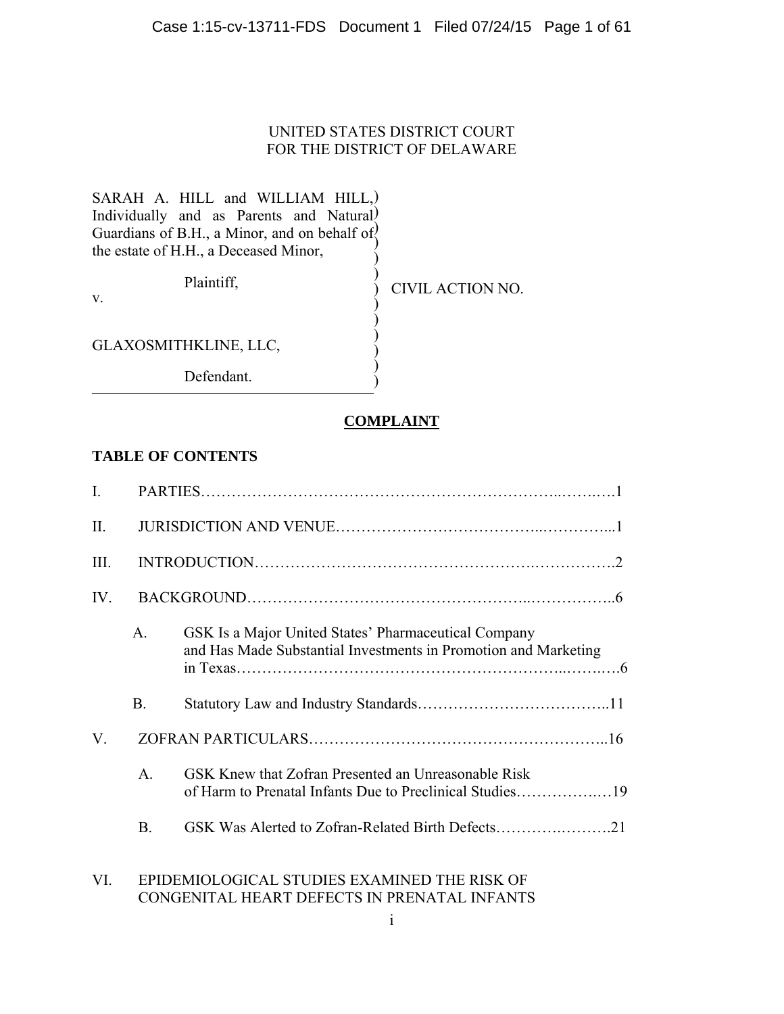#### Case 1:15-cv-13711-FDS Document 1 Filed 07/24/15 Page 1 of 61

#### UNITED STATES DISTRICT COURT FOR THE DISTRICT OF DELAWARE

 $\sum_{i=1}^{n}$  $\lambda$  $\sum_{i=1}^{n}$  $\sum_{i=1}^{n}$  $\sum_{i=1}^{n}$  $\sum_{i=1}^{n}$  $\mathcal{L}$  $\sum_{i=1}^{n}$ 

SARAH A. HILL and WILLIAM HILL,) Individually and as Parents and Natural Guardians of B.H., a Minor, and on behalf of $\langle$ the estate of H.H., a Deceased Minor,  $\sum_{i=1}^{n}$  $\sum_{i=1}^{n}$ 

Plaintiff,

v.

CIVIL ACTION NO.

GLAXOSMITHKLINE, LLC,

Defendant.

#### **COMPLAINT**

#### **TABLE OF CONTENTS**

| $\mathbf{I}$ . |                |                                                                                                                         |  |  |  |
|----------------|----------------|-------------------------------------------------------------------------------------------------------------------------|--|--|--|
| $\prod$ .      |                |                                                                                                                         |  |  |  |
| Ш.             |                |                                                                                                                         |  |  |  |
| IV.            |                |                                                                                                                         |  |  |  |
|                | $\mathsf{A}$   | GSK Is a Major United States' Pharmaceutical Company<br>and Has Made Substantial Investments in Promotion and Marketing |  |  |  |
|                | <b>B.</b>      |                                                                                                                         |  |  |  |
| V.             |                |                                                                                                                         |  |  |  |
|                | A <sub>1</sub> | GSK Knew that Zofran Presented an Unreasonable Risk                                                                     |  |  |  |
|                | <b>B.</b>      | GSK Was Alerted to Zofran-Related Birth Defects21                                                                       |  |  |  |
| VI.            |                | EPIDEMIOLOGICAL STUDIES EXAMINED THE RISK OF                                                                            |  |  |  |

#### CONGENITAL HEART DEFECTS IN PRENATAL INFANTS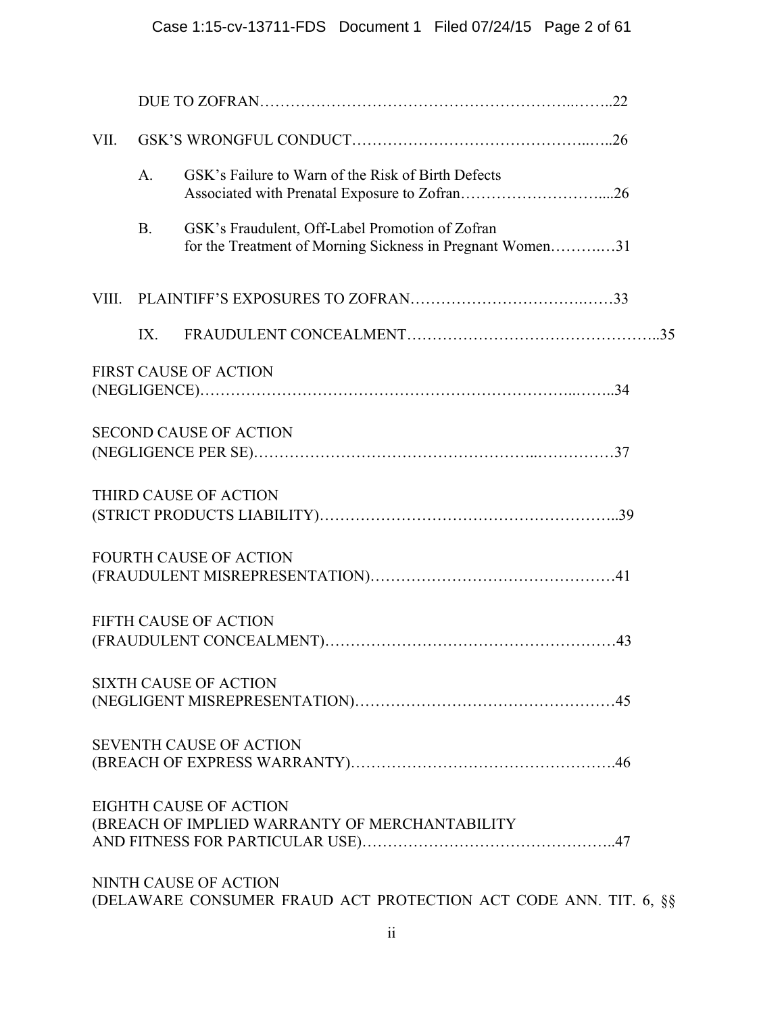| VII.  |                |                                                                                                              |  |
|-------|----------------|--------------------------------------------------------------------------------------------------------------|--|
|       | A <sub>1</sub> | GSK's Failure to Warn of the Risk of Birth Defects                                                           |  |
|       | <b>B.</b>      | GSK's Fraudulent, Off-Label Promotion of Zofran<br>for the Treatment of Morning Sickness in Pregnant Women31 |  |
| VIII. |                |                                                                                                              |  |
|       | IX.            |                                                                                                              |  |
|       |                | <b>FIRST CAUSE OF ACTION</b>                                                                                 |  |
|       |                | <b>SECOND CAUSE OF ACTION</b>                                                                                |  |
|       |                | THIRD CAUSE OF ACTION                                                                                        |  |
|       |                | <b>FOURTH CAUSE OF ACTION</b>                                                                                |  |
|       |                | <b>FIFTH CAUSE OF ACTION</b>                                                                                 |  |
|       |                | <b>SIXTH CAUSE OF ACTION</b>                                                                                 |  |
|       |                | <b>SEVENTH CAUSE OF ACTION</b>                                                                               |  |
|       |                | EIGHTH CAUSE OF ACTION<br>(BREACH OF IMPLIED WARRANTY OF MERCHANTABILITY                                     |  |
|       |                | NINTH CAUSE OF ACTION<br>(DELAWARE CONSUMER FRAUD ACT PROTECTION ACT CODE ANN. TIT. 6, §§                    |  |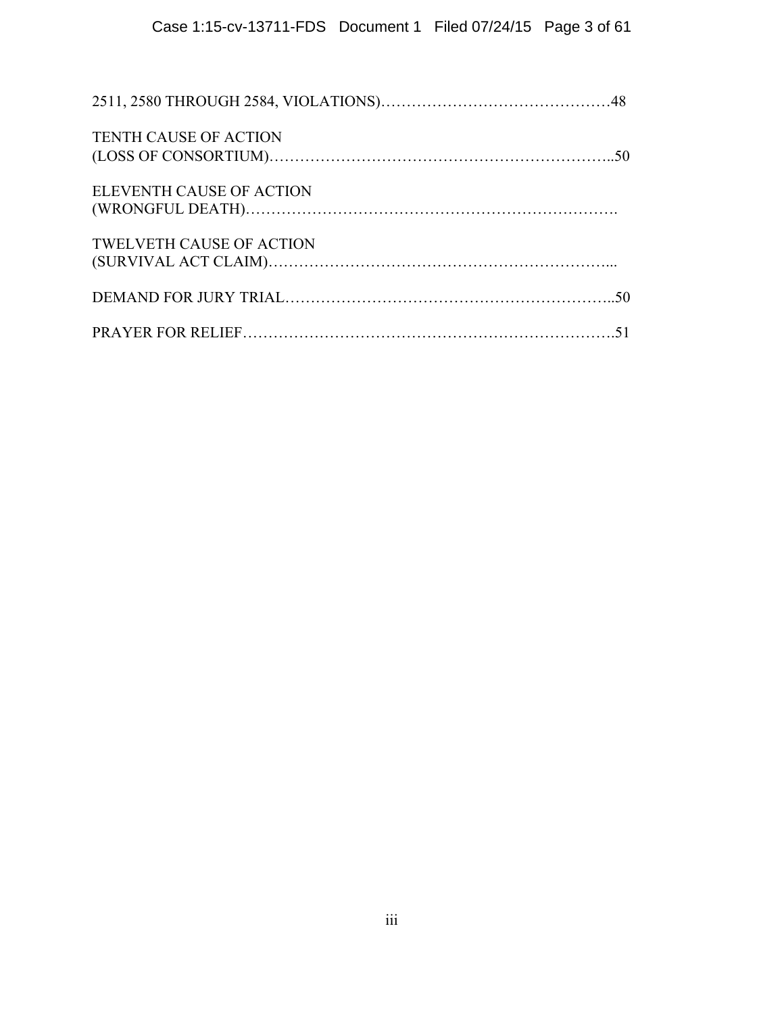| <b>TENTH CAUSE OF ACTION</b>    |  |
|---------------------------------|--|
| ELEVENTH CAUSE OF ACTION        |  |
| <b>TWELVETH CAUSE OF ACTION</b> |  |
|                                 |  |
|                                 |  |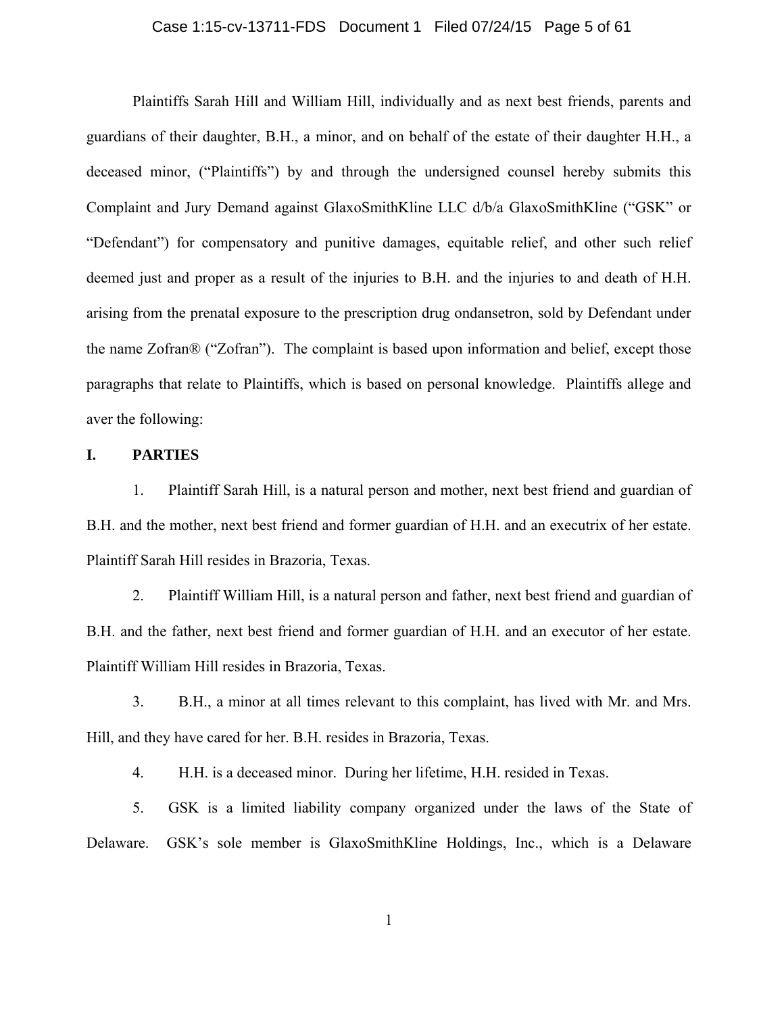#### Case 1:15-cv-13711-FDS Document 1 Filed 07/24/15 Page 5 of 61

Plaintiffs Sarah Hill and William Hill, individually and as next best friends, parents and guardians of their daughter, B.H., a minor, and on behalf of the estate of their daughter H.H., a deceased minor, ("Plaintiffs") by and through the undersigned counsel hereby submits this Complaint and Jury Demand against GlaxoSmithKline LLC d/b/a GlaxoSmithKline ("GSK" or "Defendant") for compensatory and punitive damages, equitable relief, and other such relief deemed just and proper as a result of the injuries to B.H. and the injuries to and death of H.H. arising from the prenatal exposure to the prescription drug ondansetron, sold by Defendant under the name Zofran® ("Zofran"). The complaint is based upon information and belief, except those paragraphs that relate to Plaintiffs, which is based on personal knowledge. Plaintiffs allege and aver the following:

#### **I. PARTIES**

1. Plaintiff Sarah Hill, is a natural person and mother, next best friend and guardian of B.H. and the mother, next best friend and former guardian of H.H. and an executrix of her estate. Plaintiff Sarah Hill resides in Brazoria, Texas.

2. Plaintiff William Hill, is a natural person and father, next best friend and guardian of B.H. and the father, next best friend and former guardian of H.H. and an executor of her estate. Plaintiff William Hill resides in Brazoria, Texas.

3. B.H., a minor at all times relevant to this complaint, has lived with Mr. and Mrs. Hill, and they have cared for her. B.H. resides in Brazoria, Texas.

4. H.H. is a deceased minor. During her lifetime, H.H. resided in Texas.

5. GSK is a limited liability company organized under the laws of the State of Delaware. GSK's sole member is GlaxoSmithKline Holdings, Inc., which is a Delaware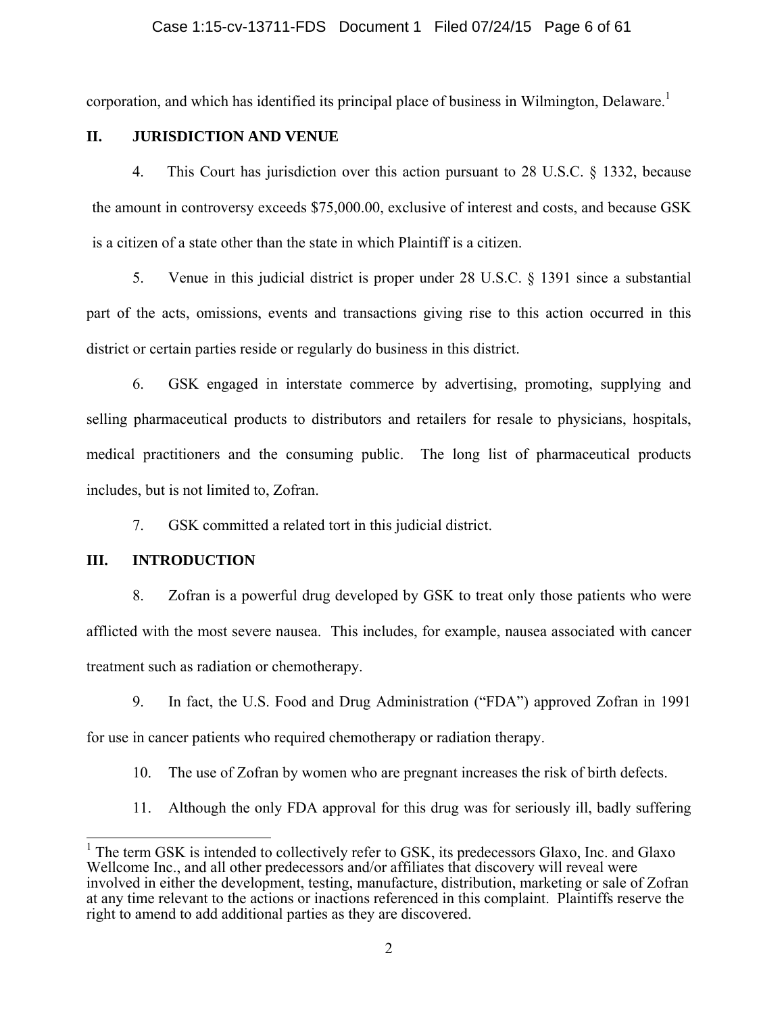#### Case 1:15-cv-13711-FDS Document 1 Filed 07/24/15 Page 6 of 61

corporation, and which has identified its principal place of business in Wilmington, Delaware.<sup>1</sup>

#### **II. JURISDICTION AND VENUE**

4. This Court has jurisdiction over this action pursuant to 28 U.S.C. § 1332, because the amount in controversy exceeds \$75,000.00, exclusive of interest and costs, and because GSK is a citizen of a state other than the state in which Plaintiff is a citizen.

5. Venue in this judicial district is proper under 28 U.S.C. § 1391 since a substantial part of the acts, omissions, events and transactions giving rise to this action occurred in this district or certain parties reside or regularly do business in this district.

6. GSK engaged in interstate commerce by advertising, promoting, supplying and selling pharmaceutical products to distributors and retailers for resale to physicians, hospitals, medical practitioners and the consuming public. The long list of pharmaceutical products includes, but is not limited to, Zofran.

7. GSK committed a related tort in this judicial district.

#### **III. INTRODUCTION**

8. Zofran is a powerful drug developed by GSK to treat only those patients who were afflicted with the most severe nausea. This includes, for example, nausea associated with cancer treatment such as radiation or chemotherapy.

9. In fact, the U.S. Food and Drug Administration ("FDA") approved Zofran in 1991 for use in cancer patients who required chemotherapy or radiation therapy.

10. The use of Zofran by women who are pregnant increases the risk of birth defects.

11. Although the only FDA approval for this drug was for seriously ill, badly suffering

<sup>&</sup>lt;sup>1</sup> The term GSK is intended to collectively refer to GSK, its predecessors Glaxo, Inc. and Glaxo Wellcome Inc., and all other predecessors and/or affiliates that discovery will reveal were involved in either the development, testing, manufacture, distribution, marketing or sale of Zofran at any time relevant to the actions or inactions referenced in this complaint. Plaintiffs reserve the right to amend to add additional parties as they are discovered.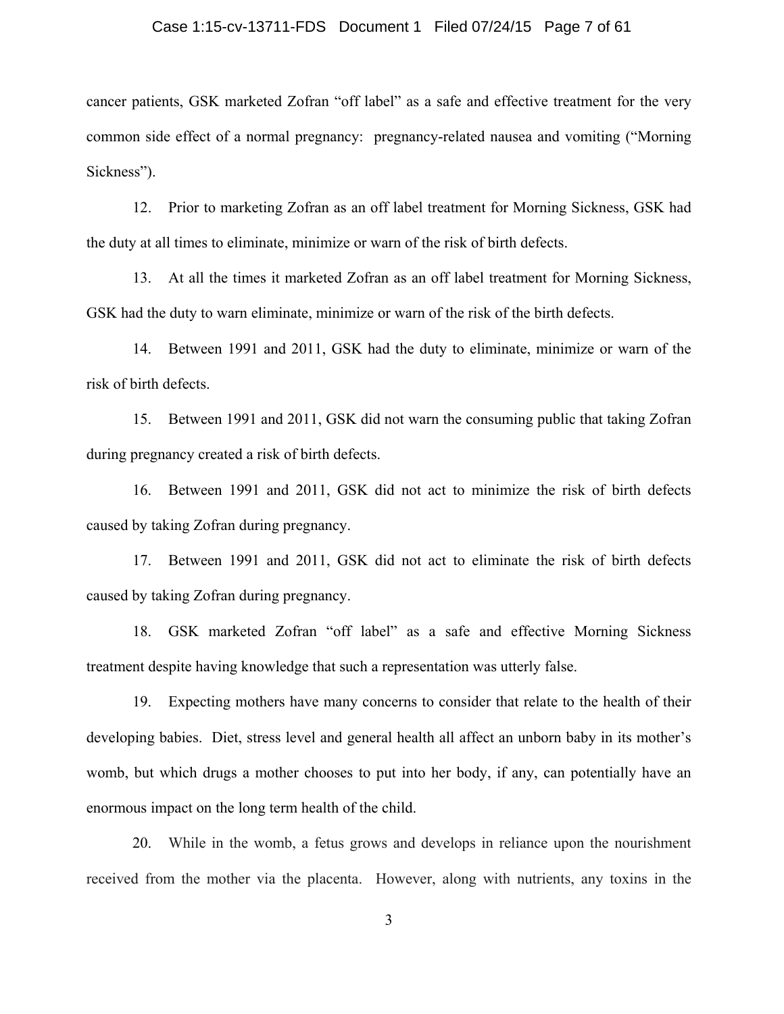#### Case 1:15-cv-13711-FDS Document 1 Filed 07/24/15 Page 7 of 61

cancer patients, GSK marketed Zofran "off label" as a safe and effective treatment for the very common side effect of a normal pregnancy: pregnancy-related nausea and vomiting ("Morning Sickness").

12. Prior to marketing Zofran as an off label treatment for Morning Sickness, GSK had the duty at all times to eliminate, minimize or warn of the risk of birth defects.

13. At all the times it marketed Zofran as an off label treatment for Morning Sickness, GSK had the duty to warn eliminate, minimize or warn of the risk of the birth defects.

14. Between 1991 and 2011, GSK had the duty to eliminate, minimize or warn of the risk of birth defects.

15. Between 1991 and 2011, GSK did not warn the consuming public that taking Zofran during pregnancy created a risk of birth defects.

16. Between 1991 and 2011, GSK did not act to minimize the risk of birth defects caused by taking Zofran during pregnancy.

17. Between 1991 and 2011, GSK did not act to eliminate the risk of birth defects caused by taking Zofran during pregnancy.

18. GSK marketed Zofran "off label" as a safe and effective Morning Sickness treatment despite having knowledge that such a representation was utterly false.

19. Expecting mothers have many concerns to consider that relate to the health of their developing babies. Diet, stress level and general health all affect an unborn baby in its mother's womb, but which drugs a mother chooses to put into her body, if any, can potentially have an enormous impact on the long term health of the child.

20. While in the womb, a fetus grows and develops in reliance upon the nourishment received from the mother via the placenta. However, along with nutrients, any toxins in the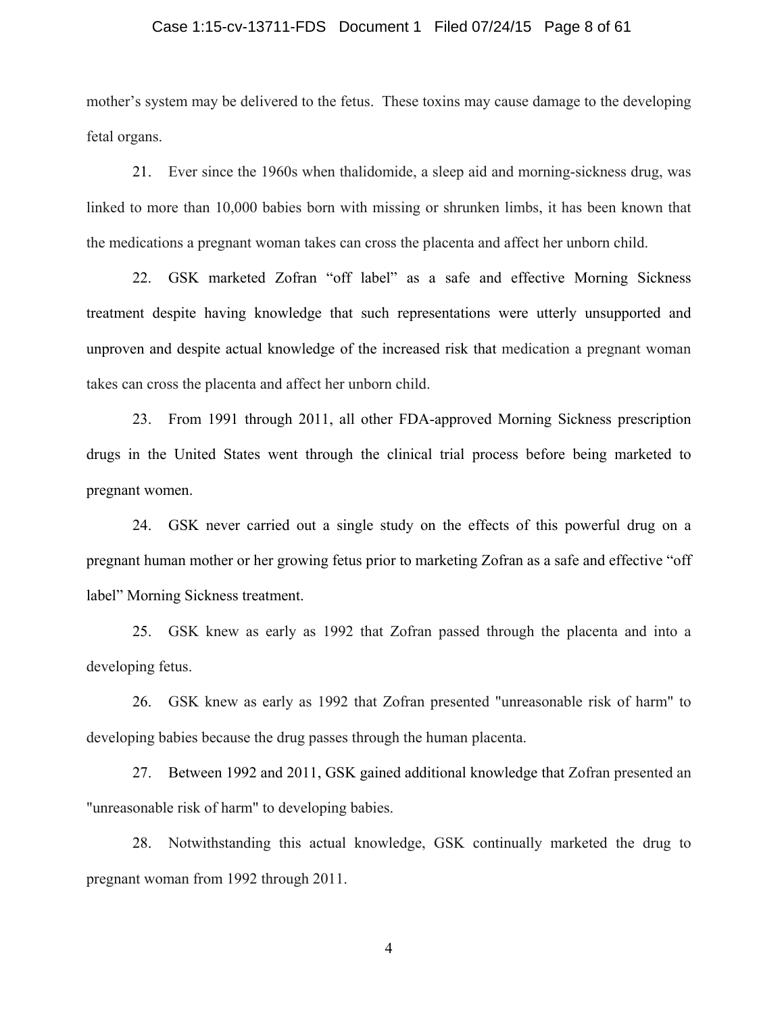#### Case 1:15-cv-13711-FDS Document 1 Filed 07/24/15 Page 8 of 61

mother's system may be delivered to the fetus. These toxins may cause damage to the developing fetal organs.

21. Ever since the 1960s when thalidomide, a sleep aid and morning-sickness drug, was linked to more than 10,000 babies born with missing or shrunken limbs, it has been known that the medications a pregnant woman takes can cross the placenta and affect her unborn child.

22. GSK marketed Zofran "off label" as a safe and effective Morning Sickness treatment despite having knowledge that such representations were utterly unsupported and unproven and despite actual knowledge of the increased risk that medication a pregnant woman takes can cross the placenta and affect her unborn child.

23. From 1991 through 2011, all other FDA-approved Morning Sickness prescription drugs in the United States went through the clinical trial process before being marketed to pregnant women.

24. GSK never carried out a single study on the effects of this powerful drug on a pregnant human mother or her growing fetus prior to marketing Zofran as a safe and effective "off label" Morning Sickness treatment.

25. GSK knew as early as 1992 that Zofran passed through the placenta and into a developing fetus.

26. GSK knew as early as 1992 that Zofran presented "unreasonable risk of harm" to developing babies because the drug passes through the human placenta.

27. Between 1992 and 2011, GSK gained additional knowledge that Zofran presented an "unreasonable risk of harm" to developing babies.

28. Notwithstanding this actual knowledge, GSK continually marketed the drug to pregnant woman from 1992 through 2011.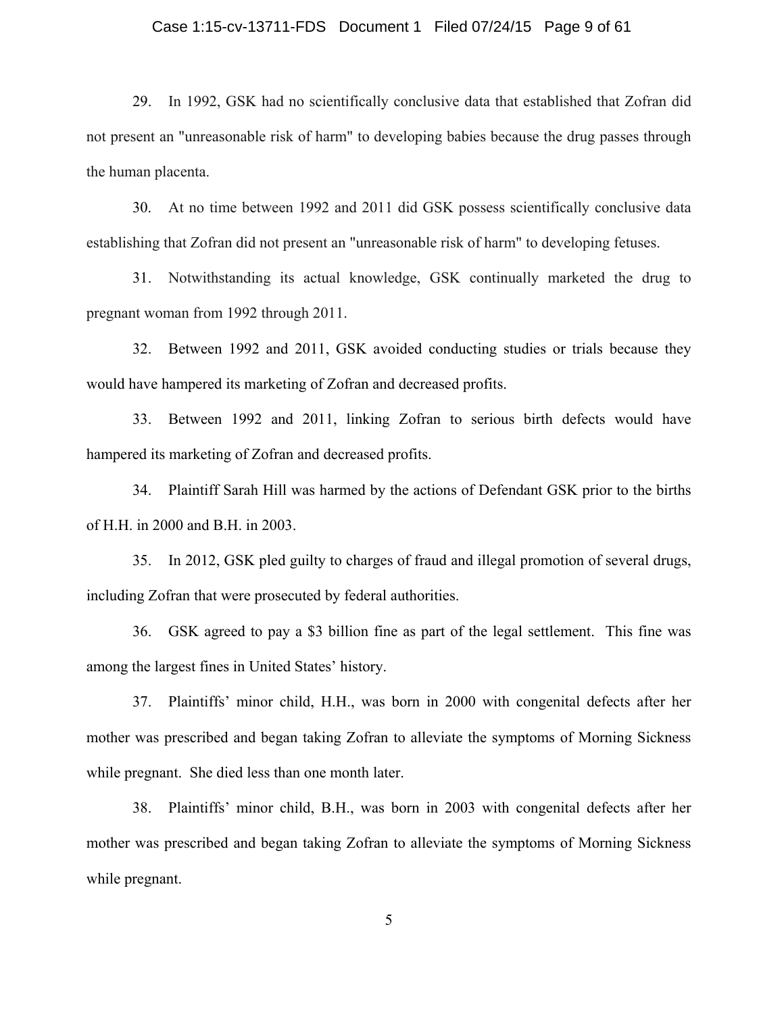#### Case 1:15-cv-13711-FDS Document 1 Filed 07/24/15 Page 9 of 61

29. In 1992, GSK had no scientifically conclusive data that established that Zofran did not present an "unreasonable risk of harm" to developing babies because the drug passes through the human placenta.

30. At no time between 1992 and 2011 did GSK possess scientifically conclusive data establishing that Zofran did not present an "unreasonable risk of harm" to developing fetuses.

31. Notwithstanding its actual knowledge, GSK continually marketed the drug to pregnant woman from 1992 through 2011.

32. Between 1992 and 2011, GSK avoided conducting studies or trials because they would have hampered its marketing of Zofran and decreased profits.

33. Between 1992 and 2011, linking Zofran to serious birth defects would have hampered its marketing of Zofran and decreased profits.

34. Plaintiff Sarah Hill was harmed by the actions of Defendant GSK prior to the births of H.H. in 2000 and B.H. in 2003.

35. In 2012, GSK pled guilty to charges of fraud and illegal promotion of several drugs, including Zofran that were prosecuted by federal authorities.

36. GSK agreed to pay a \$3 billion fine as part of the legal settlement. This fine was among the largest fines in United States' history.

37. Plaintiffs' minor child, H.H., was born in 2000 with congenital defects after her mother was prescribed and began taking Zofran to alleviate the symptoms of Morning Sickness while pregnant. She died less than one month later.

38. Plaintiffs' minor child, B.H., was born in 2003 with congenital defects after her mother was prescribed and began taking Zofran to alleviate the symptoms of Morning Sickness while pregnant.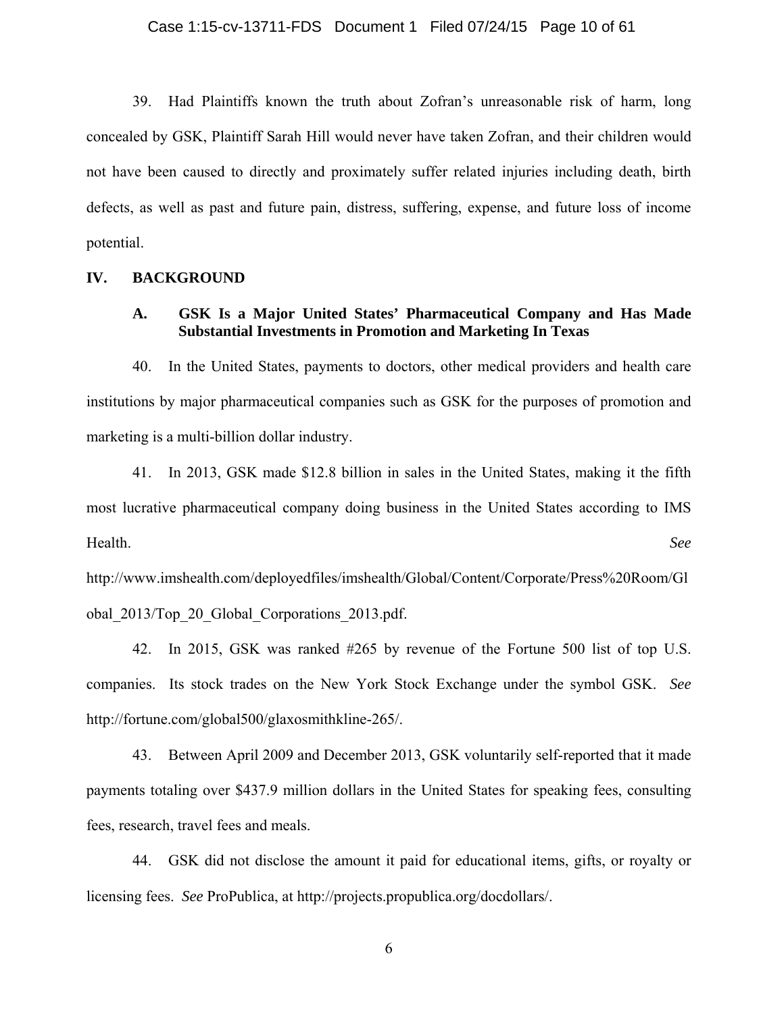39. Had Plaintiffs known the truth about Zofran's unreasonable risk of harm, long concealed by GSK, Plaintiff Sarah Hill would never have taken Zofran, and their children would not have been caused to directly and proximately suffer related injuries including death, birth defects, as well as past and future pain, distress, suffering, expense, and future loss of income potential.

#### **IV. BACKGROUND**

#### **A. GSK Is a Major United States' Pharmaceutical Company and Has Made Substantial Investments in Promotion and Marketing In Texas**

40. In the United States, payments to doctors, other medical providers and health care institutions by major pharmaceutical companies such as GSK for the purposes of promotion and marketing is a multi-billion dollar industry.

41. In 2013, GSK made \$12.8 billion in sales in the United States, making it the fifth most lucrative pharmaceutical company doing business in the United States according to IMS Health. *See*

http://www.imshealth.com/deployedfiles/imshealth/Global/Content/Corporate/Press%20Room/Gl obal\_2013/Top\_20\_Global\_Corporations\_2013.pdf.

42. In 2015, GSK was ranked #265 by revenue of the Fortune 500 list of top U.S. companies. Its stock trades on the New York Stock Exchange under the symbol GSK. *See* http://fortune.com/global500/glaxosmithkline-265/.

43. Between April 2009 and December 2013, GSK voluntarily self-reported that it made payments totaling over \$437.9 million dollars in the United States for speaking fees, consulting fees, research, travel fees and meals.

44. GSK did not disclose the amount it paid for educational items, gifts, or royalty or licensing fees. *See* ProPublica, at http://projects.propublica.org/docdollars/.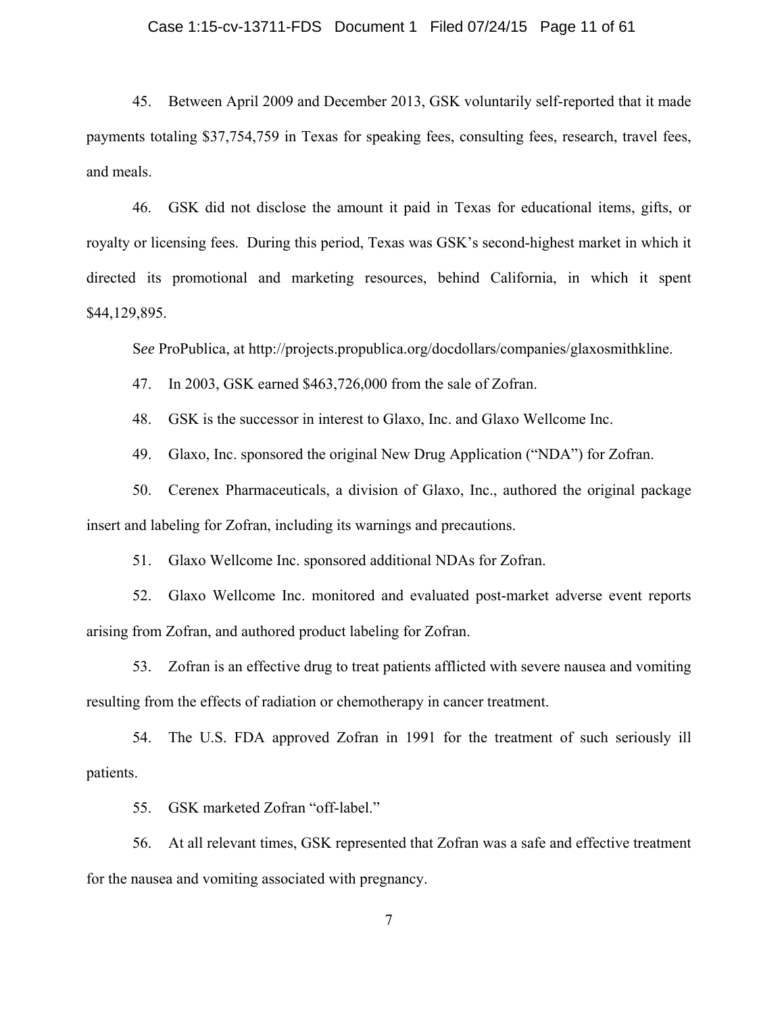#### Case 1:15-cv-13711-FDS Document 1 Filed 07/24/15 Page 11 of 61

45. Between April 2009 and December 2013, GSK voluntarily self-reported that it made payments totaling \$37,754,759 in Texas for speaking fees, consulting fees, research, travel fees, and meals.

46. GSK did not disclose the amount it paid in Texas for educational items, gifts, or royalty or licensing fees. During this period, Texas was GSK's second-highest market in which it directed its promotional and marketing resources, behind California, in which it spent \$44,129,895.

S*ee* ProPublica, at http://projects.propublica.org/docdollars/companies/glaxosmithkline.

47. In 2003, GSK earned \$463,726,000 from the sale of Zofran.

48. GSK is the successor in interest to Glaxo, Inc. and Glaxo Wellcome Inc.

49. Glaxo, Inc. sponsored the original New Drug Application ("NDA") for Zofran.

50. Cerenex Pharmaceuticals, a division of Glaxo, Inc., authored the original package insert and labeling for Zofran, including its warnings and precautions.

51. Glaxo Wellcome Inc. sponsored additional NDAs for Zofran.

52. Glaxo Wellcome Inc. monitored and evaluated post-market adverse event reports arising from Zofran, and authored product labeling for Zofran.

53. Zofran is an effective drug to treat patients afflicted with severe nausea and vomiting resulting from the effects of radiation or chemotherapy in cancer treatment.

54. The U.S. FDA approved Zofran in 1991 for the treatment of such seriously ill patients.

55. GSK marketed Zofran "off-label."

56. At all relevant times, GSK represented that Zofran was a safe and effective treatment for the nausea and vomiting associated with pregnancy.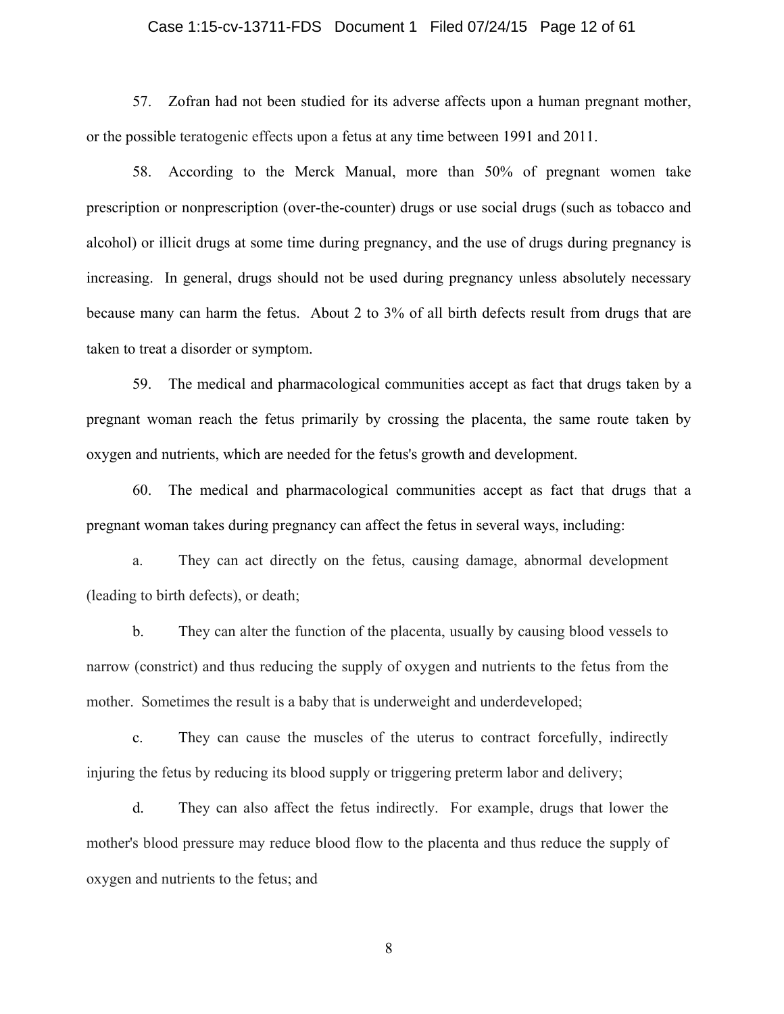#### Case 1:15-cv-13711-FDS Document 1 Filed 07/24/15 Page 12 of 61

57. Zofran had not been studied for its adverse affects upon a human pregnant mother, or the possible teratogenic effects upon a fetus at any time between 1991 and 2011.

58. According to the Merck Manual, more than 50% of pregnant women take prescription or nonprescription (over-the-counter) drugs or use social drugs (such as tobacco and alcohol) or illicit drugs at some time during pregnancy, and the use of drugs during pregnancy is increasing. In general, drugs should not be used during pregnancy unless absolutely necessary because many can harm the fetus. About 2 to 3% of all birth defects result from drugs that are taken to treat a disorder or symptom.

59. The medical and pharmacological communities accept as fact that drugs taken by a pregnant woman reach the fetus primarily by crossing the placenta, the same route taken by oxygen and nutrients, which are needed for the fetus's growth and development.

60. The medical and pharmacological communities accept as fact that drugs that a pregnant woman takes during pregnancy can affect the fetus in several ways, including:

a. They can act directly on the fetus, causing damage, abnormal development (leading to birth defects), or death;

b. They can alter the function of the placenta, usually by causing blood vessels to narrow (constrict) and thus reducing the supply of oxygen and nutrients to the fetus from the mother. Sometimes the result is a baby that is underweight and underdeveloped;

c. They can cause the muscles of the uterus to contract forcefully, indirectly injuring the fetus by reducing its blood supply or triggering preterm labor and delivery;

d. They can also affect the fetus indirectly. For example, drugs that lower the mother's blood pressure may reduce blood flow to the placenta and thus reduce the supply of oxygen and nutrients to the fetus; and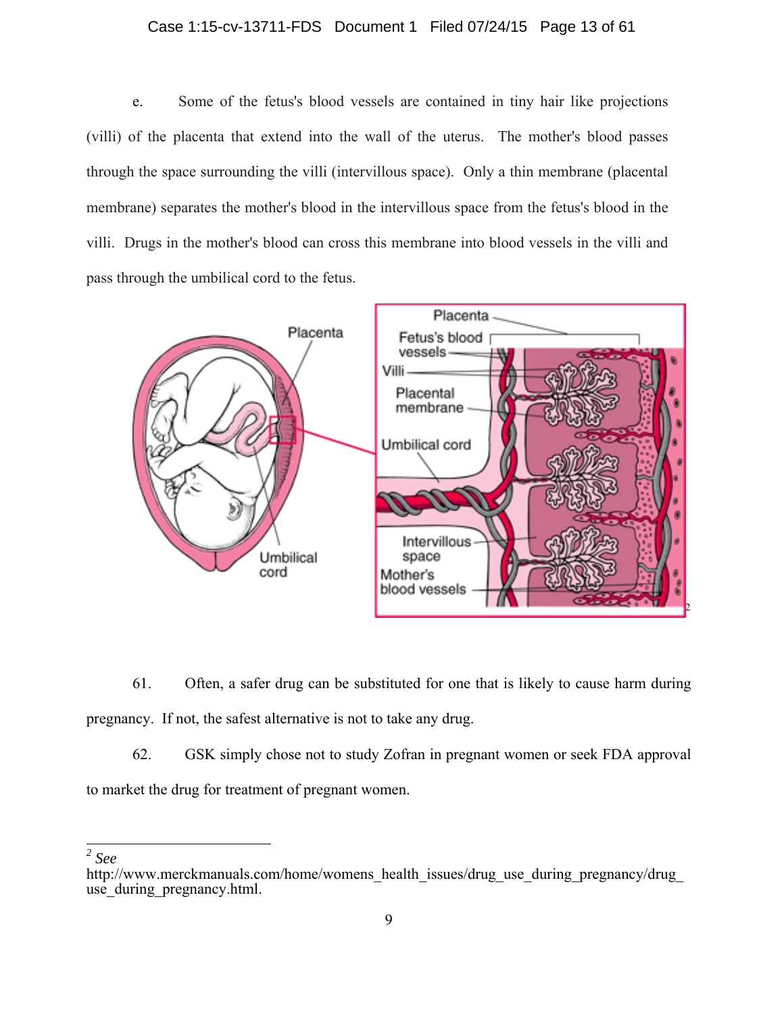#### Case 1:15-cv-13711-FDS Document 1 Filed 07/24/15 Page 13 of 61

e. Some of the fetus's blood vessels are contained in tiny hair like projections (villi) of the placenta that extend into the wall of the uterus. The mother's blood passes through the space surrounding the villi (intervillous space). Only a thin membrane (placental membrane) separates the mother's blood in the intervillous space from the fetus's blood in the villi. Drugs in the mother's blood can cross this membrane into blood vessels in the villi and pass through the umbilical cord to the fetus.



61. Often, a safer drug can be substituted for one that is likely to cause harm during pregnancy. If not, the safest alternative is not to take any drug.

62. GSK simply chose not to study Zofran in pregnant women or seek FDA approval to market the drug for treatment of pregnant women.

*2 See*

http://www.merckmanuals.com/home/womens\_health\_issues/drug\_use\_during\_pregnancy/drug use during pregnancy.html.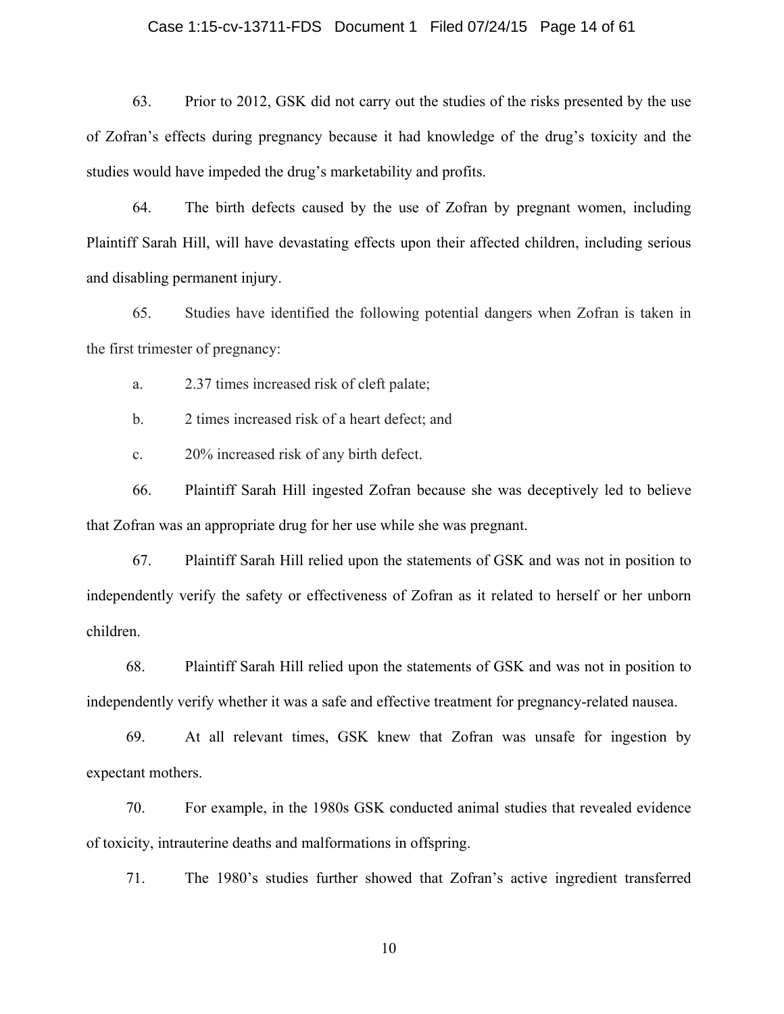#### Case 1:15-cv-13711-FDS Document 1 Filed 07/24/15 Page 14 of 61

63. Prior to 2012, GSK did not carry out the studies of the risks presented by the use of Zofran's effects during pregnancy because it had knowledge of the drug's toxicity and the studies would have impeded the drug's marketability and profits.

64. The birth defects caused by the use of Zofran by pregnant women, including Plaintiff Sarah Hill, will have devastating effects upon their affected children, including serious and disabling permanent injury.

65. Studies have identified the following potential dangers when Zofran is taken in the first trimester of pregnancy:

a. 2.37 times increased risk of cleft palate;

b. 2 times increased risk of a heart defect; and

c. 20% increased risk of any birth defect.

66. Plaintiff Sarah Hill ingested Zofran because she was deceptively led to believe that Zofran was an appropriate drug for her use while she was pregnant.

67. Plaintiff Sarah Hill relied upon the statements of GSK and was not in position to independently verify the safety or effectiveness of Zofran as it related to herself or her unborn children.

68. Plaintiff Sarah Hill relied upon the statements of GSK and was not in position to independently verify whether it was a safe and effective treatment for pregnancy-related nausea.

69. At all relevant times, GSK knew that Zofran was unsafe for ingestion by expectant mothers.

70. For example, in the 1980s GSK conducted animal studies that revealed evidence of toxicity, intrauterine deaths and malformations in offspring.

71. The 1980's studies further showed that Zofran's active ingredient transferred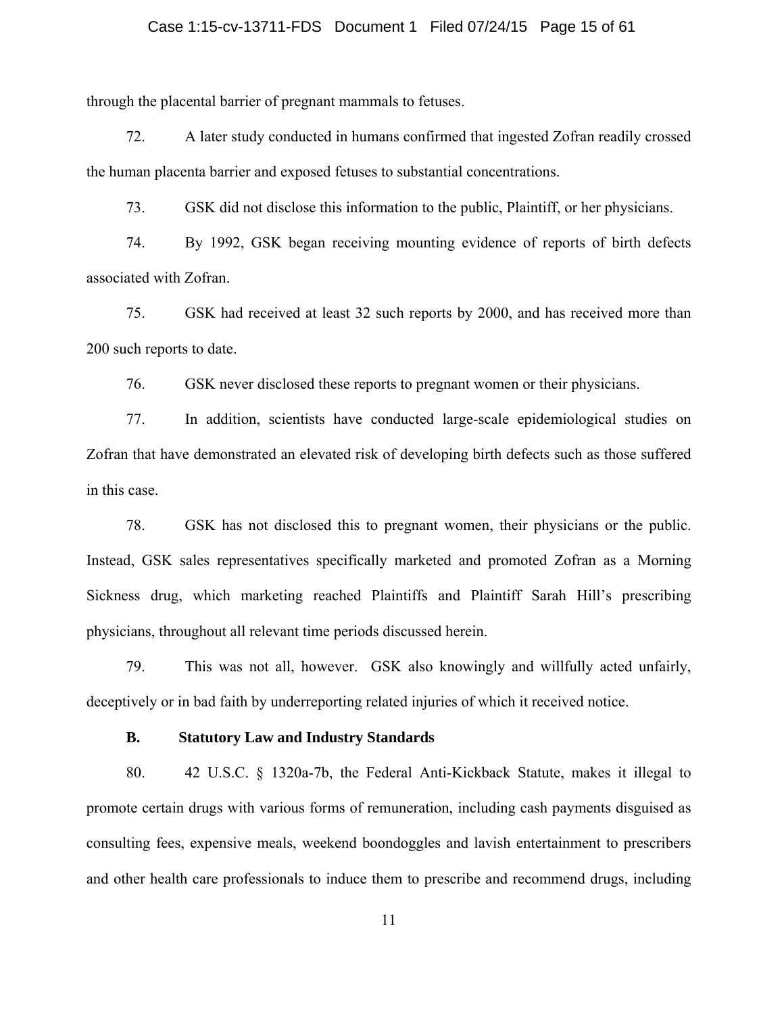#### Case 1:15-cv-13711-FDS Document 1 Filed 07/24/15 Page 15 of 61

through the placental barrier of pregnant mammals to fetuses.

72. A later study conducted in humans confirmed that ingested Zofran readily crossed the human placenta barrier and exposed fetuses to substantial concentrations.

73. GSK did not disclose this information to the public, Plaintiff, or her physicians.

74. By 1992, GSK began receiving mounting evidence of reports of birth defects associated with Zofran.

75. GSK had received at least 32 such reports by 2000, and has received more than 200 such reports to date.

76. GSK never disclosed these reports to pregnant women or their physicians.

77. In addition, scientists have conducted large-scale epidemiological studies on Zofran that have demonstrated an elevated risk of developing birth defects such as those suffered in this case.

78. GSK has not disclosed this to pregnant women, their physicians or the public. Instead, GSK sales representatives specifically marketed and promoted Zofran as a Morning Sickness drug, which marketing reached Plaintiffs and Plaintiff Sarah Hill's prescribing physicians, throughout all relevant time periods discussed herein.

79. This was not all, however. GSK also knowingly and willfully acted unfairly, deceptively or in bad faith by underreporting related injuries of which it received notice.

#### **B. Statutory Law and Industry Standards**

80. 42 U.S.C. § 1320a-7b, the Federal Anti-Kickback Statute, makes it illegal to promote certain drugs with various forms of remuneration, including cash payments disguised as consulting fees, expensive meals, weekend boondoggles and lavish entertainment to prescribers and other health care professionals to induce them to prescribe and recommend drugs, including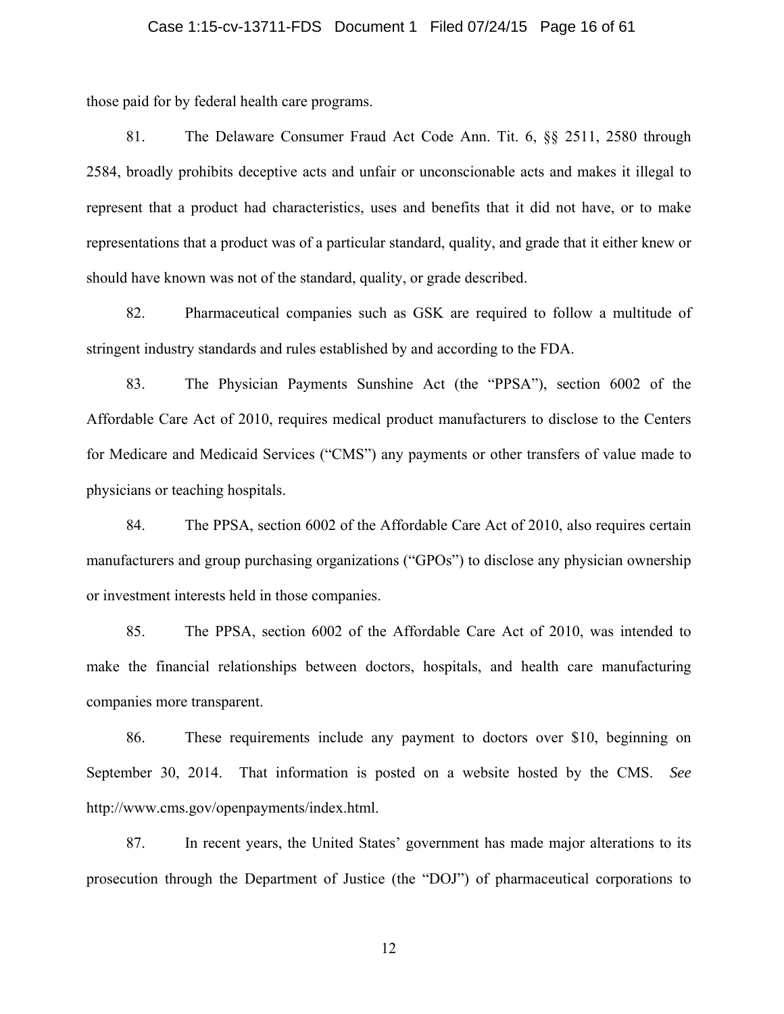#### Case 1:15-cv-13711-FDS Document 1 Filed 07/24/15 Page 16 of 61

those paid for by federal health care programs.

81. The Delaware Consumer Fraud Act Code Ann. Tit. 6, §§ 2511, 2580 through 2584, broadly prohibits deceptive acts and unfair or unconscionable acts and makes it illegal to represent that a product had characteristics, uses and benefits that it did not have, or to make representations that a product was of a particular standard, quality, and grade that it either knew or should have known was not of the standard, quality, or grade described.

82. Pharmaceutical companies such as GSK are required to follow a multitude of stringent industry standards and rules established by and according to the FDA.

83. The Physician Payments Sunshine Act (the "PPSA"), section 6002 of the Affordable Care Act of 2010, requires medical product manufacturers to disclose to the Centers for Medicare and Medicaid Services ("CMS") any payments or other transfers of value made to physicians or teaching hospitals.

84. The PPSA, section 6002 of the Affordable Care Act of 2010, also requires certain manufacturers and group purchasing organizations ("GPOs") to disclose any physician ownership or investment interests held in those companies.

85. The PPSA, section 6002 of the Affordable Care Act of 2010, was intended to make the financial relationships between doctors, hospitals, and health care manufacturing companies more transparent.

86. These requirements include any payment to doctors over \$10, beginning on September 30, 2014. That information is posted on a website hosted by the CMS. *See*  http://www.cms.gov/openpayments/index.html.

87. In recent years, the United States' government has made major alterations to its prosecution through the Department of Justice (the "DOJ") of pharmaceutical corporations to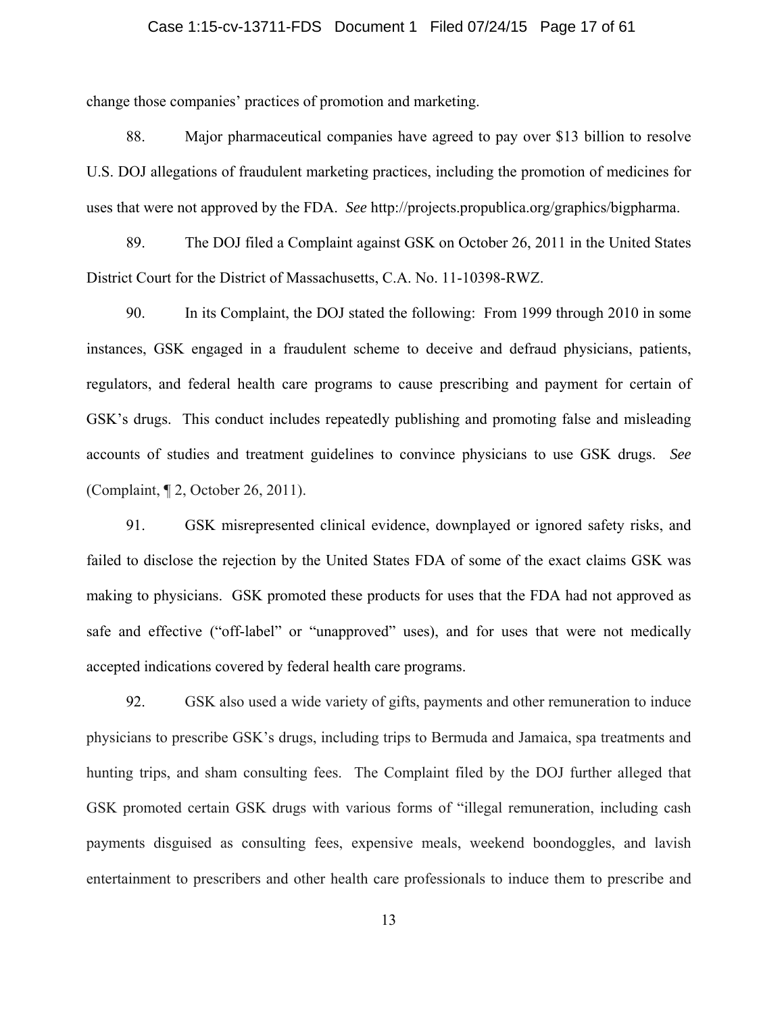#### Case 1:15-cv-13711-FDS Document 1 Filed 07/24/15 Page 17 of 61

change those companies' practices of promotion and marketing.

88. Major pharmaceutical companies have agreed to pay over \$13 billion to resolve U.S. DOJ allegations of fraudulent marketing practices, including the promotion of medicines for uses that were not approved by the FDA. *See* http://projects.propublica.org/graphics/bigpharma.

89. The DOJ filed a Complaint against GSK on October 26, 2011 in the United States District Court for the District of Massachusetts, C.A. No. 11-10398-RWZ.

90. In its Complaint, the DOJ stated the following: From 1999 through 2010 in some instances, GSK engaged in a fraudulent scheme to deceive and defraud physicians, patients, regulators, and federal health care programs to cause prescribing and payment for certain of GSK's drugs. This conduct includes repeatedly publishing and promoting false and misleading accounts of studies and treatment guidelines to convince physicians to use GSK drugs. *See*  (Complaint, ¶ 2, October 26, 2011).

91. GSK misrepresented clinical evidence, downplayed or ignored safety risks, and failed to disclose the rejection by the United States FDA of some of the exact claims GSK was making to physicians. GSK promoted these products for uses that the FDA had not approved as safe and effective ("off-label" or "unapproved" uses), and for uses that were not medically accepted indications covered by federal health care programs.

92. GSK also used a wide variety of gifts, payments and other remuneration to induce physicians to prescribe GSK's drugs, including trips to Bermuda and Jamaica, spa treatments and hunting trips, and sham consulting fees. The Complaint filed by the DOJ further alleged that GSK promoted certain GSK drugs with various forms of "illegal remuneration, including cash payments disguised as consulting fees, expensive meals, weekend boondoggles, and lavish entertainment to prescribers and other health care professionals to induce them to prescribe and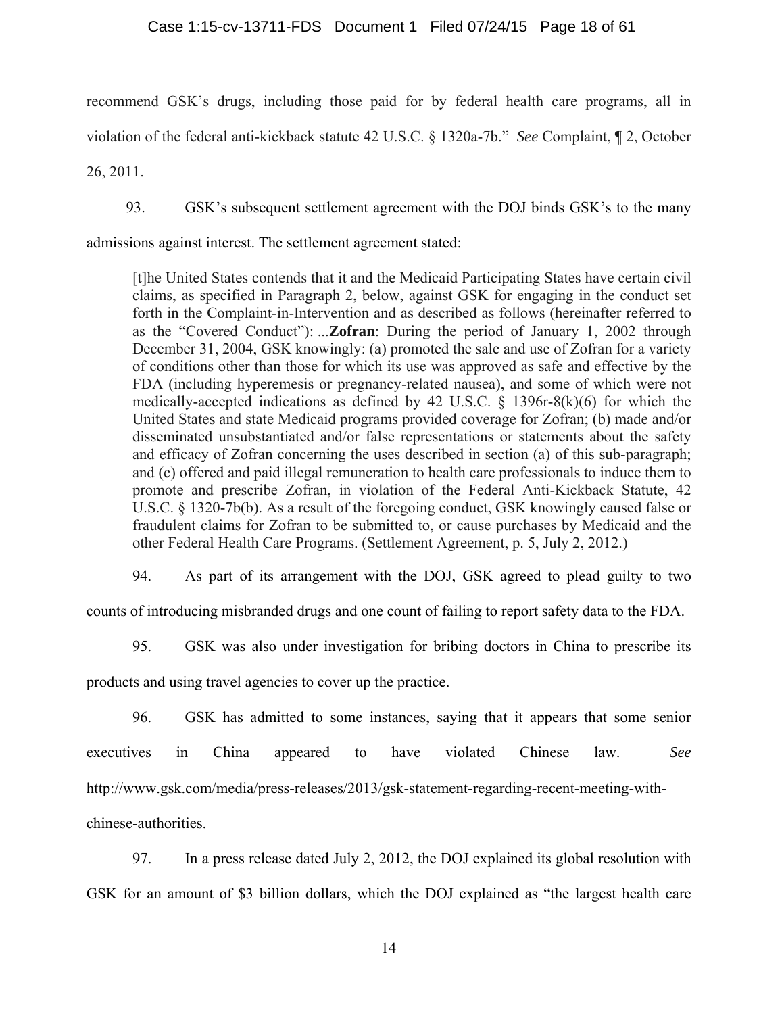#### Case 1:15-cv-13711-FDS Document 1 Filed 07/24/15 Page 18 of 61

recommend GSK's drugs, including those paid for by federal health care programs, all in violation of the federal anti-kickback statute 42 U.S.C. § 1320a-7b." *See* Complaint, ¶ 2, October

26, 2011.

93. GSK's subsequent settlement agreement with the DOJ binds GSK's to the many

admissions against interest. The settlement agreement stated:

[t]he United States contends that it and the Medicaid Participating States have certain civil claims, as specified in Paragraph 2, below, against GSK for engaging in the conduct set forth in the Complaint-in-Intervention and as described as follows (hereinafter referred to as the "Covered Conduct"): ...**Zofran**: During the period of January 1, 2002 through December 31, 2004, GSK knowingly: (a) promoted the sale and use of Zofran for a variety of conditions other than those for which its use was approved as safe and effective by the FDA (including hyperemesis or pregnancy-related nausea), and some of which were not medically-accepted indications as defined by 42 U.S.C. § 1396r-8(k)(6) for which the United States and state Medicaid programs provided coverage for Zofran; (b) made and/or disseminated unsubstantiated and/or false representations or statements about the safety and efficacy of Zofran concerning the uses described in section (a) of this sub-paragraph; and (c) offered and paid illegal remuneration to health care professionals to induce them to promote and prescribe Zofran, in violation of the Federal Anti-Kickback Statute, 42 U.S.C. § 1320-7b(b). As a result of the foregoing conduct, GSK knowingly caused false or fraudulent claims for Zofran to be submitted to, or cause purchases by Medicaid and the other Federal Health Care Programs. (Settlement Agreement, p. 5, July 2, 2012.)

94. As part of its arrangement with the DOJ, GSK agreed to plead guilty to two

counts of introducing misbranded drugs and one count of failing to report safety data to the FDA.

95. GSK was also under investigation for bribing doctors in China to prescribe its

products and using travel agencies to cover up the practice.

96. GSK has admitted to some instances, saying that it appears that some senior executives in China appeared to have violated Chinese law. *See*  http://www.gsk.com/media/press-releases/2013/gsk-statement-regarding-recent-meeting-withchinese-authorities.

97. In a press release dated July 2, 2012, the DOJ explained its global resolution with GSK for an amount of \$3 billion dollars, which the DOJ explained as "the largest health care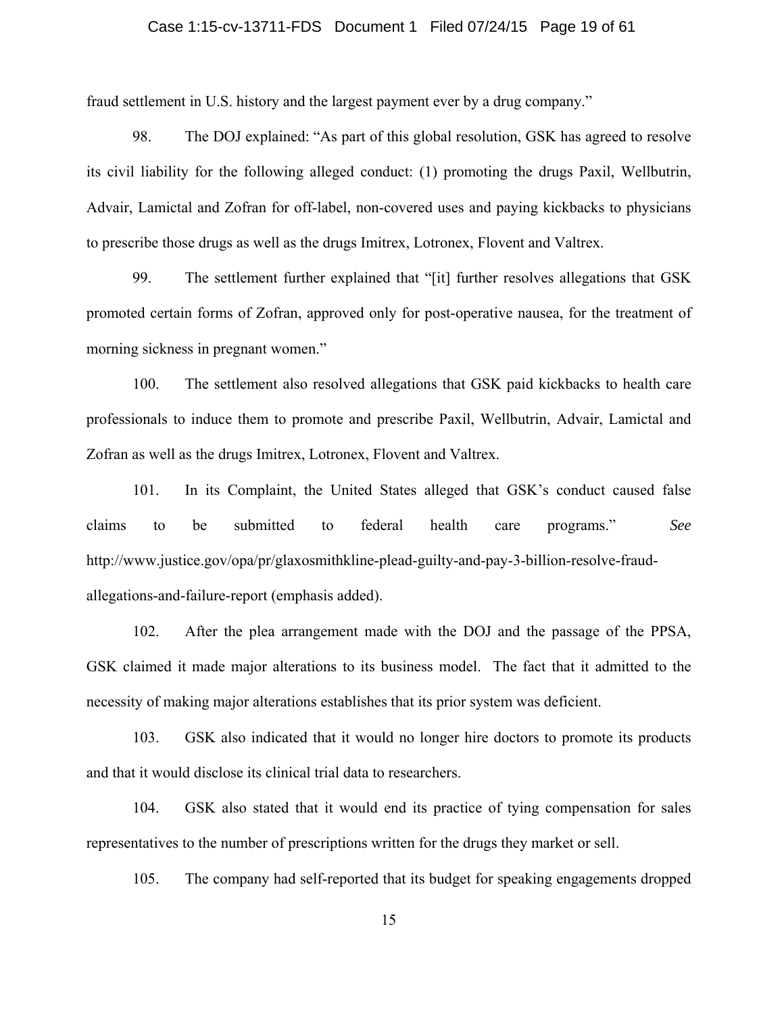#### Case 1:15-cv-13711-FDS Document 1 Filed 07/24/15 Page 19 of 61

fraud settlement in U.S. history and the largest payment ever by a drug company."

98. The DOJ explained: "As part of this global resolution, GSK has agreed to resolve its civil liability for the following alleged conduct: (1) promoting the drugs Paxil, Wellbutrin, Advair, Lamictal and Zofran for off-label, non-covered uses and paying kickbacks to physicians to prescribe those drugs as well as the drugs Imitrex, Lotronex, Flovent and Valtrex.

99. The settlement further explained that "[it] further resolves allegations that GSK promoted certain forms of Zofran, approved only for post-operative nausea, for the treatment of morning sickness in pregnant women."

100. The settlement also resolved allegations that GSK paid kickbacks to health care professionals to induce them to promote and prescribe Paxil, Wellbutrin, Advair, Lamictal and Zofran as well as the drugs Imitrex, Lotronex, Flovent and Valtrex.

101. In its Complaint, the United States alleged that GSK's conduct caused false claims to be submitted to federal health care programs." *See*  http://www.justice.gov/opa/pr/glaxosmithkline-plead-guilty-and-pay-3-billion-resolve-fraudallegations-and-failure-report (emphasis added).

102. After the plea arrangement made with the DOJ and the passage of the PPSA, GSK claimed it made major alterations to its business model. The fact that it admitted to the necessity of making major alterations establishes that its prior system was deficient.

103. GSK also indicated that it would no longer hire doctors to promote its products and that it would disclose its clinical trial data to researchers.

104. GSK also stated that it would end its practice of tying compensation for sales representatives to the number of prescriptions written for the drugs they market or sell.

105. The company had self-reported that its budget for speaking engagements dropped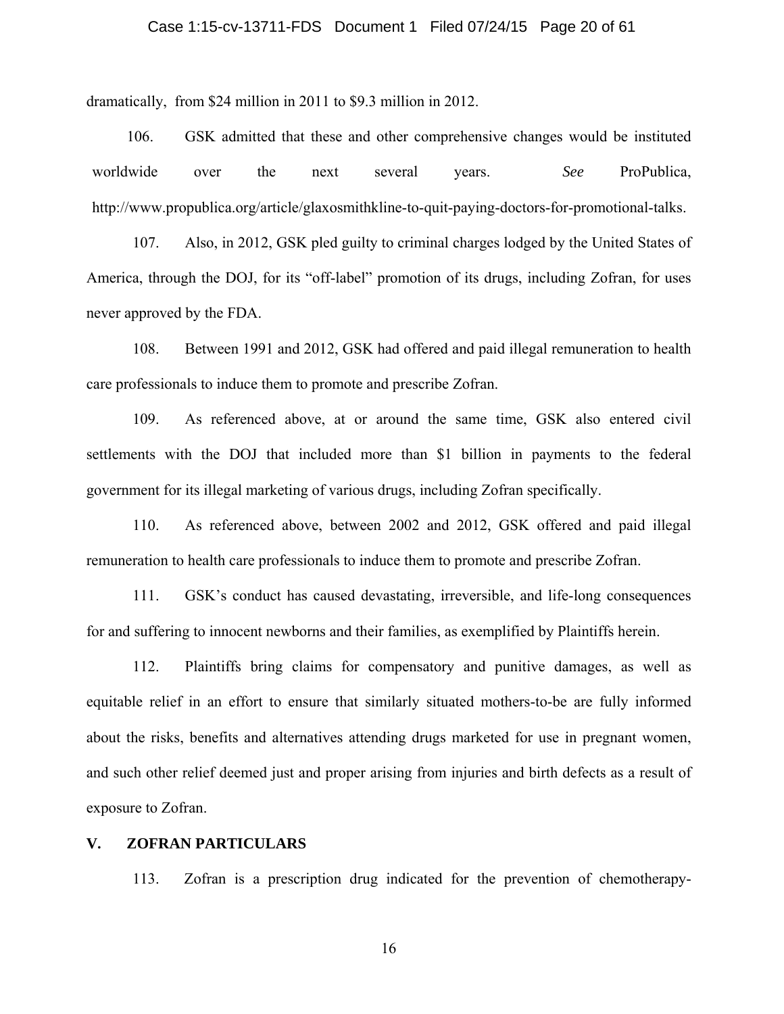#### Case 1:15-cv-13711-FDS Document 1 Filed 07/24/15 Page 20 of 61

dramatically, from \$24 million in 2011 to \$9.3 million in 2012.

106. GSK admitted that these and other comprehensive changes would be instituted worldwide over the next several years. *See* ProPublica, http://www.propublica.org/article/glaxosmithkline-to-quit-paying-doctors-for-promotional-talks.

107. Also, in 2012, GSK pled guilty to criminal charges lodged by the United States of America, through the DOJ, for its "off-label" promotion of its drugs, including Zofran, for uses never approved by the FDA.

108. Between 1991 and 2012, GSK had offered and paid illegal remuneration to health care professionals to induce them to promote and prescribe Zofran.

109. As referenced above, at or around the same time, GSK also entered civil settlements with the DOJ that included more than \$1 billion in payments to the federal government for its illegal marketing of various drugs, including Zofran specifically.

110. As referenced above, between 2002 and 2012, GSK offered and paid illegal remuneration to health care professionals to induce them to promote and prescribe Zofran.

111. GSK's conduct has caused devastating, irreversible, and life-long consequences for and suffering to innocent newborns and their families, as exemplified by Plaintiffs herein.

112. Plaintiffs bring claims for compensatory and punitive damages, as well as equitable relief in an effort to ensure that similarly situated mothers-to-be are fully informed about the risks, benefits and alternatives attending drugs marketed for use in pregnant women, and such other relief deemed just and proper arising from injuries and birth defects as a result of exposure to Zofran.

#### **V. ZOFRAN PARTICULARS**

113. Zofran is a prescription drug indicated for the prevention of chemotherapy-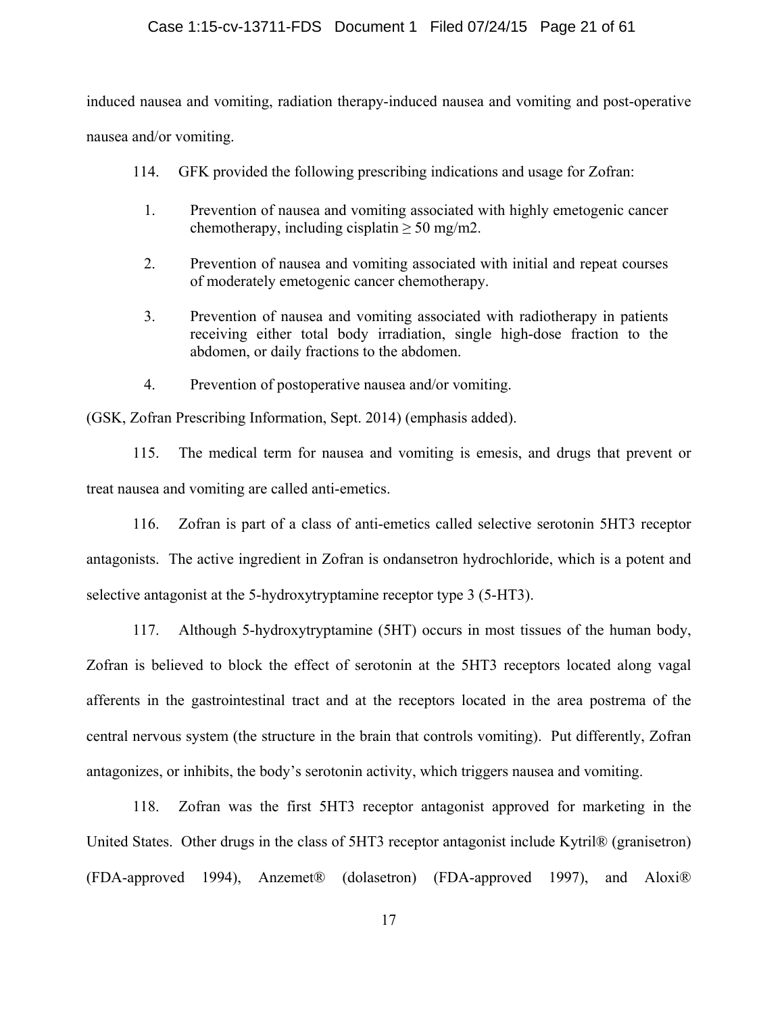induced nausea and vomiting, radiation therapy-induced nausea and vomiting and post-operative nausea and/or vomiting.

- 114. GFK provided the following prescribing indications and usage for Zofran:
	- 1. Prevention of nausea and vomiting associated with highly emetogenic cancer chemotherapy, including cisplatin  $\geq 50$  mg/m2.
	- 2. Prevention of nausea and vomiting associated with initial and repeat courses of moderately emetogenic cancer chemotherapy.
	- 3. Prevention of nausea and vomiting associated with radiotherapy in patients receiving either total body irradiation, single high-dose fraction to the abdomen, or daily fractions to the abdomen.
	- 4. Prevention of postoperative nausea and/or vomiting.

(GSK, Zofran Prescribing Information, Sept. 2014) (emphasis added).

115. The medical term for nausea and vomiting is emesis, and drugs that prevent or treat nausea and vomiting are called anti-emetics.

116. Zofran is part of a class of anti-emetics called selective serotonin 5HT3 receptor antagonists. The active ingredient in Zofran is ondansetron hydrochloride, which is a potent and selective antagonist at the 5-hydroxytryptamine receptor type 3 (5-HT3).

117. Although 5-hydroxytryptamine (5HT) occurs in most tissues of the human body, Zofran is believed to block the effect of serotonin at the 5HT3 receptors located along vagal afferents in the gastrointestinal tract and at the receptors located in the area postrema of the central nervous system (the structure in the brain that controls vomiting). Put differently, Zofran antagonizes, or inhibits, the body's serotonin activity, which triggers nausea and vomiting.

118. Zofran was the first 5HT3 receptor antagonist approved for marketing in the United States. Other drugs in the class of 5HT3 receptor antagonist include Kytril® (granisetron) (FDA-approved 1994), Anzemet® (dolasetron) (FDA-approved 1997), and Aloxi®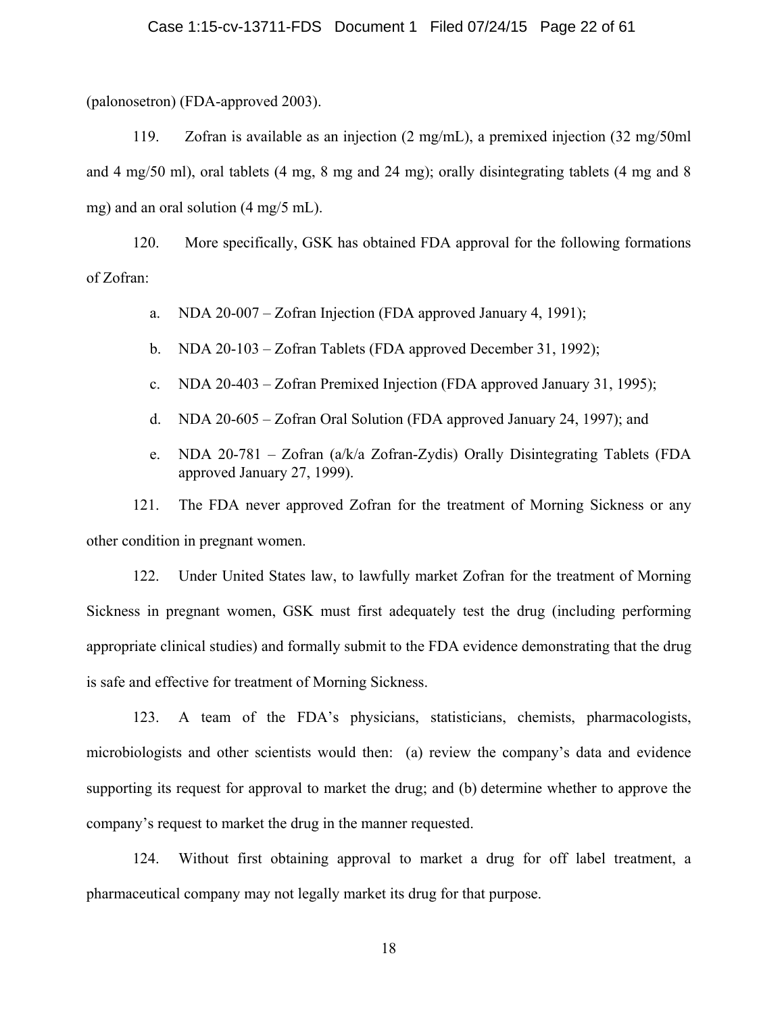(palonosetron) (FDA-approved 2003).

119. Zofran is available as an injection (2 mg/mL), a premixed injection (32 mg/50ml and 4 mg/50 ml), oral tablets (4 mg, 8 mg and 24 mg); orally disintegrating tablets (4 mg and 8 mg) and an oral solution (4 mg/5 mL).

 120. More specifically, GSK has obtained FDA approval for the following formations of Zofran:

a. NDA 20-007 – Zofran Injection (FDA approved January 4, 1991);

- b. NDA 20-103 Zofran Tablets (FDA approved December 31, 1992);
- c. NDA 20-403 Zofran Premixed Injection (FDA approved January 31, 1995);
- d. NDA 20-605 Zofran Oral Solution (FDA approved January 24, 1997); and
- e. NDA 20-781 Zofran (a/k/a Zofran-Zydis) Orally Disintegrating Tablets (FDA approved January 27, 1999).

121. The FDA never approved Zofran for the treatment of Morning Sickness or any other condition in pregnant women.

122. Under United States law, to lawfully market Zofran for the treatment of Morning Sickness in pregnant women, GSK must first adequately test the drug (including performing appropriate clinical studies) and formally submit to the FDA evidence demonstrating that the drug is safe and effective for treatment of Morning Sickness.

123. A team of the FDA's physicians, statisticians, chemists, pharmacologists, microbiologists and other scientists would then: (a) review the company's data and evidence supporting its request for approval to market the drug; and (b) determine whether to approve the company's request to market the drug in the manner requested.

124. Without first obtaining approval to market a drug for off label treatment, a pharmaceutical company may not legally market its drug for that purpose.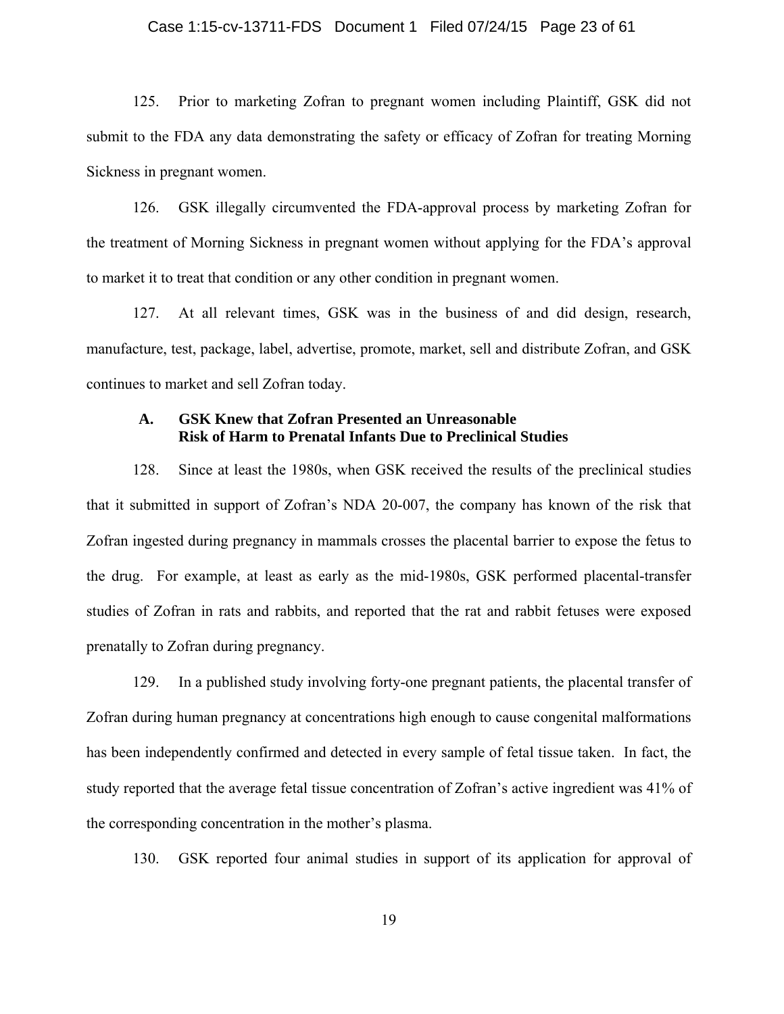#### Case 1:15-cv-13711-FDS Document 1 Filed 07/24/15 Page 23 of 61

 125. Prior to marketing Zofran to pregnant women including Plaintiff, GSK did not submit to the FDA any data demonstrating the safety or efficacy of Zofran for treating Morning Sickness in pregnant women.

 126. GSK illegally circumvented the FDA-approval process by marketing Zofran for the treatment of Morning Sickness in pregnant women without applying for the FDA's approval to market it to treat that condition or any other condition in pregnant women.

127. At all relevant times, GSK was in the business of and did design, research, manufacture, test, package, label, advertise, promote, market, sell and distribute Zofran, and GSK continues to market and sell Zofran today.

#### **A. GSK Knew that Zofran Presented an Unreasonable Risk of Harm to Prenatal Infants Due to Preclinical Studies**

128. Since at least the 1980s, when GSK received the results of the preclinical studies that it submitted in support of Zofran's NDA 20-007, the company has known of the risk that Zofran ingested during pregnancy in mammals crosses the placental barrier to expose the fetus to the drug. For example, at least as early as the mid-1980s, GSK performed placental-transfer studies of Zofran in rats and rabbits, and reported that the rat and rabbit fetuses were exposed prenatally to Zofran during pregnancy.

129. In a published study involving forty-one pregnant patients, the placental transfer of Zofran during human pregnancy at concentrations high enough to cause congenital malformations has been independently confirmed and detected in every sample of fetal tissue taken. In fact, the study reported that the average fetal tissue concentration of Zofran's active ingredient was 41% of the corresponding concentration in the mother's plasma.

130. GSK reported four animal studies in support of its application for approval of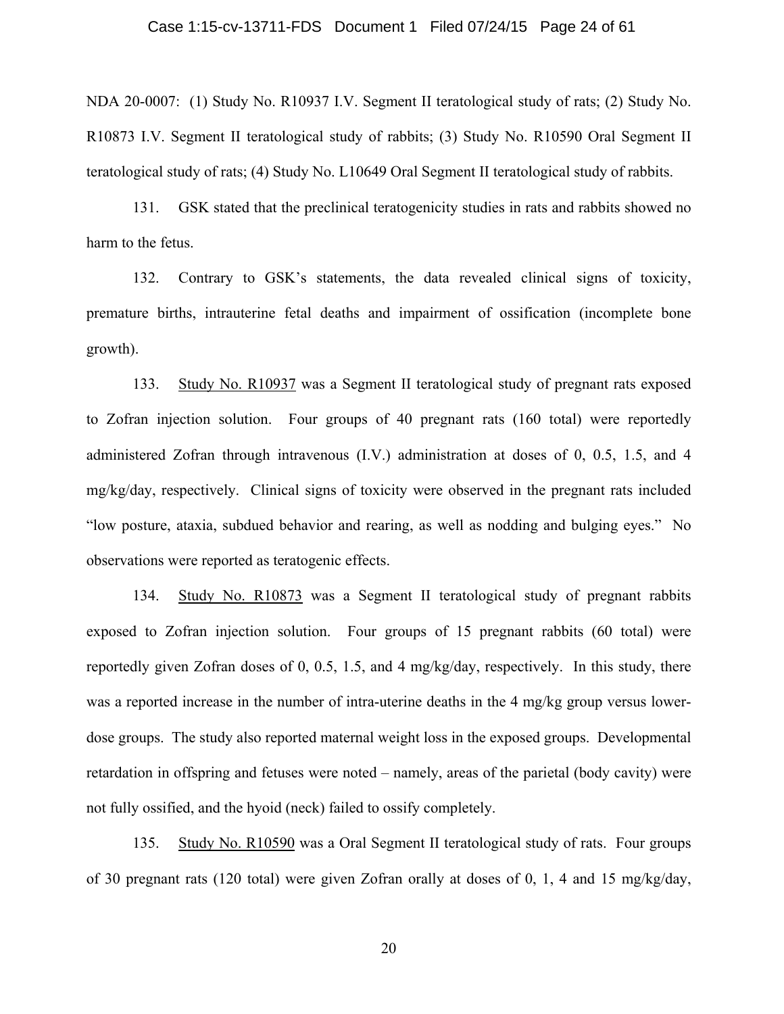#### Case 1:15-cv-13711-FDS Document 1 Filed 07/24/15 Page 24 of 61

NDA 20-0007: (1) Study No. R10937 I.V. Segment II teratological study of rats; (2) Study No. R10873 I.V. Segment II teratological study of rabbits; (3) Study No. R10590 Oral Segment II teratological study of rats; (4) Study No. L10649 Oral Segment II teratological study of rabbits.

131. GSK stated that the preclinical teratogenicity studies in rats and rabbits showed no harm to the fetus.

132. Contrary to GSK's statements, the data revealed clinical signs of toxicity, premature births, intrauterine fetal deaths and impairment of ossification (incomplete bone growth).

133. Study No. R10937 was a Segment II teratological study of pregnant rats exposed to Zofran injection solution. Four groups of 40 pregnant rats (160 total) were reportedly administered Zofran through intravenous (I.V.) administration at doses of 0, 0.5, 1.5, and 4 mg/kg/day, respectively. Clinical signs of toxicity were observed in the pregnant rats included "low posture, ataxia, subdued behavior and rearing, as well as nodding and bulging eyes." No observations were reported as teratogenic effects.

134. Study No. R10873 was a Segment II teratological study of pregnant rabbits exposed to Zofran injection solution. Four groups of 15 pregnant rabbits (60 total) were reportedly given Zofran doses of 0, 0.5, 1.5, and 4 mg/kg/day, respectively. In this study, there was a reported increase in the number of intra-uterine deaths in the 4 mg/kg group versus lowerdose groups. The study also reported maternal weight loss in the exposed groups. Developmental retardation in offspring and fetuses were noted – namely, areas of the parietal (body cavity) were not fully ossified, and the hyoid (neck) failed to ossify completely.

135. Study No. R10590 was a Oral Segment II teratological study of rats. Four groups of 30 pregnant rats (120 total) were given Zofran orally at doses of 0, 1, 4 and 15 mg/kg/day,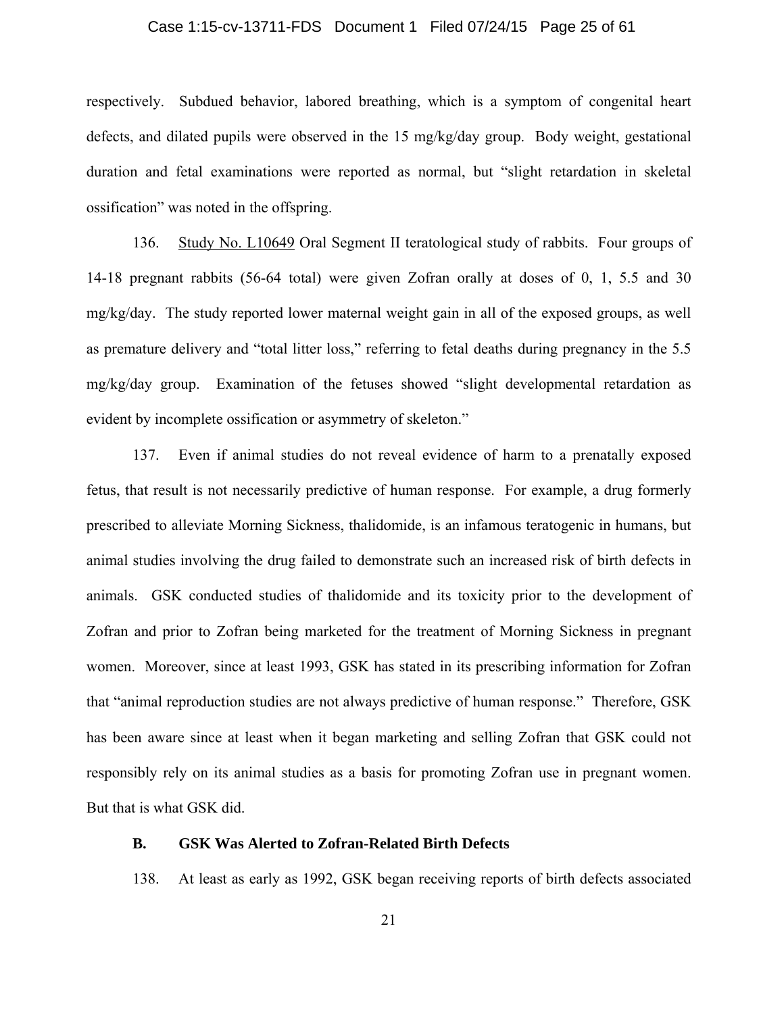#### Case 1:15-cv-13711-FDS Document 1 Filed 07/24/15 Page 25 of 61

respectively. Subdued behavior, labored breathing, which is a symptom of congenital heart defects, and dilated pupils were observed in the 15 mg/kg/day group. Body weight, gestational duration and fetal examinations were reported as normal, but "slight retardation in skeletal ossification" was noted in the offspring.

136. Study No. L10649 Oral Segment II teratological study of rabbits. Four groups of 14-18 pregnant rabbits (56-64 total) were given Zofran orally at doses of 0, 1, 5.5 and 30 mg/kg/day. The study reported lower maternal weight gain in all of the exposed groups, as well as premature delivery and "total litter loss," referring to fetal deaths during pregnancy in the 5.5 mg/kg/day group. Examination of the fetuses showed "slight developmental retardation as evident by incomplete ossification or asymmetry of skeleton."

137. Even if animal studies do not reveal evidence of harm to a prenatally exposed fetus, that result is not necessarily predictive of human response. For example, a drug formerly prescribed to alleviate Morning Sickness, thalidomide, is an infamous teratogenic in humans, but animal studies involving the drug failed to demonstrate such an increased risk of birth defects in animals. GSK conducted studies of thalidomide and its toxicity prior to the development of Zofran and prior to Zofran being marketed for the treatment of Morning Sickness in pregnant women. Moreover, since at least 1993, GSK has stated in its prescribing information for Zofran that "animal reproduction studies are not always predictive of human response." Therefore, GSK has been aware since at least when it began marketing and selling Zofran that GSK could not responsibly rely on its animal studies as a basis for promoting Zofran use in pregnant women. But that is what GSK did.

#### **B. GSK Was Alerted to Zofran-Related Birth Defects**

138. At least as early as 1992, GSK began receiving reports of birth defects associated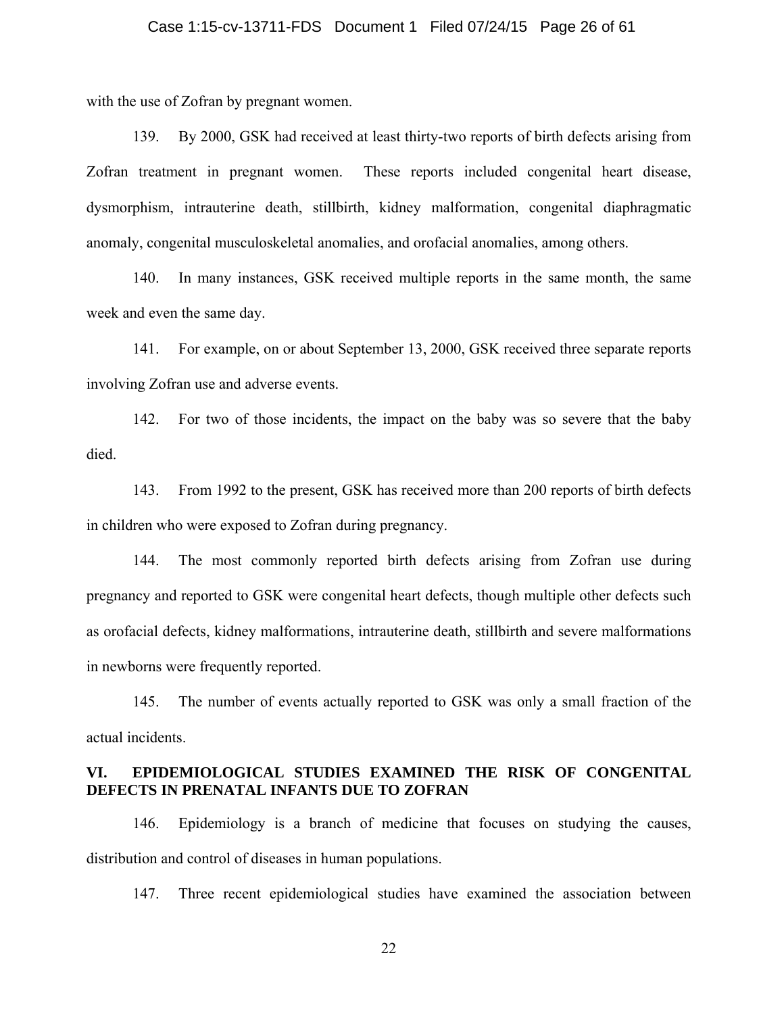#### Case 1:15-cv-13711-FDS Document 1 Filed 07/24/15 Page 26 of 61

with the use of Zofran by pregnant women.

139. By 2000, GSK had received at least thirty-two reports of birth defects arising from Zofran treatment in pregnant women. These reports included congenital heart disease, dysmorphism, intrauterine death, stillbirth, kidney malformation, congenital diaphragmatic anomaly, congenital musculoskeletal anomalies, and orofacial anomalies, among others.

140. In many instances, GSK received multiple reports in the same month, the same week and even the same day.

141. For example, on or about September 13, 2000, GSK received three separate reports involving Zofran use and adverse events.

142. For two of those incidents, the impact on the baby was so severe that the baby died.

143. From 1992 to the present, GSK has received more than 200 reports of birth defects in children who were exposed to Zofran during pregnancy.

144. The most commonly reported birth defects arising from Zofran use during pregnancy and reported to GSK were congenital heart defects, though multiple other defects such as orofacial defects, kidney malformations, intrauterine death, stillbirth and severe malformations in newborns were frequently reported.

145. The number of events actually reported to GSK was only a small fraction of the actual incidents.

#### **VI. EPIDEMIOLOGICAL STUDIES EXAMINED THE RISK OF CONGENITAL DEFECTS IN PRENATAL INFANTS DUE TO ZOFRAN**

146. Epidemiology is a branch of medicine that focuses on studying the causes, distribution and control of diseases in human populations.

147. Three recent epidemiological studies have examined the association between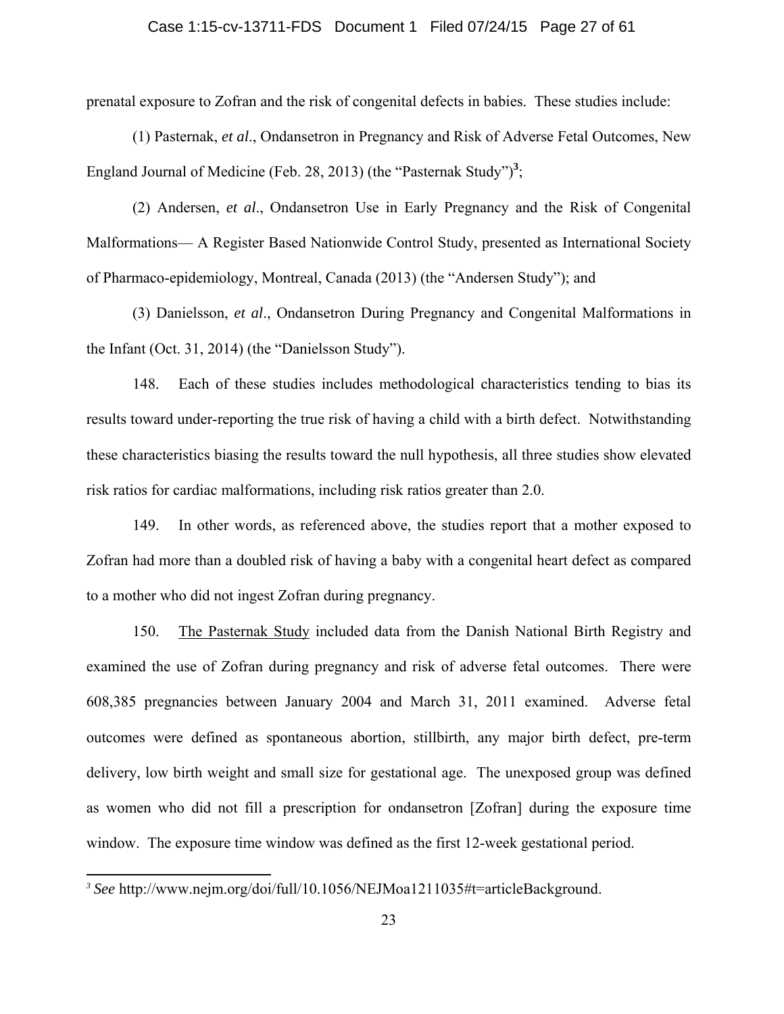#### Case 1:15-cv-13711-FDS Document 1 Filed 07/24/15 Page 27 of 61

prenatal exposure to Zofran and the risk of congenital defects in babies. These studies include:

(1) Pasternak, *et al*., Ondansetron in Pregnancy and Risk of Adverse Fetal Outcomes, New England Journal of Medicine (Feb. 28, 2013) (the "Pasternak Study")<sup>3</sup>;

(2) Andersen, *et al*., Ondansetron Use in Early Pregnancy and the Risk of Congenital Malformations— A Register Based Nationwide Control Study, presented as International Society of Pharmaco-epidemiology, Montreal, Canada (2013) (the "Andersen Study"); and

(3) Danielsson, *et al*., Ondansetron During Pregnancy and Congenital Malformations in the Infant (Oct. 31, 2014) (the "Danielsson Study").

148. Each of these studies includes methodological characteristics tending to bias its results toward under-reporting the true risk of having a child with a birth defect. Notwithstanding these characteristics biasing the results toward the null hypothesis, all three studies show elevated risk ratios for cardiac malformations, including risk ratios greater than 2.0.

149. In other words, as referenced above, the studies report that a mother exposed to Zofran had more than a doubled risk of having a baby with a congenital heart defect as compared to a mother who did not ingest Zofran during pregnancy.

150. The Pasternak Study included data from the Danish National Birth Registry and examined the use of Zofran during pregnancy and risk of adverse fetal outcomes. There were 608,385 pregnancies between January 2004 and March 31, 2011 examined. Adverse fetal outcomes were defined as spontaneous abortion, stillbirth, any major birth defect, pre-term delivery, low birth weight and small size for gestational age. The unexposed group was defined as women who did not fill a prescription for ondansetron [Zofran] during the exposure time window. The exposure time window was defined as the first 12-week gestational period.

 $\overline{a}$ 

*<sup>3</sup> See* http://www.nejm.org/doi/full/10.1056/NEJMoa1211035#t=articleBackground.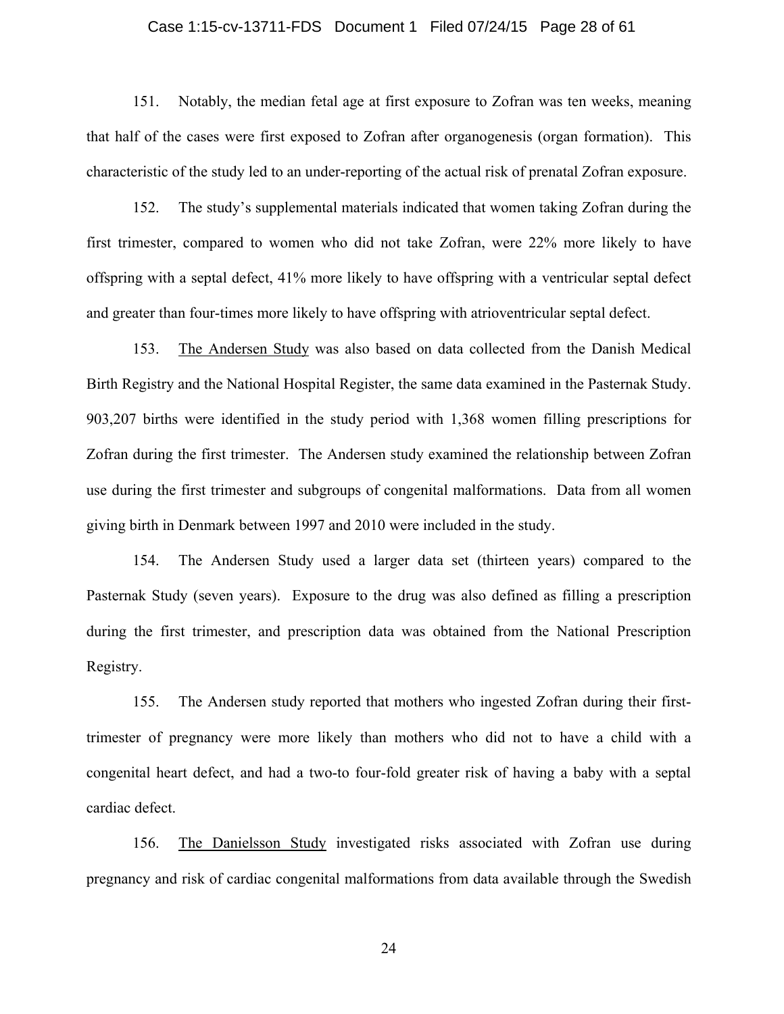#### Case 1:15-cv-13711-FDS Document 1 Filed 07/24/15 Page 28 of 61

151. Notably, the median fetal age at first exposure to Zofran was ten weeks, meaning that half of the cases were first exposed to Zofran after organogenesis (organ formation). This characteristic of the study led to an under-reporting of the actual risk of prenatal Zofran exposure.

152. The study's supplemental materials indicated that women taking Zofran during the first trimester, compared to women who did not take Zofran, were 22% more likely to have offspring with a septal defect, 41% more likely to have offspring with a ventricular septal defect and greater than four-times more likely to have offspring with atrioventricular septal defect.

153. The Andersen Study was also based on data collected from the Danish Medical Birth Registry and the National Hospital Register, the same data examined in the Pasternak Study. 903,207 births were identified in the study period with 1,368 women filling prescriptions for Zofran during the first trimester. The Andersen study examined the relationship between Zofran use during the first trimester and subgroups of congenital malformations. Data from all women giving birth in Denmark between 1997 and 2010 were included in the study.

154. The Andersen Study used a larger data set (thirteen years) compared to the Pasternak Study (seven years). Exposure to the drug was also defined as filling a prescription during the first trimester, and prescription data was obtained from the National Prescription Registry.

155. The Andersen study reported that mothers who ingested Zofran during their firsttrimester of pregnancy were more likely than mothers who did not to have a child with a congenital heart defect, and had a two-to four-fold greater risk of having a baby with a septal cardiac defect.

156. The Danielsson Study investigated risks associated with Zofran use during pregnancy and risk of cardiac congenital malformations from data available through the Swedish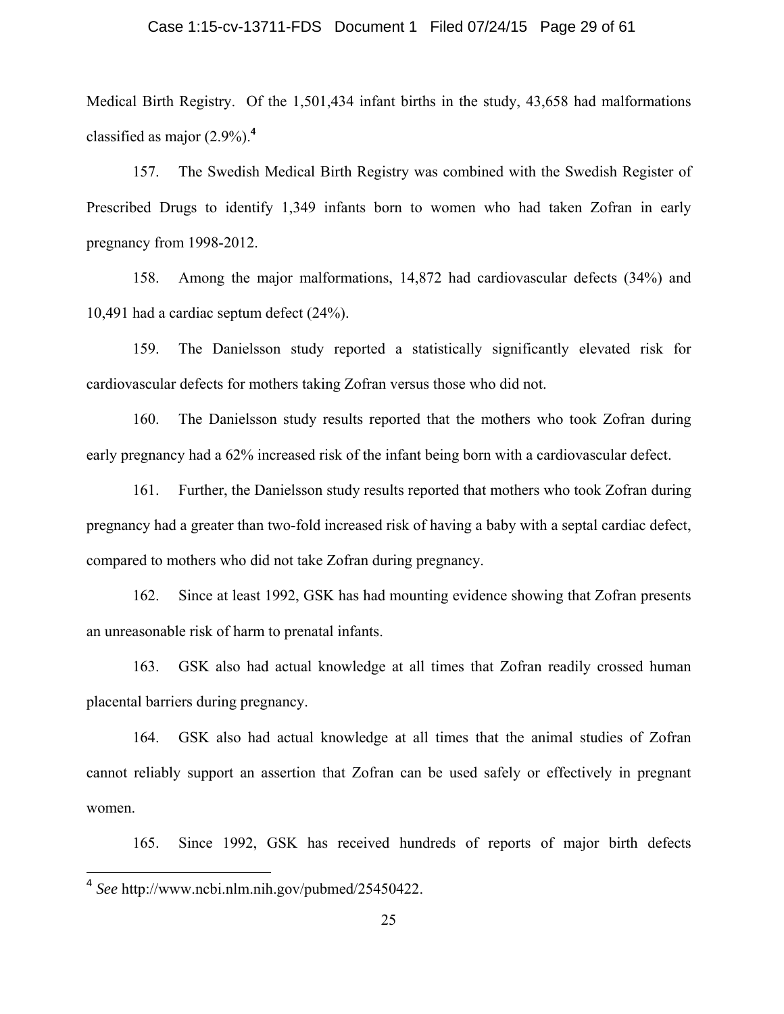#### Case 1:15-cv-13711-FDS Document 1 Filed 07/24/15 Page 29 of 61

Medical Birth Registry. Of the 1,501,434 infant births in the study, 43,658 had malformations classified as major (2.9%).**<sup>4</sup>**

157. The Swedish Medical Birth Registry was combined with the Swedish Register of Prescribed Drugs to identify 1,349 infants born to women who had taken Zofran in early pregnancy from 1998-2012.

158. Among the major malformations, 14,872 had cardiovascular defects (34%) and 10,491 had a cardiac septum defect (24%).

159. The Danielsson study reported a statistically significantly elevated risk for cardiovascular defects for mothers taking Zofran versus those who did not.

160. The Danielsson study results reported that the mothers who took Zofran during early pregnancy had a 62% increased risk of the infant being born with a cardiovascular defect.

161. Further, the Danielsson study results reported that mothers who took Zofran during pregnancy had a greater than two-fold increased risk of having a baby with a septal cardiac defect, compared to mothers who did not take Zofran during pregnancy.

162. Since at least 1992, GSK has had mounting evidence showing that Zofran presents an unreasonable risk of harm to prenatal infants.

163. GSK also had actual knowledge at all times that Zofran readily crossed human placental barriers during pregnancy.

164. GSK also had actual knowledge at all times that the animal studies of Zofran cannot reliably support an assertion that Zofran can be used safely or effectively in pregnant women.

165. Since 1992, GSK has received hundreds of reports of major birth defects

<sup>4</sup> *See* http://www.ncbi.nlm.nih.gov/pubmed/25450422.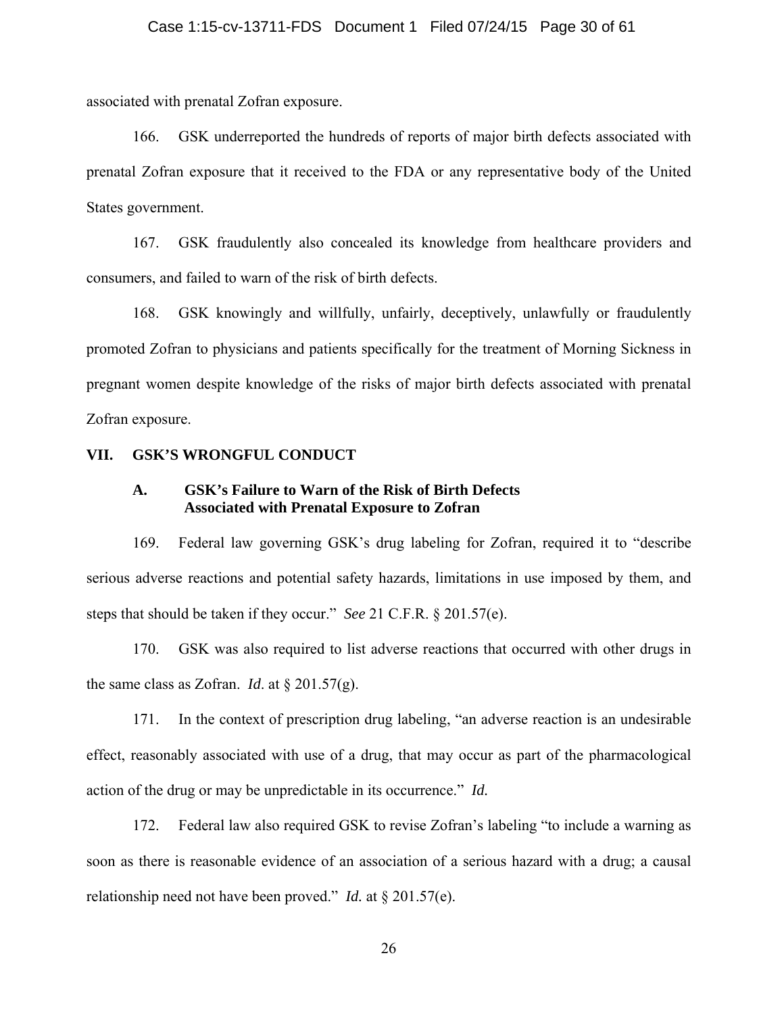#### Case 1:15-cv-13711-FDS Document 1 Filed 07/24/15 Page 30 of 61

associated with prenatal Zofran exposure.

166. GSK underreported the hundreds of reports of major birth defects associated with prenatal Zofran exposure that it received to the FDA or any representative body of the United States government.

167. GSK fraudulently also concealed its knowledge from healthcare providers and consumers, and failed to warn of the risk of birth defects.

168. GSK knowingly and willfully, unfairly, deceptively, unlawfully or fraudulently promoted Zofran to physicians and patients specifically for the treatment of Morning Sickness in pregnant women despite knowledge of the risks of major birth defects associated with prenatal Zofran exposure.

#### **VII. GSK'S WRONGFUL CONDUCT**

#### **A. GSK's Failure to Warn of the Risk of Birth Defects Associated with Prenatal Exposure to Zofran**

169. Federal law governing GSK's drug labeling for Zofran, required it to "describe serious adverse reactions and potential safety hazards, limitations in use imposed by them, and steps that should be taken if they occur." *See* 21 C.F.R. § 201.57(e).

170. GSK was also required to list adverse reactions that occurred with other drugs in the same class as Zofran. *Id.* at  $\S 201.57(g)$ .

171. In the context of prescription drug labeling, "an adverse reaction is an undesirable effect, reasonably associated with use of a drug, that may occur as part of the pharmacological action of the drug or may be unpredictable in its occurrence." *Id.*

172. Federal law also required GSK to revise Zofran's labeling "to include a warning as soon as there is reasonable evidence of an association of a serious hazard with a drug; a causal relationship need not have been proved." *Id.* at § 201.57(e).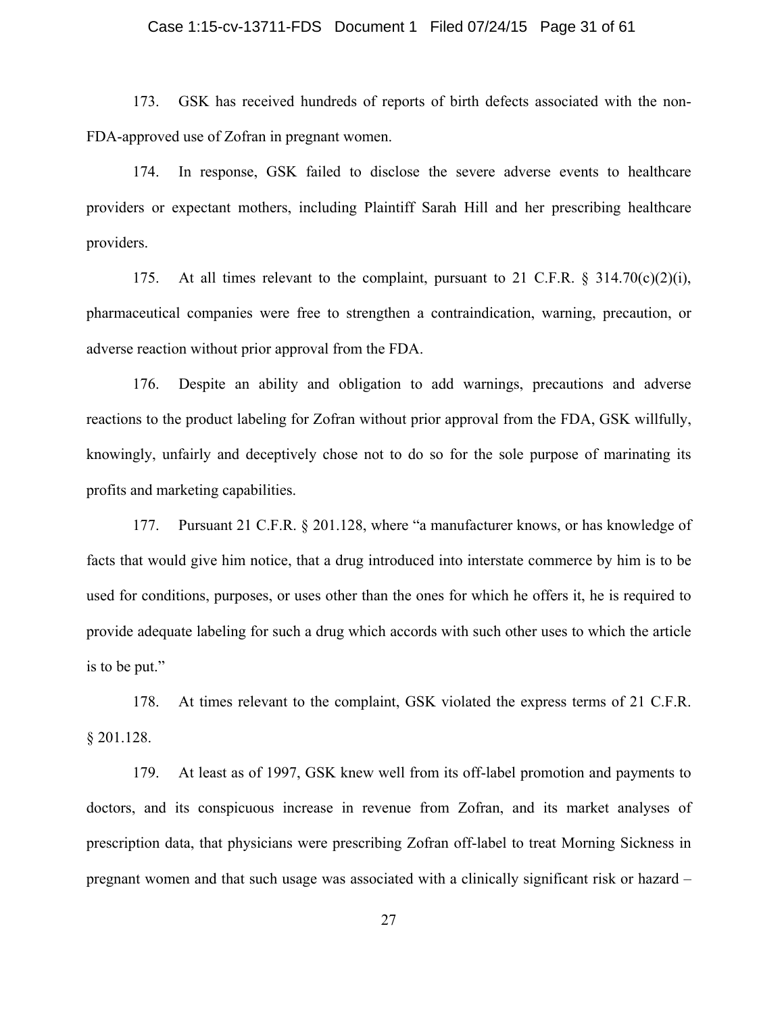#### Case 1:15-cv-13711-FDS Document 1 Filed 07/24/15 Page 31 of 61

173. GSK has received hundreds of reports of birth defects associated with the non-FDA-approved use of Zofran in pregnant women.

174. In response, GSK failed to disclose the severe adverse events to healthcare providers or expectant mothers, including Plaintiff Sarah Hill and her prescribing healthcare providers.

175. At all times relevant to the complaint, pursuant to 21 C.F.R.  $\S$  314.70(c)(2)(i), pharmaceutical companies were free to strengthen a contraindication, warning, precaution, or adverse reaction without prior approval from the FDA.

176. Despite an ability and obligation to add warnings, precautions and adverse reactions to the product labeling for Zofran without prior approval from the FDA, GSK willfully, knowingly, unfairly and deceptively chose not to do so for the sole purpose of marinating its profits and marketing capabilities.

177. Pursuant 21 C.F.R. § 201.128, where "a manufacturer knows, or has knowledge of facts that would give him notice, that a drug introduced into interstate commerce by him is to be used for conditions, purposes, or uses other than the ones for which he offers it, he is required to provide adequate labeling for such a drug which accords with such other uses to which the article is to be put."

178. At times relevant to the complaint, GSK violated the express terms of 21 C.F.R. § 201.128.

179. At least as of 1997, GSK knew well from its off-label promotion and payments to doctors, and its conspicuous increase in revenue from Zofran, and its market analyses of prescription data, that physicians were prescribing Zofran off-label to treat Morning Sickness in pregnant women and that such usage was associated with a clinically significant risk or hazard –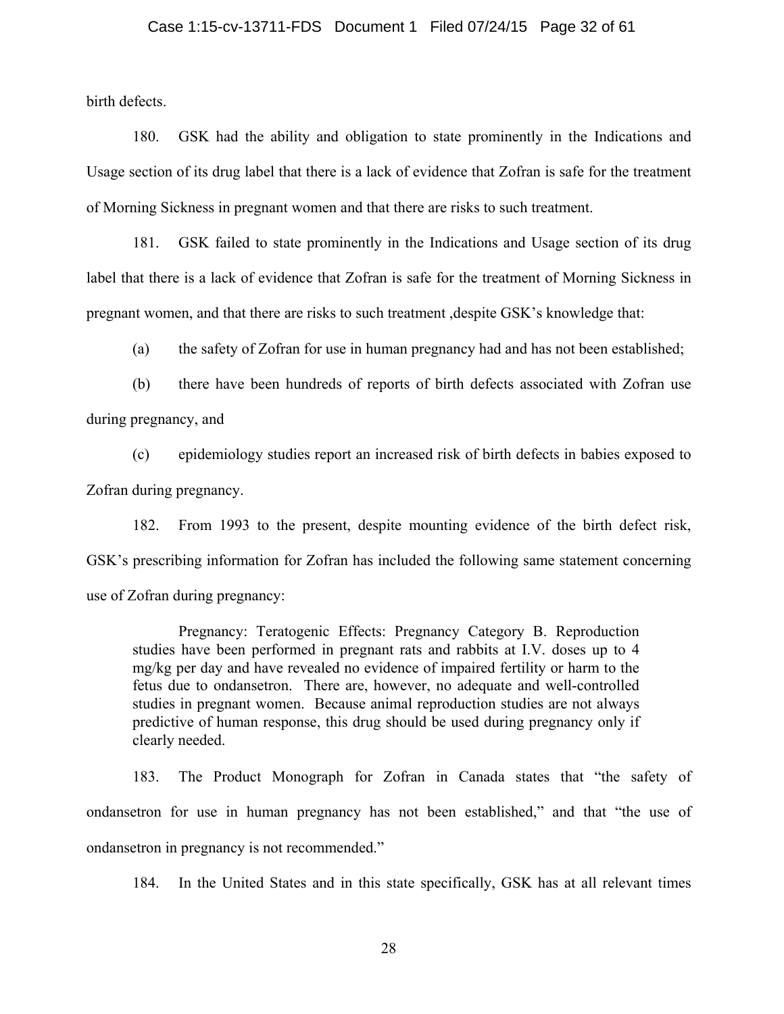#### Case 1:15-cv-13711-FDS Document 1 Filed 07/24/15 Page 32 of 61

birth defects.

180. GSK had the ability and obligation to state prominently in the Indications and Usage section of its drug label that there is a lack of evidence that Zofran is safe for the treatment of Morning Sickness in pregnant women and that there are risks to such treatment.

181. GSK failed to state prominently in the Indications and Usage section of its drug label that there is a lack of evidence that Zofran is safe for the treatment of Morning Sickness in pregnant women, and that there are risks to such treatment ,despite GSK's knowledge that:

(a) the safety of Zofran for use in human pregnancy had and has not been established;

(b) there have been hundreds of reports of birth defects associated with Zofran use during pregnancy, and

(c) epidemiology studies report an increased risk of birth defects in babies exposed to Zofran during pregnancy.

182. From 1993 to the present, despite mounting evidence of the birth defect risk, GSK's prescribing information for Zofran has included the following same statement concerning use of Zofran during pregnancy:

Pregnancy: Teratogenic Effects: Pregnancy Category B. Reproduction studies have been performed in pregnant rats and rabbits at I.V. doses up to 4 mg/kg per day and have revealed no evidence of impaired fertility or harm to the fetus due to ondansetron. There are, however, no adequate and well-controlled studies in pregnant women. Because animal reproduction studies are not always predictive of human response, this drug should be used during pregnancy only if clearly needed.

183. The Product Monograph for Zofran in Canada states that "the safety of ondansetron for use in human pregnancy has not been established," and that "the use of ondansetron in pregnancy is not recommended."

184. In the United States and in this state specifically, GSK has at all relevant times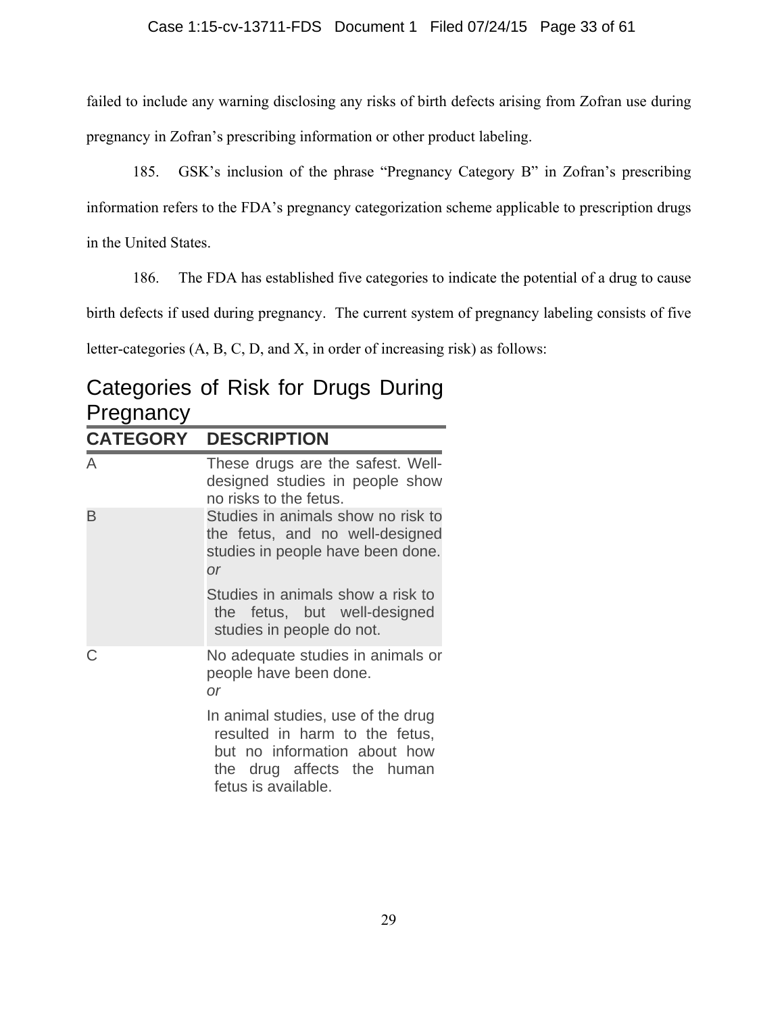failed to include any warning disclosing any risks of birth defects arising from Zofran use during pregnancy in Zofran's prescribing information or other product labeling.

185. GSK's inclusion of the phrase "Pregnancy Category B" in Zofran's prescribing information refers to the FDA's pregnancy categorization scheme applicable to prescription drugs in the United States.

186. The FDA has established five categories to indicate the potential of a drug to cause

birth defects if used during pregnancy. The current system of pregnancy labeling consists of five

letter-categories (A, B, C, D, and X, in order of increasing risk) as follows:

## Categories of Risk for Drugs During **Pregnancy CATEGORY DESCRIPTION**

| A | These drugs are the safest. Well-<br>designed studies in people show<br>no risks to the fetus.                                                            |
|---|-----------------------------------------------------------------------------------------------------------------------------------------------------------|
| B | Studies in animals show no risk to<br>the fetus, and no well-designed<br>studies in people have been done.<br><b>or</b>                                   |
|   | Studies in animals show a risk to<br>the fetus, but well-designed<br>studies in people do not.                                                            |
|   | No adequate studies in animals or<br>people have been done.<br>or                                                                                         |
|   | In animal studies, use of the drug<br>resulted in harm to the fetus,<br>but no information about how<br>the drug affects the human<br>fetus is available. |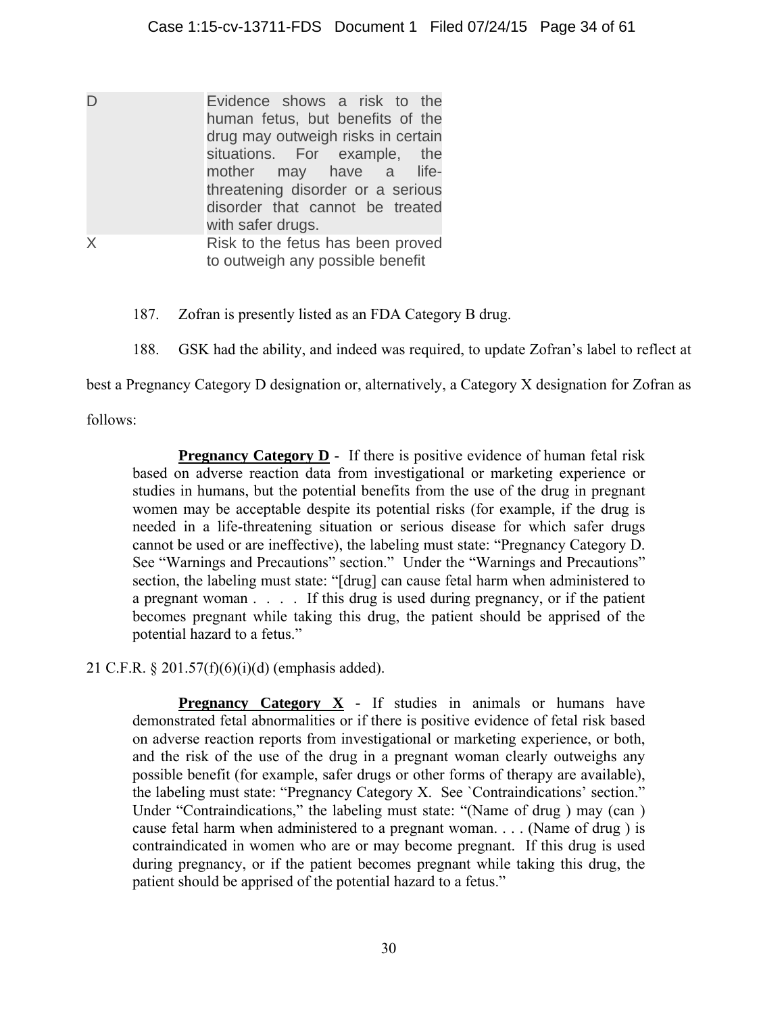| D | Evidence shows a risk to the       |
|---|------------------------------------|
|   | human fetus, but benefits of the   |
|   | drug may outweigh risks in certain |
|   | situations. For example, the       |
|   | mother may have a life-            |
|   | threatening disorder or a serious  |
|   | disorder that cannot be treated    |
|   | with safer drugs.                  |
| X | Risk to the fetus has been proved  |
|   | to outweigh any possible benefit   |

- 187. Zofran is presently listed as an FDA Category B drug.
- 188. GSK had the ability, and indeed was required, to update Zofran's label to reflect at

best a Pregnancy Category D designation or, alternatively, a Category X designation for Zofran as

follows:

**Pregnancy Category D** - If there is positive evidence of human fetal risk based on adverse reaction data from investigational or marketing experience or studies in humans, but the potential benefits from the use of the drug in pregnant women may be acceptable despite its potential risks (for example, if the drug is needed in a life-threatening situation or serious disease for which safer drugs cannot be used or are ineffective), the labeling must state: "Pregnancy Category D. See "Warnings and Precautions" section." Under the "Warnings and Precautions" section, the labeling must state: "[drug] can cause fetal harm when administered to a pregnant woman . . . . If this drug is used during pregnancy, or if the patient becomes pregnant while taking this drug, the patient should be apprised of the potential hazard to a fetus."

21 C.F.R. § 201.57(f)(6)(i)(d) (emphasis added).

**Pregnancy Category X** - If studies in animals or humans have demonstrated fetal abnormalities or if there is positive evidence of fetal risk based on adverse reaction reports from investigational or marketing experience, or both, and the risk of the use of the drug in a pregnant woman clearly outweighs any possible benefit (for example, safer drugs or other forms of therapy are available), the labeling must state: "Pregnancy Category X. See `Contraindications' section." Under "Contraindications," the labeling must state: "(Name of drug ) may (can ) cause fetal harm when administered to a pregnant woman. . . . (Name of drug ) is contraindicated in women who are or may become pregnant. If this drug is used during pregnancy, or if the patient becomes pregnant while taking this drug, the patient should be apprised of the potential hazard to a fetus."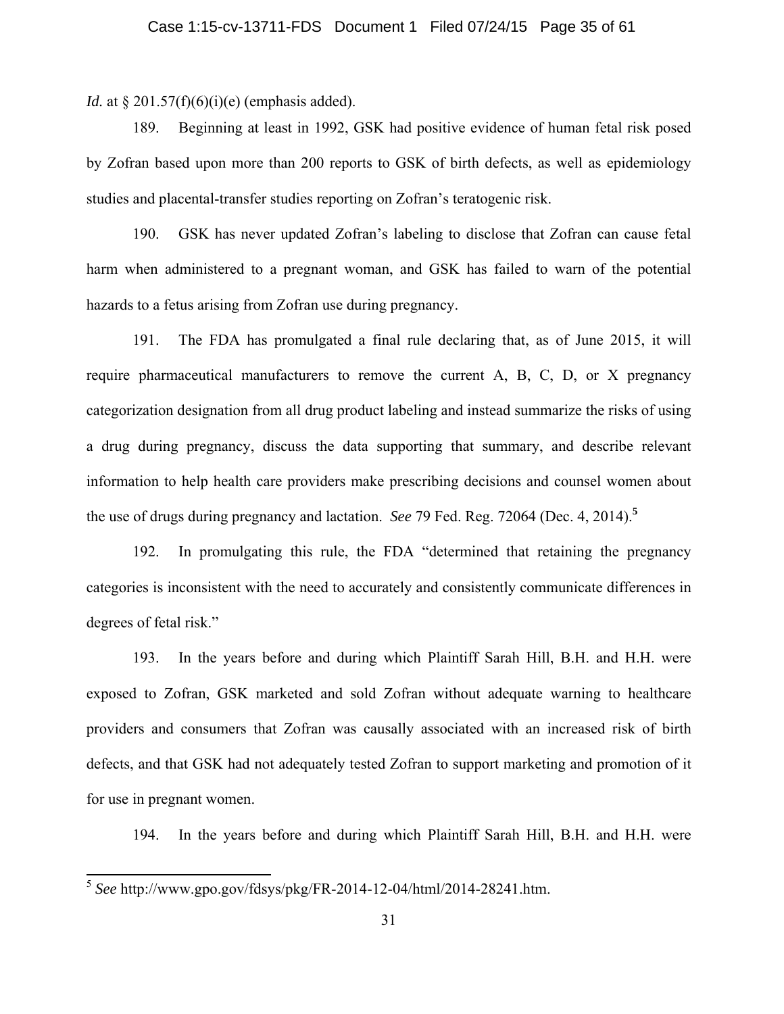#### Case 1:15-cv-13711-FDS Document 1 Filed 07/24/15 Page 35 of 61

*Id.* at § 201.57(f)(6)(i)(e) (emphasis added).

189. Beginning at least in 1992, GSK had positive evidence of human fetal risk posed by Zofran based upon more than 200 reports to GSK of birth defects, as well as epidemiology studies and placental-transfer studies reporting on Zofran's teratogenic risk.

190. GSK has never updated Zofran's labeling to disclose that Zofran can cause fetal harm when administered to a pregnant woman, and GSK has failed to warn of the potential hazards to a fetus arising from Zofran use during pregnancy.

191. The FDA has promulgated a final rule declaring that, as of June 2015, it will require pharmaceutical manufacturers to remove the current A, B, C, D, or X pregnancy categorization designation from all drug product labeling and instead summarize the risks of using a drug during pregnancy, discuss the data supporting that summary, and describe relevant information to help health care providers make prescribing decisions and counsel women about the use of drugs during pregnancy and lactation. *See* 79 Fed. Reg. 72064 (Dec. 4, 2014).**<sup>5</sup>**

192. In promulgating this rule, the FDA "determined that retaining the pregnancy categories is inconsistent with the need to accurately and consistently communicate differences in degrees of fetal risk."

193. In the years before and during which Plaintiff Sarah Hill, B.H. and H.H. were exposed to Zofran, GSK marketed and sold Zofran without adequate warning to healthcare providers and consumers that Zofran was causally associated with an increased risk of birth defects, and that GSK had not adequately tested Zofran to support marketing and promotion of it for use in pregnant women.

194. In the years before and during which Plaintiff Sarah Hill, B.H. and H.H. were

 $\overline{a}$ 

<sup>5</sup> *See* http://www.gpo.gov/fdsys/pkg/FR-2014-12-04/html/2014-28241.htm.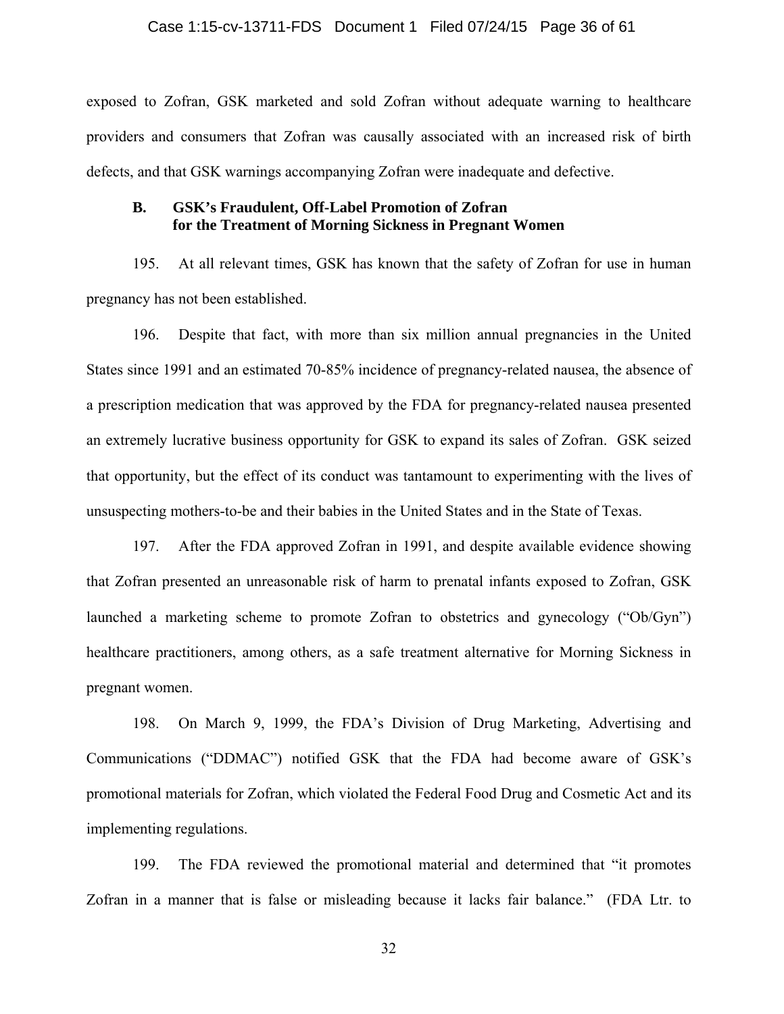#### Case 1:15-cv-13711-FDS Document 1 Filed 07/24/15 Page 36 of 61

exposed to Zofran, GSK marketed and sold Zofran without adequate warning to healthcare providers and consumers that Zofran was causally associated with an increased risk of birth defects, and that GSK warnings accompanying Zofran were inadequate and defective.

#### **B. GSK's Fraudulent, Off-Label Promotion of Zofran for the Treatment of Morning Sickness in Pregnant Women**

195. At all relevant times, GSK has known that the safety of Zofran for use in human pregnancy has not been established.

196. Despite that fact, with more than six million annual pregnancies in the United States since 1991 and an estimated 70-85% incidence of pregnancy-related nausea, the absence of a prescription medication that was approved by the FDA for pregnancy-related nausea presented an extremely lucrative business opportunity for GSK to expand its sales of Zofran. GSK seized that opportunity, but the effect of its conduct was tantamount to experimenting with the lives of unsuspecting mothers-to-be and their babies in the United States and in the State of Texas.

197. After the FDA approved Zofran in 1991, and despite available evidence showing that Zofran presented an unreasonable risk of harm to prenatal infants exposed to Zofran, GSK launched a marketing scheme to promote Zofran to obstetrics and gynecology ("Ob/Gyn") healthcare practitioners, among others, as a safe treatment alternative for Morning Sickness in pregnant women.

198. On March 9, 1999, the FDA's Division of Drug Marketing, Advertising and Communications ("DDMAC") notified GSK that the FDA had become aware of GSK's promotional materials for Zofran, which violated the Federal Food Drug and Cosmetic Act and its implementing regulations.

199. The FDA reviewed the promotional material and determined that "it promotes Zofran in a manner that is false or misleading because it lacks fair balance." (FDA Ltr. to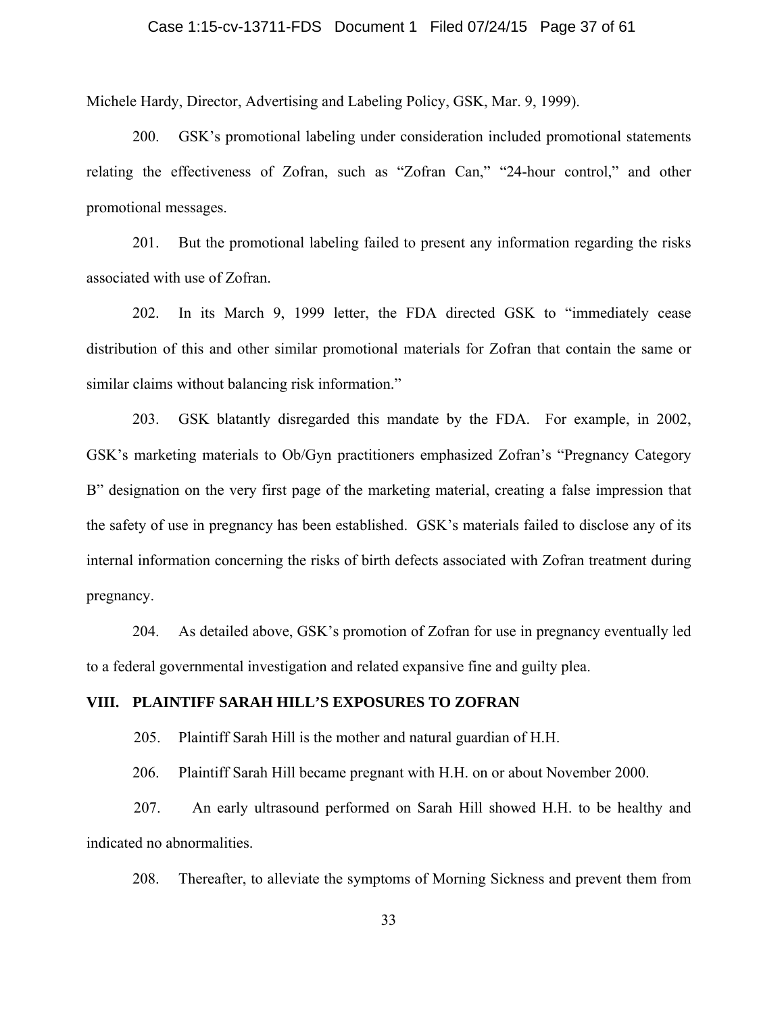#### Case 1:15-cv-13711-FDS Document 1 Filed 07/24/15 Page 37 of 61

Michele Hardy, Director, Advertising and Labeling Policy, GSK, Mar. 9, 1999).

200. GSK's promotional labeling under consideration included promotional statements relating the effectiveness of Zofran, such as "Zofran Can," "24-hour control," and other promotional messages.

201. But the promotional labeling failed to present any information regarding the risks associated with use of Zofran.

202. In its March 9, 1999 letter, the FDA directed GSK to "immediately cease distribution of this and other similar promotional materials for Zofran that contain the same or similar claims without balancing risk information."

203. GSK blatantly disregarded this mandate by the FDA. For example, in 2002, GSK's marketing materials to Ob/Gyn practitioners emphasized Zofran's "Pregnancy Category B" designation on the very first page of the marketing material, creating a false impression that the safety of use in pregnancy has been established. GSK's materials failed to disclose any of its internal information concerning the risks of birth defects associated with Zofran treatment during pregnancy.

204. As detailed above, GSK's promotion of Zofran for use in pregnancy eventually led to a federal governmental investigation and related expansive fine and guilty plea.

#### **VIII. PLAINTIFF SARAH HILL'S EXPOSURES TO ZOFRAN**

205. Plaintiff Sarah Hill is the mother and natural guardian of H.H.

206. Plaintiff Sarah Hill became pregnant with H.H. on or about November 2000.

 207. An early ultrasound performed on Sarah Hill showed H.H. to be healthy and indicated no abnormalities.

208. Thereafter, to alleviate the symptoms of Morning Sickness and prevent them from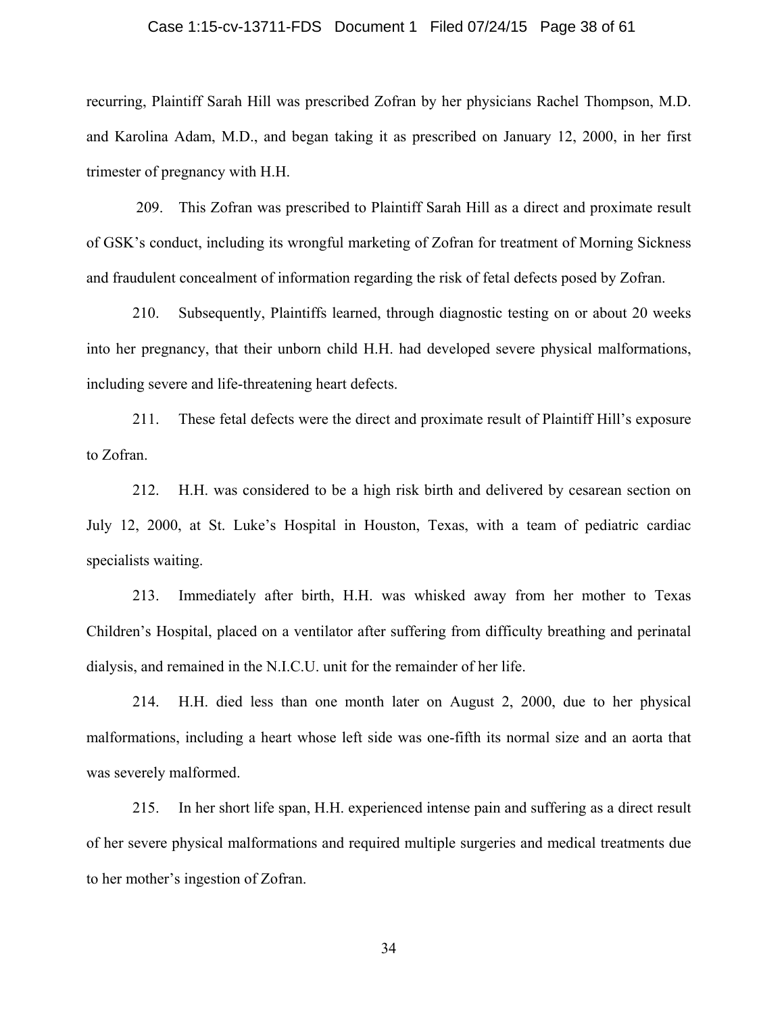#### Case 1:15-cv-13711-FDS Document 1 Filed 07/24/15 Page 38 of 61

recurring, Plaintiff Sarah Hill was prescribed Zofran by her physicians Rachel Thompson, M.D. and Karolina Adam, M.D., and began taking it as prescribed on January 12, 2000, in her first trimester of pregnancy with H.H.

 209. This Zofran was prescribed to Plaintiff Sarah Hill as a direct and proximate result of GSK's conduct, including its wrongful marketing of Zofran for treatment of Morning Sickness and fraudulent concealment of information regarding the risk of fetal defects posed by Zofran.

210. Subsequently, Plaintiffs learned, through diagnostic testing on or about 20 weeks into her pregnancy, that their unborn child H.H. had developed severe physical malformations, including severe and life-threatening heart defects.

211. These fetal defects were the direct and proximate result of Plaintiff Hill's exposure to Zofran.

212. H.H. was considered to be a high risk birth and delivered by cesarean section on July 12, 2000, at St. Luke's Hospital in Houston, Texas, with a team of pediatric cardiac specialists waiting.

213. Immediately after birth, H.H. was whisked away from her mother to Texas Children's Hospital, placed on a ventilator after suffering from difficulty breathing and perinatal dialysis, and remained in the N.I.C.U. unit for the remainder of her life.

214. H.H. died less than one month later on August 2, 2000, due to her physical malformations, including a heart whose left side was one-fifth its normal size and an aorta that was severely malformed.

215. In her short life span, H.H. experienced intense pain and suffering as a direct result of her severe physical malformations and required multiple surgeries and medical treatments due to her mother's ingestion of Zofran.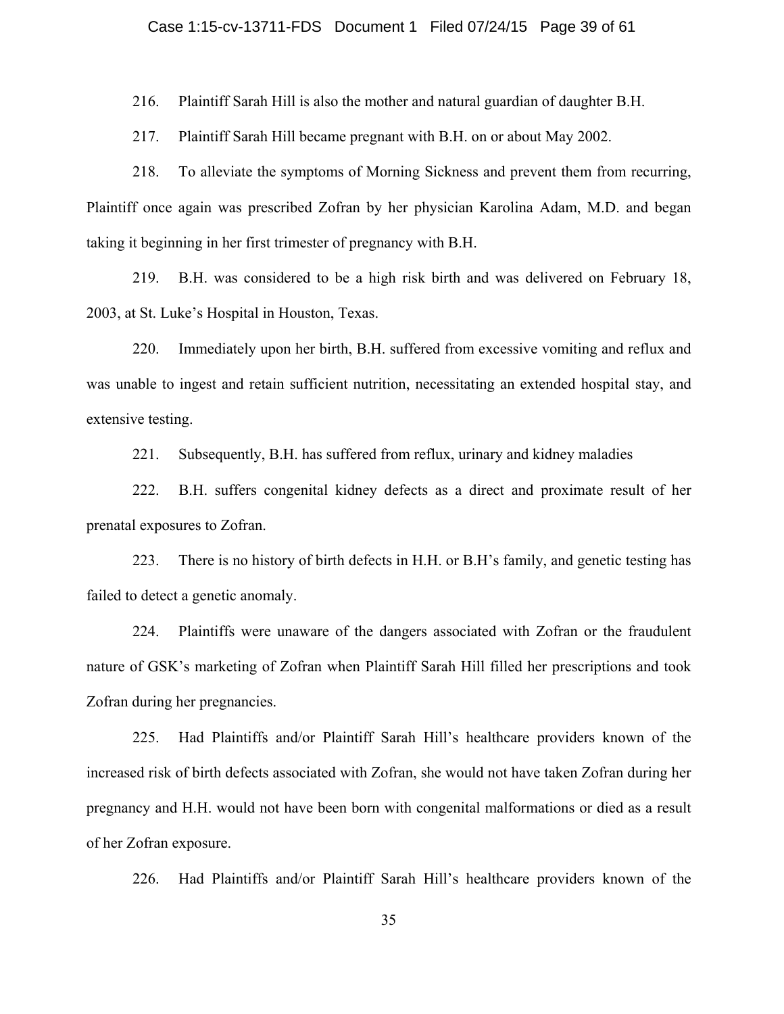216. Plaintiff Sarah Hill is also the mother and natural guardian of daughter B.H.

217. Plaintiff Sarah Hill became pregnant with B.H. on or about May 2002.

218. To alleviate the symptoms of Morning Sickness and prevent them from recurring, Plaintiff once again was prescribed Zofran by her physician Karolina Adam, M.D. and began taking it beginning in her first trimester of pregnancy with B.H.

219. B.H. was considered to be a high risk birth and was delivered on February 18, 2003, at St. Luke's Hospital in Houston, Texas.

220. Immediately upon her birth, B.H. suffered from excessive vomiting and reflux and was unable to ingest and retain sufficient nutrition, necessitating an extended hospital stay, and extensive testing.

221. Subsequently, B.H. has suffered from reflux, urinary and kidney maladies

222. B.H. suffers congenital kidney defects as a direct and proximate result of her prenatal exposures to Zofran.

223. There is no history of birth defects in H.H. or B.H's family, and genetic testing has failed to detect a genetic anomaly.

224. Plaintiffs were unaware of the dangers associated with Zofran or the fraudulent nature of GSK's marketing of Zofran when Plaintiff Sarah Hill filled her prescriptions and took Zofran during her pregnancies.

225. Had Plaintiffs and/or Plaintiff Sarah Hill's healthcare providers known of the increased risk of birth defects associated with Zofran, she would not have taken Zofran during her pregnancy and H.H. would not have been born with congenital malformations or died as a result of her Zofran exposure.

226. Had Plaintiffs and/or Plaintiff Sarah Hill's healthcare providers known of the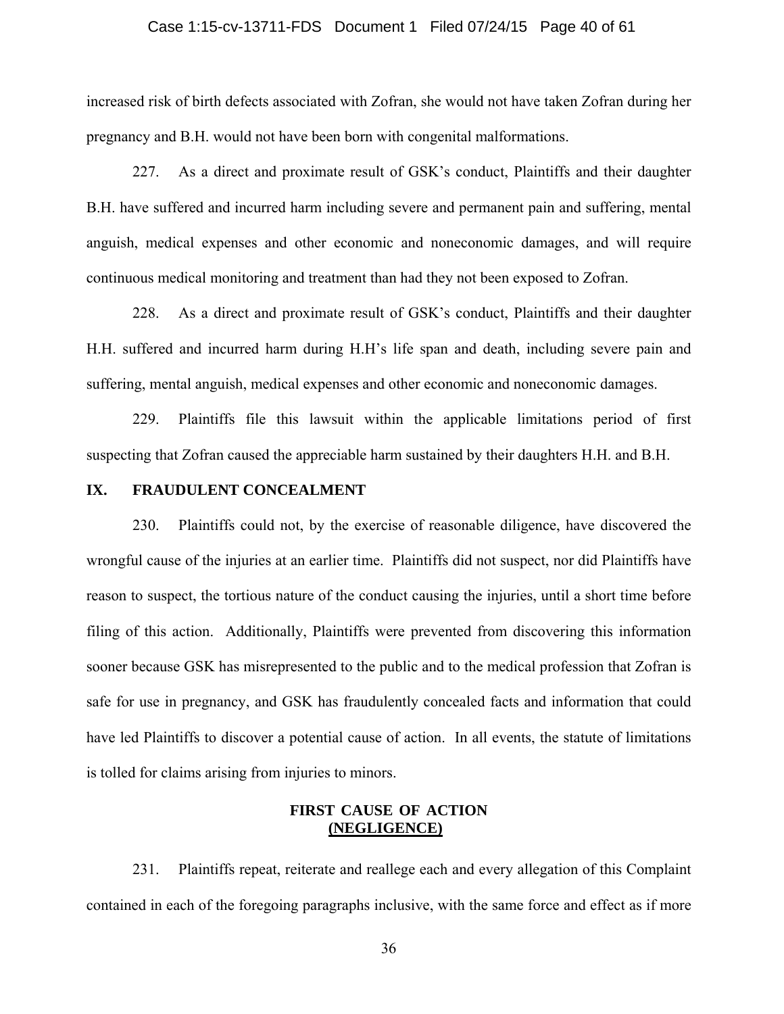#### Case 1:15-cv-13711-FDS Document 1 Filed 07/24/15 Page 40 of 61

increased risk of birth defects associated with Zofran, she would not have taken Zofran during her pregnancy and B.H. would not have been born with congenital malformations.

227. As a direct and proximate result of GSK's conduct, Plaintiffs and their daughter B.H. have suffered and incurred harm including severe and permanent pain and suffering, mental anguish, medical expenses and other economic and noneconomic damages, and will require continuous medical monitoring and treatment than had they not been exposed to Zofran.

228. As a direct and proximate result of GSK's conduct, Plaintiffs and their daughter H.H. suffered and incurred harm during H.H's life span and death, including severe pain and suffering, mental anguish, medical expenses and other economic and noneconomic damages.

229. Plaintiffs file this lawsuit within the applicable limitations period of first suspecting that Zofran caused the appreciable harm sustained by their daughters H.H. and B.H.

#### **IX. FRAUDULENT CONCEALMENT**

230. Plaintiffs could not, by the exercise of reasonable diligence, have discovered the wrongful cause of the injuries at an earlier time. Plaintiffs did not suspect, nor did Plaintiffs have reason to suspect, the tortious nature of the conduct causing the injuries, until a short time before filing of this action. Additionally, Plaintiffs were prevented from discovering this information sooner because GSK has misrepresented to the public and to the medical profession that Zofran is safe for use in pregnancy, and GSK has fraudulently concealed facts and information that could have led Plaintiffs to discover a potential cause of action. In all events, the statute of limitations is tolled for claims arising from injuries to minors.

#### **FIRST CAUSE OF ACTION (NEGLIGENCE)**

231. Plaintiffs repeat, reiterate and reallege each and every allegation of this Complaint contained in each of the foregoing paragraphs inclusive, with the same force and effect as if more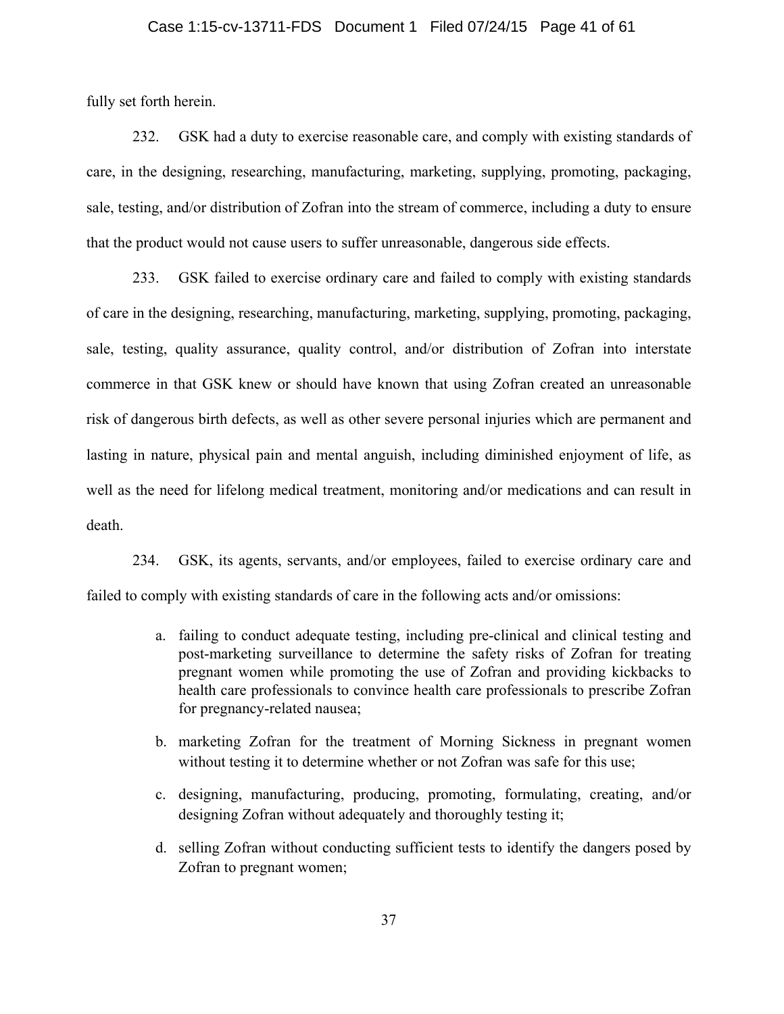#### Case 1:15-cv-13711-FDS Document 1 Filed 07/24/15 Page 41 of 61

fully set forth herein.

232. GSK had a duty to exercise reasonable care, and comply with existing standards of care, in the designing, researching, manufacturing, marketing, supplying, promoting, packaging, sale, testing, and/or distribution of Zofran into the stream of commerce, including a duty to ensure that the product would not cause users to suffer unreasonable, dangerous side effects.

233. GSK failed to exercise ordinary care and failed to comply with existing standards of care in the designing, researching, manufacturing, marketing, supplying, promoting, packaging, sale, testing, quality assurance, quality control, and/or distribution of Zofran into interstate commerce in that GSK knew or should have known that using Zofran created an unreasonable risk of dangerous birth defects, as well as other severe personal injuries which are permanent and lasting in nature, physical pain and mental anguish, including diminished enjoyment of life, as well as the need for lifelong medical treatment, monitoring and/or medications and can result in death.

234. GSK, its agents, servants, and/or employees, failed to exercise ordinary care and failed to comply with existing standards of care in the following acts and/or omissions:

- a. failing to conduct adequate testing, including pre-clinical and clinical testing and post-marketing surveillance to determine the safety risks of Zofran for treating pregnant women while promoting the use of Zofran and providing kickbacks to health care professionals to convince health care professionals to prescribe Zofran for pregnancy-related nausea;
- b. marketing Zofran for the treatment of Morning Sickness in pregnant women without testing it to determine whether or not Zofran was safe for this use;
- c. designing, manufacturing, producing, promoting, formulating, creating, and/or designing Zofran without adequately and thoroughly testing it;
- d. selling Zofran without conducting sufficient tests to identify the dangers posed by Zofran to pregnant women;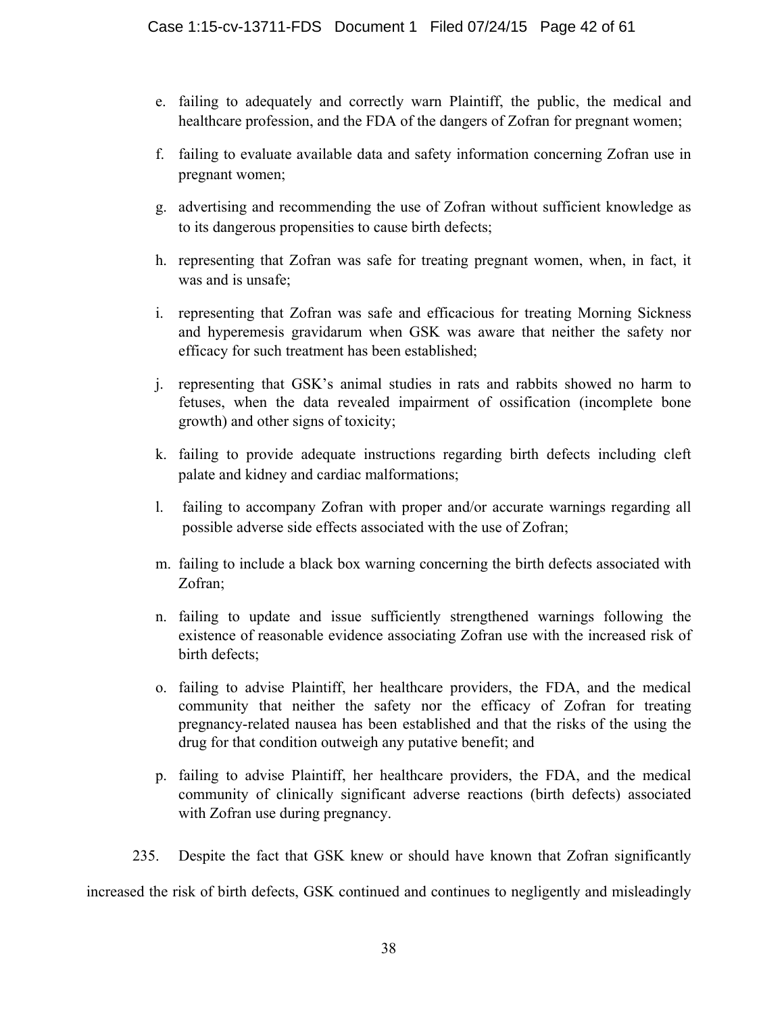- e. failing to adequately and correctly warn Plaintiff, the public, the medical and healthcare profession, and the FDA of the dangers of Zofran for pregnant women;
- f. failing to evaluate available data and safety information concerning Zofran use in pregnant women;
- g. advertising and recommending the use of Zofran without sufficient knowledge as to its dangerous propensities to cause birth defects;
- h. representing that Zofran was safe for treating pregnant women, when, in fact, it was and is unsafe;
- i. representing that Zofran was safe and efficacious for treating Morning Sickness and hyperemesis gravidarum when GSK was aware that neither the safety nor efficacy for such treatment has been established;
- j. representing that GSK's animal studies in rats and rabbits showed no harm to fetuses, when the data revealed impairment of ossification (incomplete bone growth) and other signs of toxicity;
- k. failing to provide adequate instructions regarding birth defects including cleft palate and kidney and cardiac malformations;
- l. failing to accompany Zofran with proper and/or accurate warnings regarding all possible adverse side effects associated with the use of Zofran;
- m. failing to include a black box warning concerning the birth defects associated with Zofran;
- n. failing to update and issue sufficiently strengthened warnings following the existence of reasonable evidence associating Zofran use with the increased risk of birth defects;
- o. failing to advise Plaintiff, her healthcare providers, the FDA, and the medical community that neither the safety nor the efficacy of Zofran for treating pregnancy-related nausea has been established and that the risks of the using the drug for that condition outweigh any putative benefit; and
- p. failing to advise Plaintiff, her healthcare providers, the FDA, and the medical community of clinically significant adverse reactions (birth defects) associated with Zofran use during pregnancy.
- 235. Despite the fact that GSK knew or should have known that Zofran significantly

increased the risk of birth defects, GSK continued and continues to negligently and misleadingly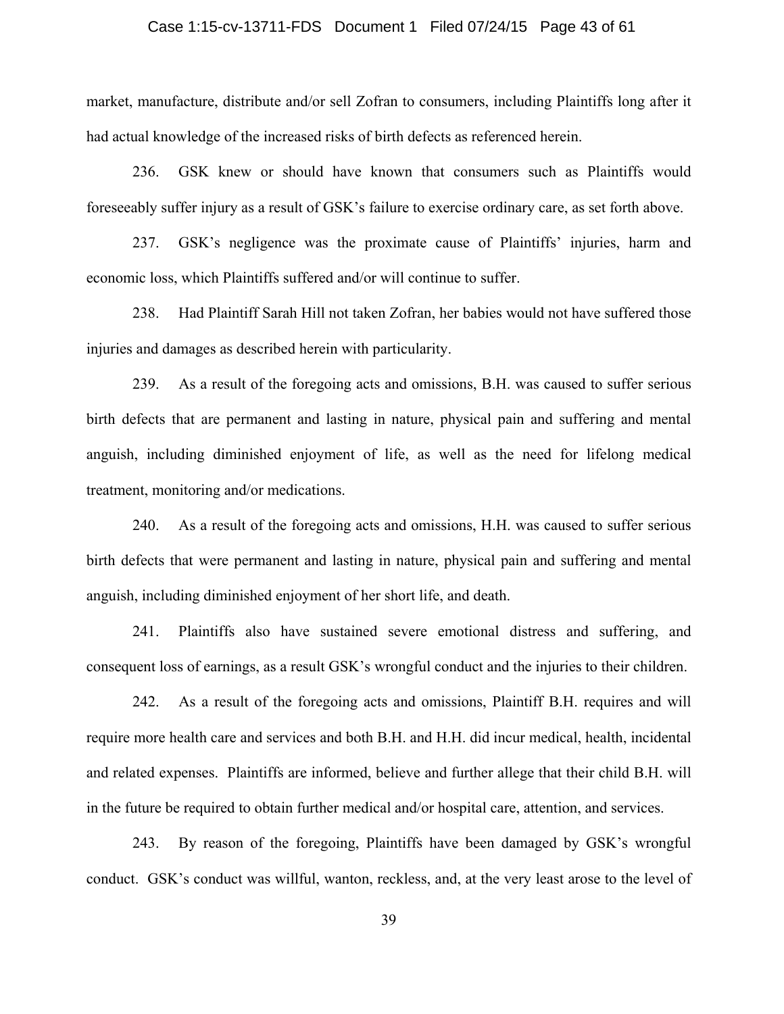#### Case 1:15-cv-13711-FDS Document 1 Filed 07/24/15 Page 43 of 61

market, manufacture, distribute and/or sell Zofran to consumers, including Plaintiffs long after it had actual knowledge of the increased risks of birth defects as referenced herein.

236. GSK knew or should have known that consumers such as Plaintiffs would foreseeably suffer injury as a result of GSK's failure to exercise ordinary care, as set forth above.

237. GSK's negligence was the proximate cause of Plaintiffs' injuries, harm and economic loss, which Plaintiffs suffered and/or will continue to suffer.

238. Had Plaintiff Sarah Hill not taken Zofran, her babies would not have suffered those injuries and damages as described herein with particularity.

239. As a result of the foregoing acts and omissions, B.H. was caused to suffer serious birth defects that are permanent and lasting in nature, physical pain and suffering and mental anguish, including diminished enjoyment of life, as well as the need for lifelong medical treatment, monitoring and/or medications.

240. As a result of the foregoing acts and omissions, H.H. was caused to suffer serious birth defects that were permanent and lasting in nature, physical pain and suffering and mental anguish, including diminished enjoyment of her short life, and death.

241. Plaintiffs also have sustained severe emotional distress and suffering, and consequent loss of earnings, as a result GSK's wrongful conduct and the injuries to their children.

242. As a result of the foregoing acts and omissions, Plaintiff B.H. requires and will require more health care and services and both B.H. and H.H. did incur medical, health, incidental and related expenses. Plaintiffs are informed, believe and further allege that their child B.H. will in the future be required to obtain further medical and/or hospital care, attention, and services.

243. By reason of the foregoing, Plaintiffs have been damaged by GSK's wrongful conduct. GSK's conduct was willful, wanton, reckless, and, at the very least arose to the level of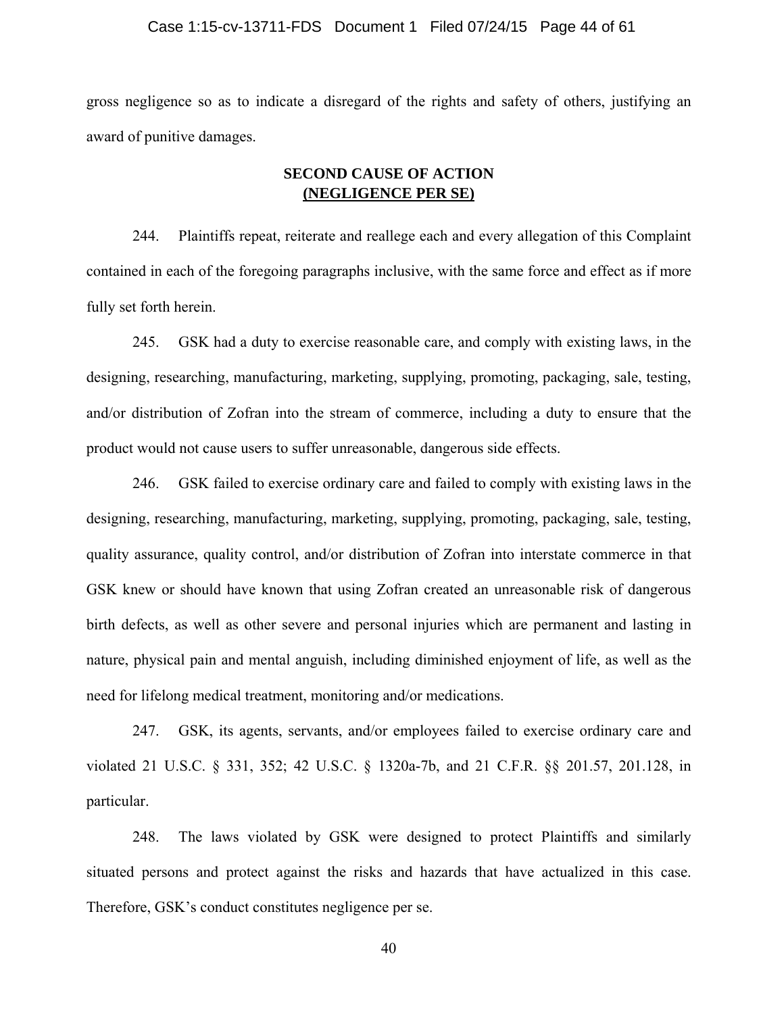#### Case 1:15-cv-13711-FDS Document 1 Filed 07/24/15 Page 44 of 61

gross negligence so as to indicate a disregard of the rights and safety of others, justifying an award of punitive damages.

#### **SECOND CAUSE OF ACTION (NEGLIGENCE PER SE)**

244. Plaintiffs repeat, reiterate and reallege each and every allegation of this Complaint contained in each of the foregoing paragraphs inclusive, with the same force and effect as if more fully set forth herein.

245. GSK had a duty to exercise reasonable care, and comply with existing laws, in the designing, researching, manufacturing, marketing, supplying, promoting, packaging, sale, testing, and/or distribution of Zofran into the stream of commerce, including a duty to ensure that the product would not cause users to suffer unreasonable, dangerous side effects.

246. GSK failed to exercise ordinary care and failed to comply with existing laws in the designing, researching, manufacturing, marketing, supplying, promoting, packaging, sale, testing, quality assurance, quality control, and/or distribution of Zofran into interstate commerce in that GSK knew or should have known that using Zofran created an unreasonable risk of dangerous birth defects, as well as other severe and personal injuries which are permanent and lasting in nature, physical pain and mental anguish, including diminished enjoyment of life, as well as the need for lifelong medical treatment, monitoring and/or medications.

247. GSK, its agents, servants, and/or employees failed to exercise ordinary care and violated 21 U.S.C. § 331, 352; 42 U.S.C. § 1320a-7b, and 21 C.F.R. §§ 201.57, 201.128, in particular.

248. The laws violated by GSK were designed to protect Plaintiffs and similarly situated persons and protect against the risks and hazards that have actualized in this case. Therefore, GSK's conduct constitutes negligence per se.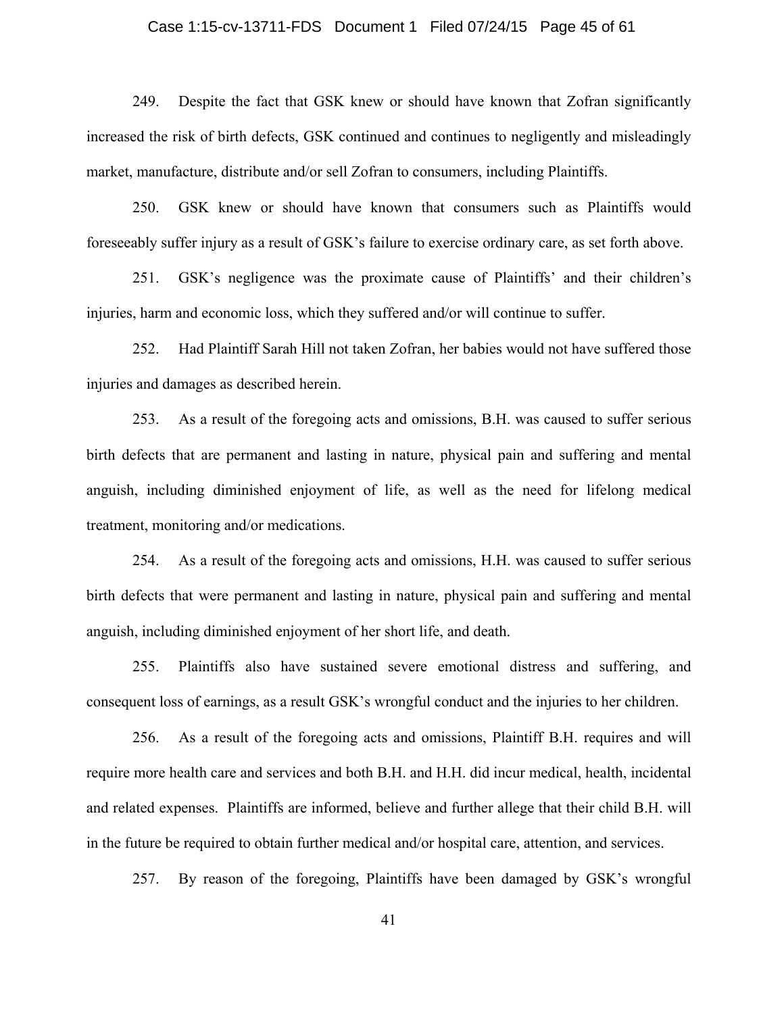#### Case 1:15-cv-13711-FDS Document 1 Filed 07/24/15 Page 45 of 61

249. Despite the fact that GSK knew or should have known that Zofran significantly increased the risk of birth defects, GSK continued and continues to negligently and misleadingly market, manufacture, distribute and/or sell Zofran to consumers, including Plaintiffs.

250. GSK knew or should have known that consumers such as Plaintiffs would foreseeably suffer injury as a result of GSK's failure to exercise ordinary care, as set forth above.

251. GSK's negligence was the proximate cause of Plaintiffs' and their children's injuries, harm and economic loss, which they suffered and/or will continue to suffer.

252. Had Plaintiff Sarah Hill not taken Zofran, her babies would not have suffered those injuries and damages as described herein.

253. As a result of the foregoing acts and omissions, B.H. was caused to suffer serious birth defects that are permanent and lasting in nature, physical pain and suffering and mental anguish, including diminished enjoyment of life, as well as the need for lifelong medical treatment, monitoring and/or medications.

254. As a result of the foregoing acts and omissions, H.H. was caused to suffer serious birth defects that were permanent and lasting in nature, physical pain and suffering and mental anguish, including diminished enjoyment of her short life, and death.

255. Plaintiffs also have sustained severe emotional distress and suffering, and consequent loss of earnings, as a result GSK's wrongful conduct and the injuries to her children.

256. As a result of the foregoing acts and omissions, Plaintiff B.H. requires and will require more health care and services and both B.H. and H.H. did incur medical, health, incidental and related expenses. Plaintiffs are informed, believe and further allege that their child B.H. will in the future be required to obtain further medical and/or hospital care, attention, and services.

257. By reason of the foregoing, Plaintiffs have been damaged by GSK's wrongful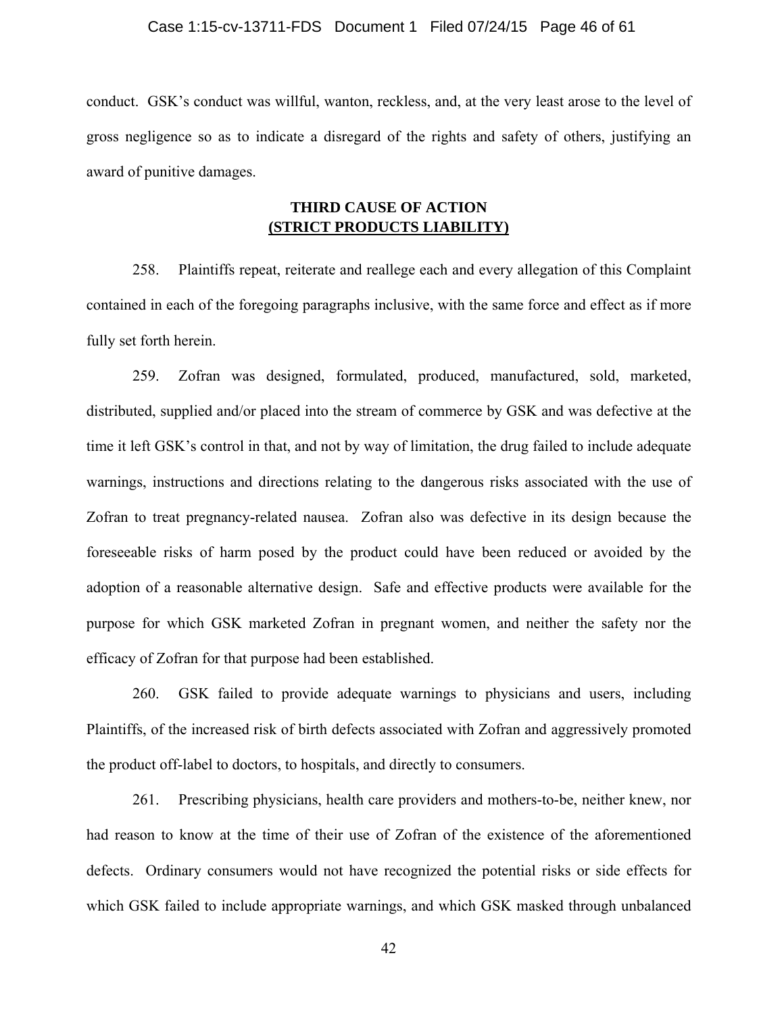#### Case 1:15-cv-13711-FDS Document 1 Filed 07/24/15 Page 46 of 61

conduct. GSK's conduct was willful, wanton, reckless, and, at the very least arose to the level of gross negligence so as to indicate a disregard of the rights and safety of others, justifying an award of punitive damages.

#### **THIRD CAUSE OF ACTION (STRICT PRODUCTS LIABILITY)**

258. Plaintiffs repeat, reiterate and reallege each and every allegation of this Complaint contained in each of the foregoing paragraphs inclusive, with the same force and effect as if more fully set forth herein.

259. Zofran was designed, formulated, produced, manufactured, sold, marketed, distributed, supplied and/or placed into the stream of commerce by GSK and was defective at the time it left GSK's control in that, and not by way of limitation, the drug failed to include adequate warnings, instructions and directions relating to the dangerous risks associated with the use of Zofran to treat pregnancy-related nausea. Zofran also was defective in its design because the foreseeable risks of harm posed by the product could have been reduced or avoided by the adoption of a reasonable alternative design. Safe and effective products were available for the purpose for which GSK marketed Zofran in pregnant women, and neither the safety nor the efficacy of Zofran for that purpose had been established.

260. GSK failed to provide adequate warnings to physicians and users, including Plaintiffs, of the increased risk of birth defects associated with Zofran and aggressively promoted the product off-label to doctors, to hospitals, and directly to consumers.

261. Prescribing physicians, health care providers and mothers-to-be, neither knew, nor had reason to know at the time of their use of Zofran of the existence of the aforementioned defects. Ordinary consumers would not have recognized the potential risks or side effects for which GSK failed to include appropriate warnings, and which GSK masked through unbalanced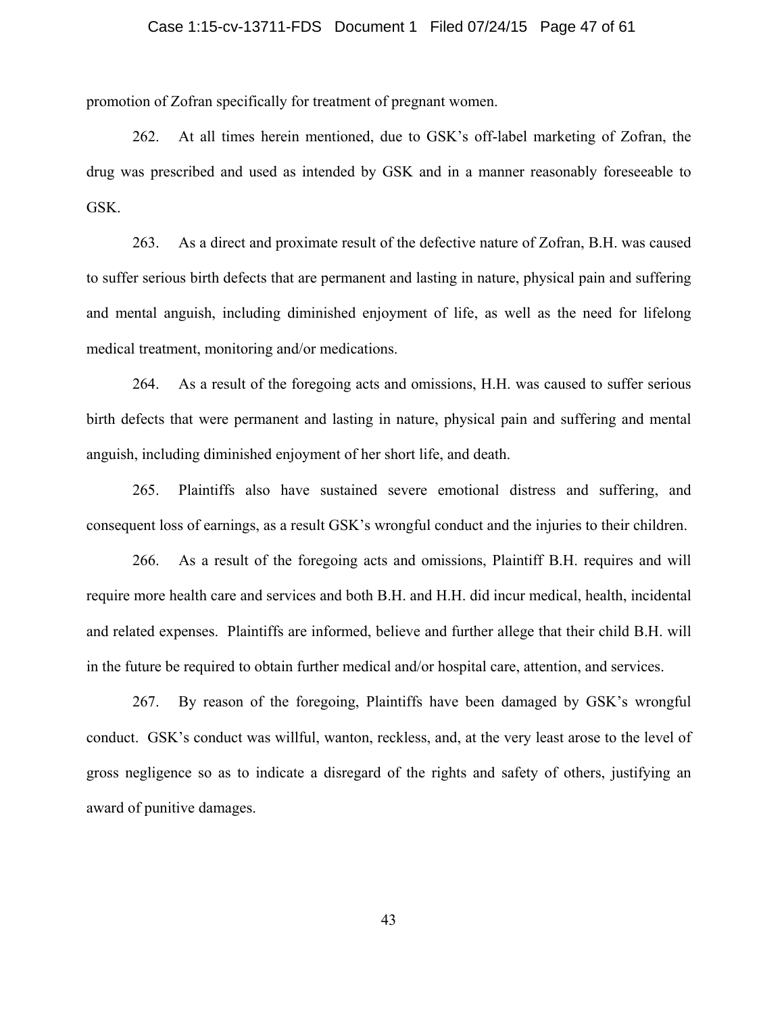#### Case 1:15-cv-13711-FDS Document 1 Filed 07/24/15 Page 47 of 61

promotion of Zofran specifically for treatment of pregnant women.

262. At all times herein mentioned, due to GSK's off-label marketing of Zofran, the drug was prescribed and used as intended by GSK and in a manner reasonably foreseeable to GSK.

263. As a direct and proximate result of the defective nature of Zofran, B.H. was caused to suffer serious birth defects that are permanent and lasting in nature, physical pain and suffering and mental anguish, including diminished enjoyment of life, as well as the need for lifelong medical treatment, monitoring and/or medications.

264. As a result of the foregoing acts and omissions, H.H. was caused to suffer serious birth defects that were permanent and lasting in nature, physical pain and suffering and mental anguish, including diminished enjoyment of her short life, and death.

265. Plaintiffs also have sustained severe emotional distress and suffering, and consequent loss of earnings, as a result GSK's wrongful conduct and the injuries to their children.

266. As a result of the foregoing acts and omissions, Plaintiff B.H. requires and will require more health care and services and both B.H. and H.H. did incur medical, health, incidental and related expenses. Plaintiffs are informed, believe and further allege that their child B.H. will in the future be required to obtain further medical and/or hospital care, attention, and services.

267. By reason of the foregoing, Plaintiffs have been damaged by GSK's wrongful conduct. GSK's conduct was willful, wanton, reckless, and, at the very least arose to the level of gross negligence so as to indicate a disregard of the rights and safety of others, justifying an award of punitive damages.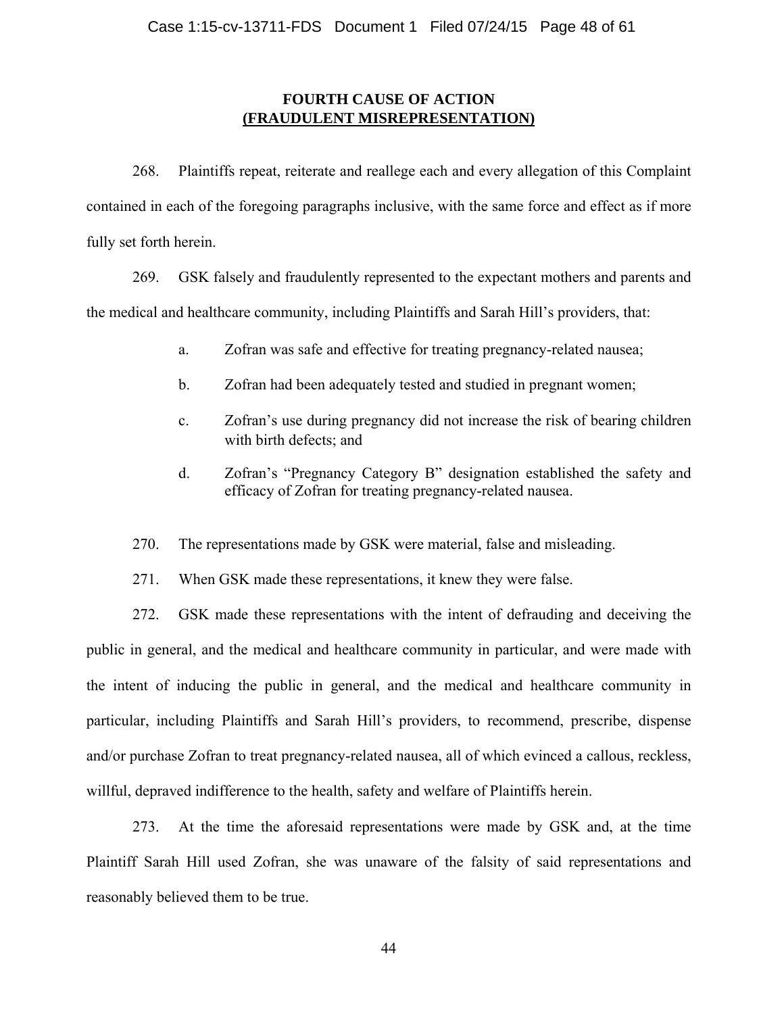#### **FOURTH CAUSE OF ACTION (FRAUDULENT MISREPRESENTATION)**

268. Plaintiffs repeat, reiterate and reallege each and every allegation of this Complaint contained in each of the foregoing paragraphs inclusive, with the same force and effect as if more fully set forth herein.

269. GSK falsely and fraudulently represented to the expectant mothers and parents and the medical and healthcare community, including Plaintiffs and Sarah Hill's providers, that:

- a. Zofran was safe and effective for treating pregnancy-related nausea;
- b. Zofran had been adequately tested and studied in pregnant women;
- c. Zofran's use during pregnancy did not increase the risk of bearing children with birth defects; and
- d. Zofran's "Pregnancy Category B" designation established the safety and efficacy of Zofran for treating pregnancy-related nausea.
- 270. The representations made by GSK were material, false and misleading.
- 271. When GSK made these representations, it knew they were false.

272. GSK made these representations with the intent of defrauding and deceiving the public in general, and the medical and healthcare community in particular, and were made with the intent of inducing the public in general, and the medical and healthcare community in particular, including Plaintiffs and Sarah Hill's providers, to recommend, prescribe, dispense and/or purchase Zofran to treat pregnancy-related nausea, all of which evinced a callous, reckless, willful, depraved indifference to the health, safety and welfare of Plaintiffs herein.

273. At the time the aforesaid representations were made by GSK and, at the time Plaintiff Sarah Hill used Zofran, she was unaware of the falsity of said representations and reasonably believed them to be true.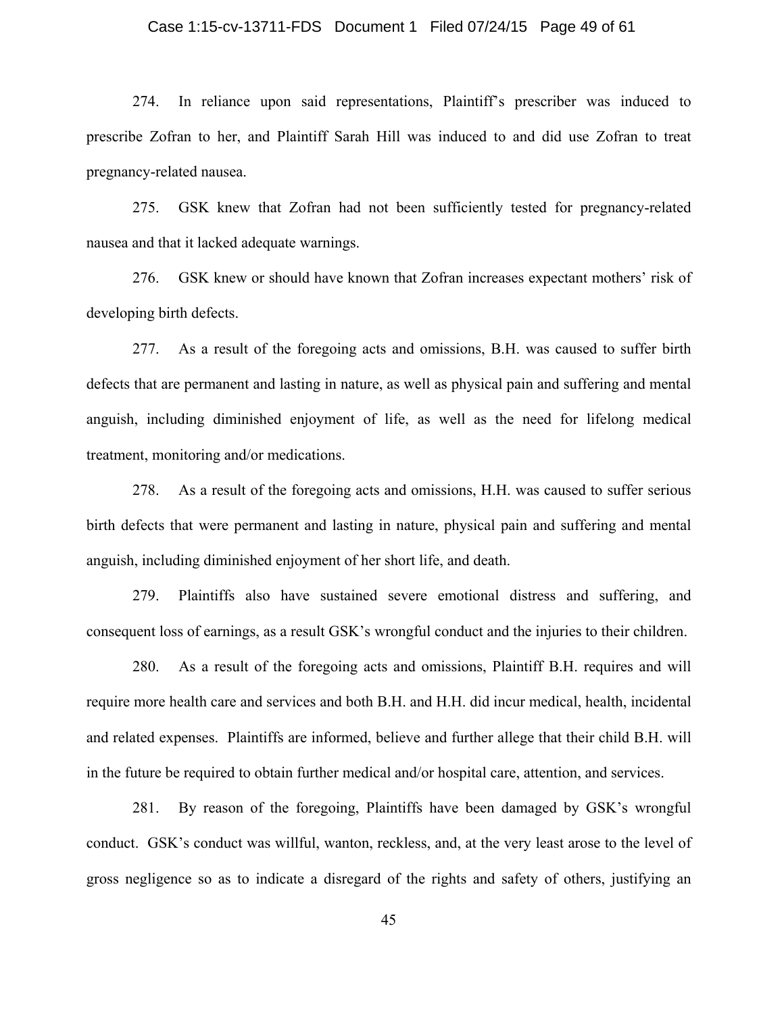#### Case 1:15-cv-13711-FDS Document 1 Filed 07/24/15 Page 49 of 61

274. In reliance upon said representations, Plaintiff's prescriber was induced to prescribe Zofran to her, and Plaintiff Sarah Hill was induced to and did use Zofran to treat pregnancy-related nausea.

275. GSK knew that Zofran had not been sufficiently tested for pregnancy-related nausea and that it lacked adequate warnings.

276. GSK knew or should have known that Zofran increases expectant mothers' risk of developing birth defects.

277. As a result of the foregoing acts and omissions, B.H. was caused to suffer birth defects that are permanent and lasting in nature, as well as physical pain and suffering and mental anguish, including diminished enjoyment of life, as well as the need for lifelong medical treatment, monitoring and/or medications.

278. As a result of the foregoing acts and omissions, H.H. was caused to suffer serious birth defects that were permanent and lasting in nature, physical pain and suffering and mental anguish, including diminished enjoyment of her short life, and death.

279. Plaintiffs also have sustained severe emotional distress and suffering, and consequent loss of earnings, as a result GSK's wrongful conduct and the injuries to their children.

280. As a result of the foregoing acts and omissions, Plaintiff B.H. requires and will require more health care and services and both B.H. and H.H. did incur medical, health, incidental and related expenses. Plaintiffs are informed, believe and further allege that their child B.H. will in the future be required to obtain further medical and/or hospital care, attention, and services.

281. By reason of the foregoing, Plaintiffs have been damaged by GSK's wrongful conduct. GSK's conduct was willful, wanton, reckless, and, at the very least arose to the level of gross negligence so as to indicate a disregard of the rights and safety of others, justifying an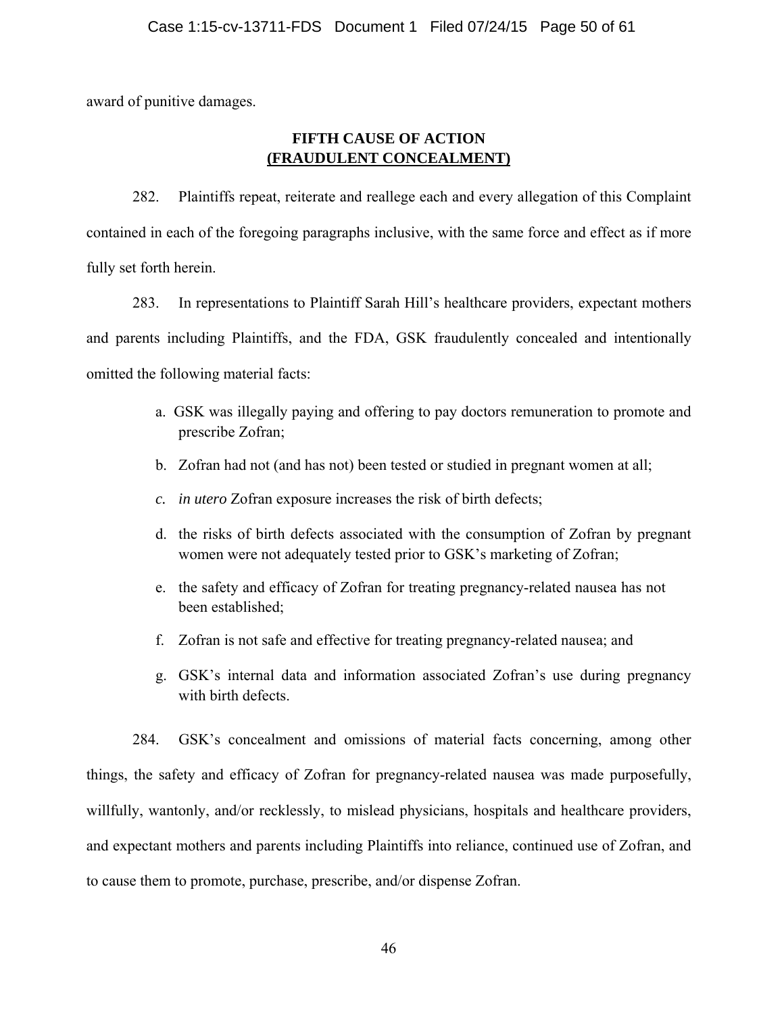award of punitive damages.

### **FIFTH CAUSE OF ACTION (FRAUDULENT CONCEALMENT)**

282. Plaintiffs repeat, reiterate and reallege each and every allegation of this Complaint contained in each of the foregoing paragraphs inclusive, with the same force and effect as if more fully set forth herein.

283. In representations to Plaintiff Sarah Hill's healthcare providers, expectant mothers and parents including Plaintiffs, and the FDA, GSK fraudulently concealed and intentionally omitted the following material facts:

- a. GSK was illegally paying and offering to pay doctors remuneration to promote and prescribe Zofran;
- b. Zofran had not (and has not) been tested or studied in pregnant women at all;
- *c. in utero* Zofran exposure increases the risk of birth defects;
- d. the risks of birth defects associated with the consumption of Zofran by pregnant women were not adequately tested prior to GSK's marketing of Zofran;
- e. the safety and efficacy of Zofran for treating pregnancy-related nausea has not been established;
- f. Zofran is not safe and effective for treating pregnancy-related nausea; and
- g. GSK's internal data and information associated Zofran's use during pregnancy with birth defects.

284. GSK's concealment and omissions of material facts concerning, among other things, the safety and efficacy of Zofran for pregnancy-related nausea was made purposefully, willfully, wantonly, and/or recklessly, to mislead physicians, hospitals and healthcare providers, and expectant mothers and parents including Plaintiffs into reliance, continued use of Zofran, and to cause them to promote, purchase, prescribe, and/or dispense Zofran.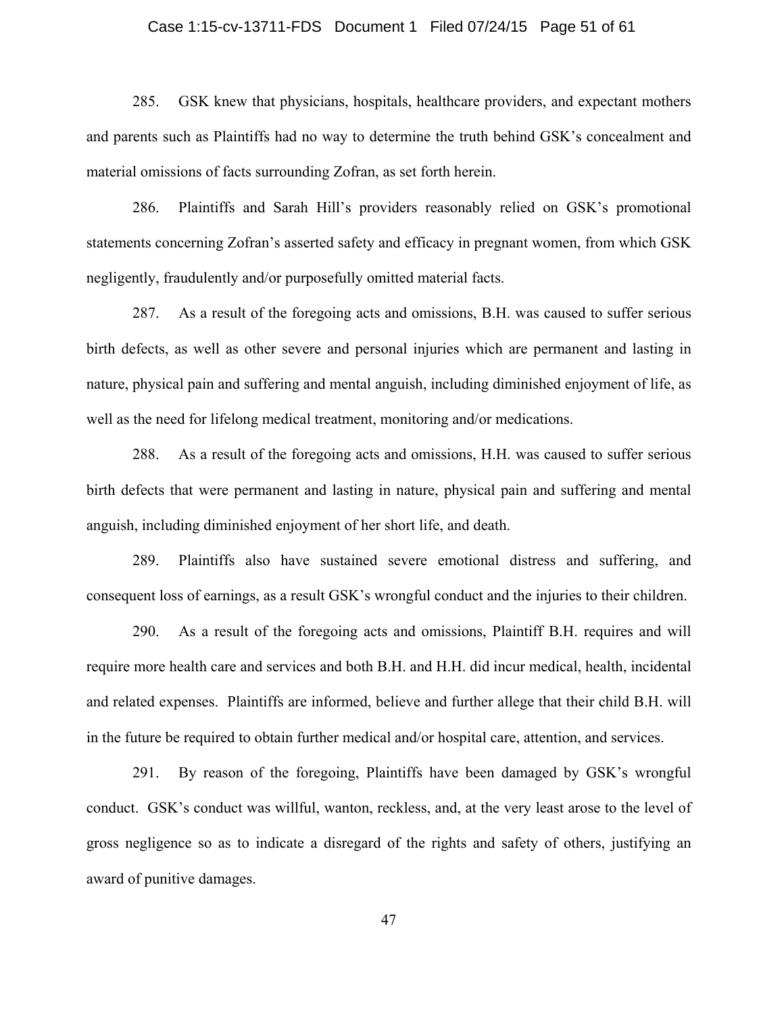#### Case 1:15-cv-13711-FDS Document 1 Filed 07/24/15 Page 51 of 61

285. GSK knew that physicians, hospitals, healthcare providers, and expectant mothers and parents such as Plaintiffs had no way to determine the truth behind GSK's concealment and material omissions of facts surrounding Zofran, as set forth herein.

286. Plaintiffs and Sarah Hill's providers reasonably relied on GSK's promotional statements concerning Zofran's asserted safety and efficacy in pregnant women, from which GSK negligently, fraudulently and/or purposefully omitted material facts.

287. As a result of the foregoing acts and omissions, B.H. was caused to suffer serious birth defects, as well as other severe and personal injuries which are permanent and lasting in nature, physical pain and suffering and mental anguish, including diminished enjoyment of life, as well as the need for lifelong medical treatment, monitoring and/or medications.

288. As a result of the foregoing acts and omissions, H.H. was caused to suffer serious birth defects that were permanent and lasting in nature, physical pain and suffering and mental anguish, including diminished enjoyment of her short life, and death.

289. Plaintiffs also have sustained severe emotional distress and suffering, and consequent loss of earnings, as a result GSK's wrongful conduct and the injuries to their children.

290. As a result of the foregoing acts and omissions, Plaintiff B.H. requires and will require more health care and services and both B.H. and H.H. did incur medical, health, incidental and related expenses. Plaintiffs are informed, believe and further allege that their child B.H. will in the future be required to obtain further medical and/or hospital care, attention, and services.

291. By reason of the foregoing, Plaintiffs have been damaged by GSK's wrongful conduct. GSK's conduct was willful, wanton, reckless, and, at the very least arose to the level of gross negligence so as to indicate a disregard of the rights and safety of others, justifying an award of punitive damages.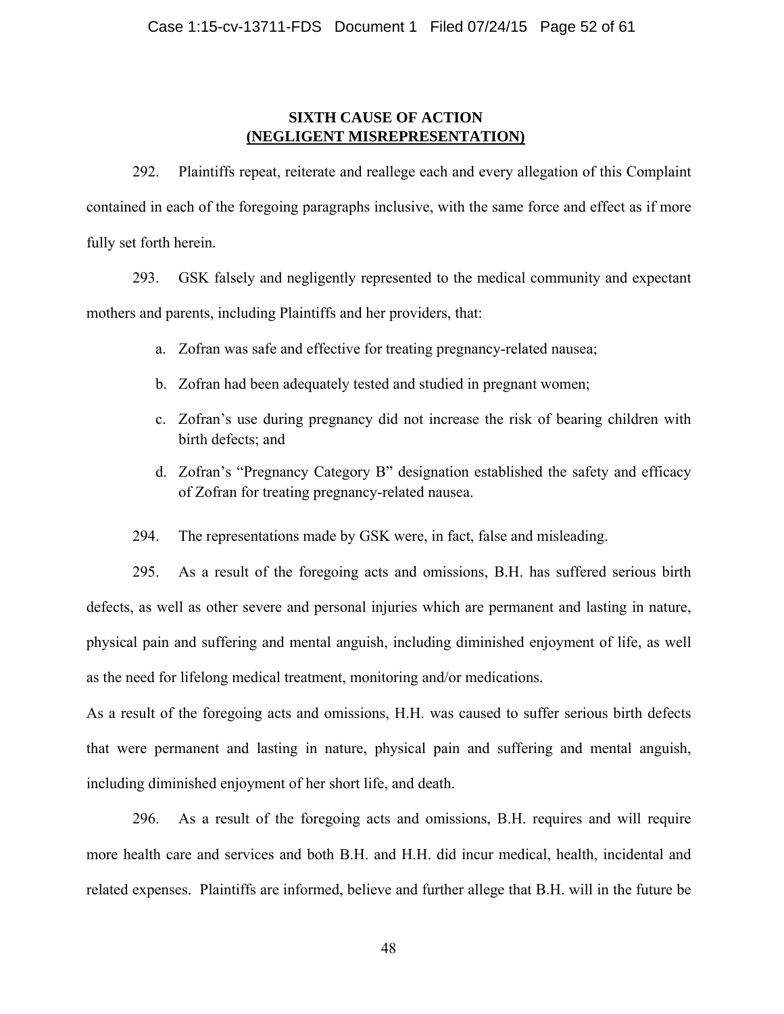#### **SIXTH CAUSE OF ACTION (NEGLIGENT MISREPRESENTATION)**

292. Plaintiffs repeat, reiterate and reallege each and every allegation of this Complaint contained in each of the foregoing paragraphs inclusive, with the same force and effect as if more fully set forth herein.

293. GSK falsely and negligently represented to the medical community and expectant mothers and parents, including Plaintiffs and her providers, that:

- a. Zofran was safe and effective for treating pregnancy-related nausea;
- b. Zofran had been adequately tested and studied in pregnant women;
- c. Zofran's use during pregnancy did not increase the risk of bearing children with birth defects; and
- d. Zofran's "Pregnancy Category B" designation established the safety and efficacy of Zofran for treating pregnancy-related nausea.
- 294. The representations made by GSK were, in fact, false and misleading.

295. As a result of the foregoing acts and omissions, B.H. has suffered serious birth defects, as well as other severe and personal injuries which are permanent and lasting in nature, physical pain and suffering and mental anguish, including diminished enjoyment of life, as well as the need for lifelong medical treatment, monitoring and/or medications.

As a result of the foregoing acts and omissions, H.H. was caused to suffer serious birth defects that were permanent and lasting in nature, physical pain and suffering and mental anguish, including diminished enjoyment of her short life, and death.

296. As a result of the foregoing acts and omissions, B.H. requires and will require more health care and services and both B.H. and H.H. did incur medical, health, incidental and related expenses. Plaintiffs are informed, believe and further allege that B.H. will in the future be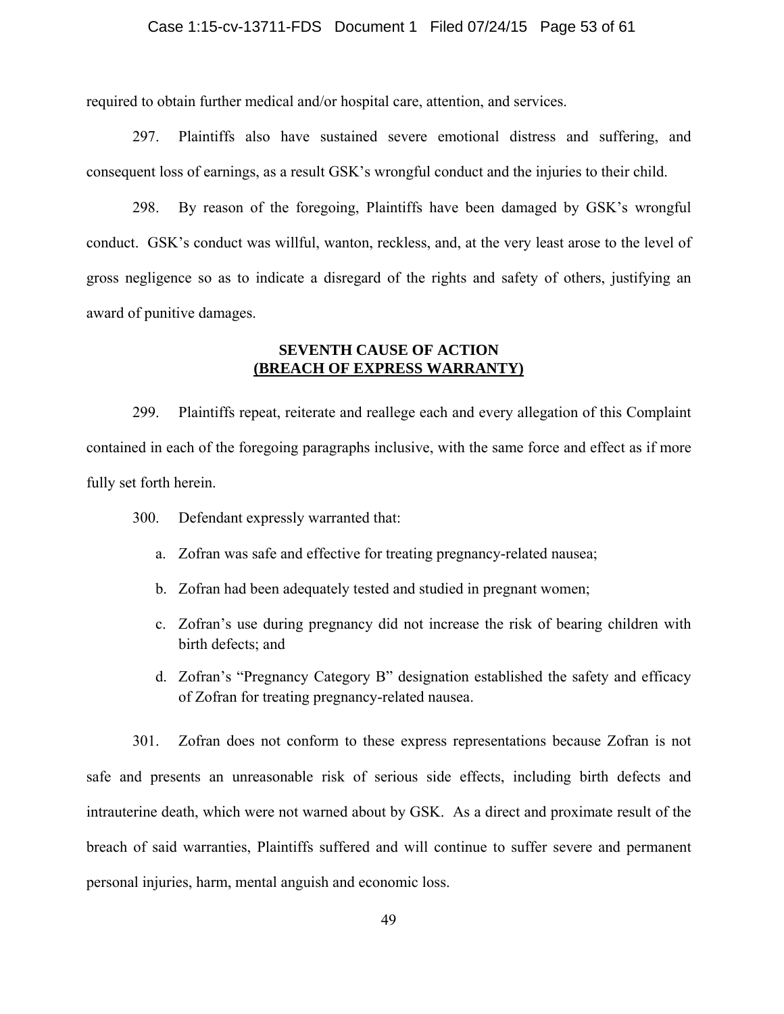#### Case 1:15-cv-13711-FDS Document 1 Filed 07/24/15 Page 53 of 61

required to obtain further medical and/or hospital care, attention, and services.

297. Plaintiffs also have sustained severe emotional distress and suffering, and consequent loss of earnings, as a result GSK's wrongful conduct and the injuries to their child.

 298. By reason of the foregoing, Plaintiffs have been damaged by GSK's wrongful conduct. GSK's conduct was willful, wanton, reckless, and, at the very least arose to the level of gross negligence so as to indicate a disregard of the rights and safety of others, justifying an award of punitive damages.

#### **SEVENTH CAUSE OF ACTION (BREACH OF EXPRESS WARRANTY)**

299. Plaintiffs repeat, reiterate and reallege each and every allegation of this Complaint contained in each of the foregoing paragraphs inclusive, with the same force and effect as if more fully set forth herein.

- 300. Defendant expressly warranted that:
	- a. Zofran was safe and effective for treating pregnancy-related nausea;
	- b. Zofran had been adequately tested and studied in pregnant women;
	- c. Zofran's use during pregnancy did not increase the risk of bearing children with birth defects; and
	- d. Zofran's "Pregnancy Category B" designation established the safety and efficacy of Zofran for treating pregnancy-related nausea.

301. Zofran does not conform to these express representations because Zofran is not safe and presents an unreasonable risk of serious side effects, including birth defects and intrauterine death, which were not warned about by GSK. As a direct and proximate result of the breach of said warranties, Plaintiffs suffered and will continue to suffer severe and permanent personal injuries, harm, mental anguish and economic loss.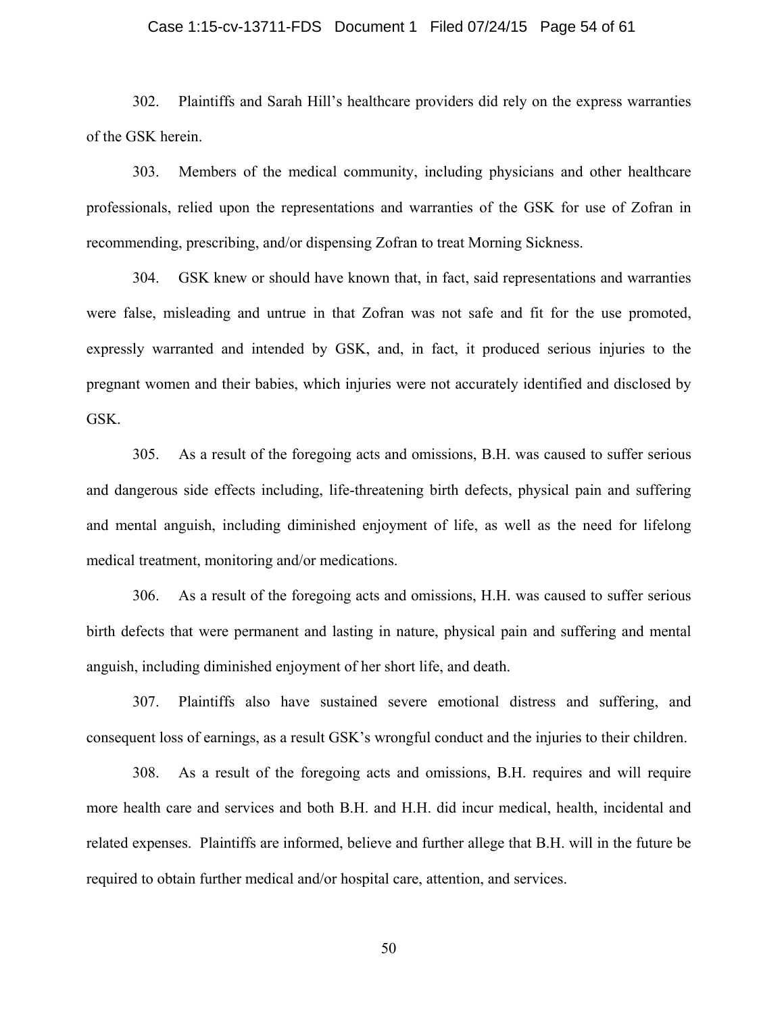#### Case 1:15-cv-13711-FDS Document 1 Filed 07/24/15 Page 54 of 61

302. Plaintiffs and Sarah Hill's healthcare providers did rely on the express warranties of the GSK herein.

303. Members of the medical community, including physicians and other healthcare professionals, relied upon the representations and warranties of the GSK for use of Zofran in recommending, prescribing, and/or dispensing Zofran to treat Morning Sickness.

304. GSK knew or should have known that, in fact, said representations and warranties were false, misleading and untrue in that Zofran was not safe and fit for the use promoted, expressly warranted and intended by GSK, and, in fact, it produced serious injuries to the pregnant women and their babies, which injuries were not accurately identified and disclosed by GSK.

305. As a result of the foregoing acts and omissions, B.H. was caused to suffer serious and dangerous side effects including, life-threatening birth defects, physical pain and suffering and mental anguish, including diminished enjoyment of life, as well as the need for lifelong medical treatment, monitoring and/or medications.

306. As a result of the foregoing acts and omissions, H.H. was caused to suffer serious birth defects that were permanent and lasting in nature, physical pain and suffering and mental anguish, including diminished enjoyment of her short life, and death.

307. Plaintiffs also have sustained severe emotional distress and suffering, and consequent loss of earnings, as a result GSK's wrongful conduct and the injuries to their children.

308. As a result of the foregoing acts and omissions, B.H. requires and will require more health care and services and both B.H. and H.H. did incur medical, health, incidental and related expenses. Plaintiffs are informed, believe and further allege that B.H. will in the future be required to obtain further medical and/or hospital care, attention, and services.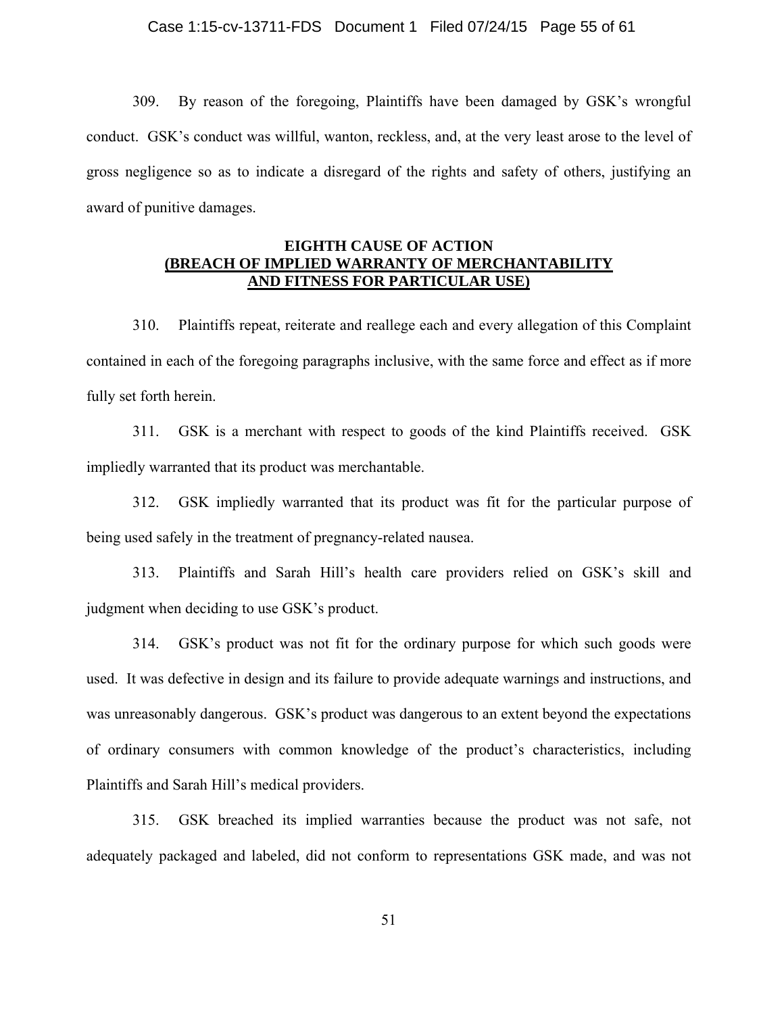309. By reason of the foregoing, Plaintiffs have been damaged by GSK's wrongful conduct. GSK's conduct was willful, wanton, reckless, and, at the very least arose to the level of gross negligence so as to indicate a disregard of the rights and safety of others, justifying an award of punitive damages.

#### **EIGHTH CAUSE OF ACTION (BREACH OF IMPLIED WARRANTY OF MERCHANTABILITY AND FITNESS FOR PARTICULAR USE)**

310. Plaintiffs repeat, reiterate and reallege each and every allegation of this Complaint contained in each of the foregoing paragraphs inclusive, with the same force and effect as if more fully set forth herein.

311. GSK is a merchant with respect to goods of the kind Plaintiffs received. GSK impliedly warranted that its product was merchantable.

312. GSK impliedly warranted that its product was fit for the particular purpose of being used safely in the treatment of pregnancy-related nausea.

313. Plaintiffs and Sarah Hill's health care providers relied on GSK's skill and judgment when deciding to use GSK's product.

314. GSK's product was not fit for the ordinary purpose for which such goods were used. It was defective in design and its failure to provide adequate warnings and instructions, and was unreasonably dangerous. GSK's product was dangerous to an extent beyond the expectations of ordinary consumers with common knowledge of the product's characteristics, including Plaintiffs and Sarah Hill's medical providers.

315. GSK breached its implied warranties because the product was not safe, not adequately packaged and labeled, did not conform to representations GSK made, and was not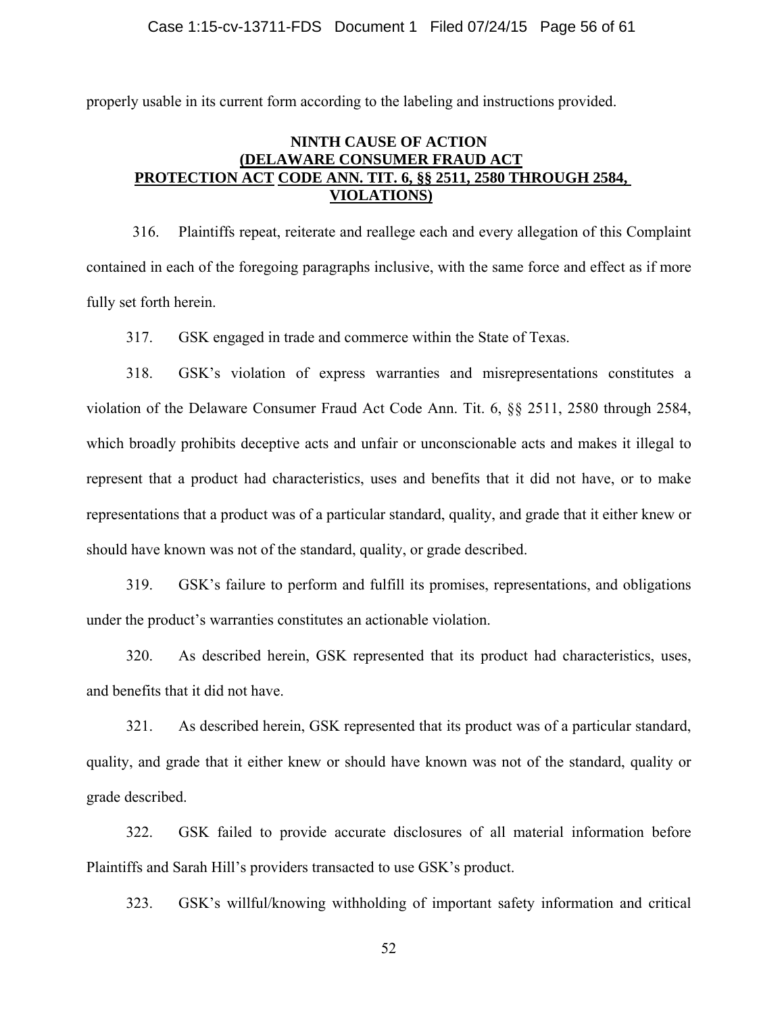properly usable in its current form according to the labeling and instructions provided.

#### **NINTH CAUSE OF ACTION (DELAWARE CONSUMER FRAUD ACT PROTECTION ACT CODE ANN. TIT. 6, §§ 2511, 2580 THROUGH 2584, VIOLATIONS)**

316. Plaintiffs repeat, reiterate and reallege each and every allegation of this Complaint contained in each of the foregoing paragraphs inclusive, with the same force and effect as if more fully set forth herein.

317. GSK engaged in trade and commerce within the State of Texas.

318. GSK's violation of express warranties and misrepresentations constitutes a violation of the Delaware Consumer Fraud Act Code Ann. Tit. 6, §§ 2511, 2580 through 2584, which broadly prohibits deceptive acts and unfair or unconscionable acts and makes it illegal to represent that a product had characteristics, uses and benefits that it did not have, or to make representations that a product was of a particular standard, quality, and grade that it either knew or should have known was not of the standard, quality, or grade described.

319. GSK's failure to perform and fulfill its promises, representations, and obligations under the product's warranties constitutes an actionable violation.

320. As described herein, GSK represented that its product had characteristics, uses, and benefits that it did not have.

321. As described herein, GSK represented that its product was of a particular standard, quality, and grade that it either knew or should have known was not of the standard, quality or grade described.

322. GSK failed to provide accurate disclosures of all material information before Plaintiffs and Sarah Hill's providers transacted to use GSK's product.

323. GSK's willful/knowing withholding of important safety information and critical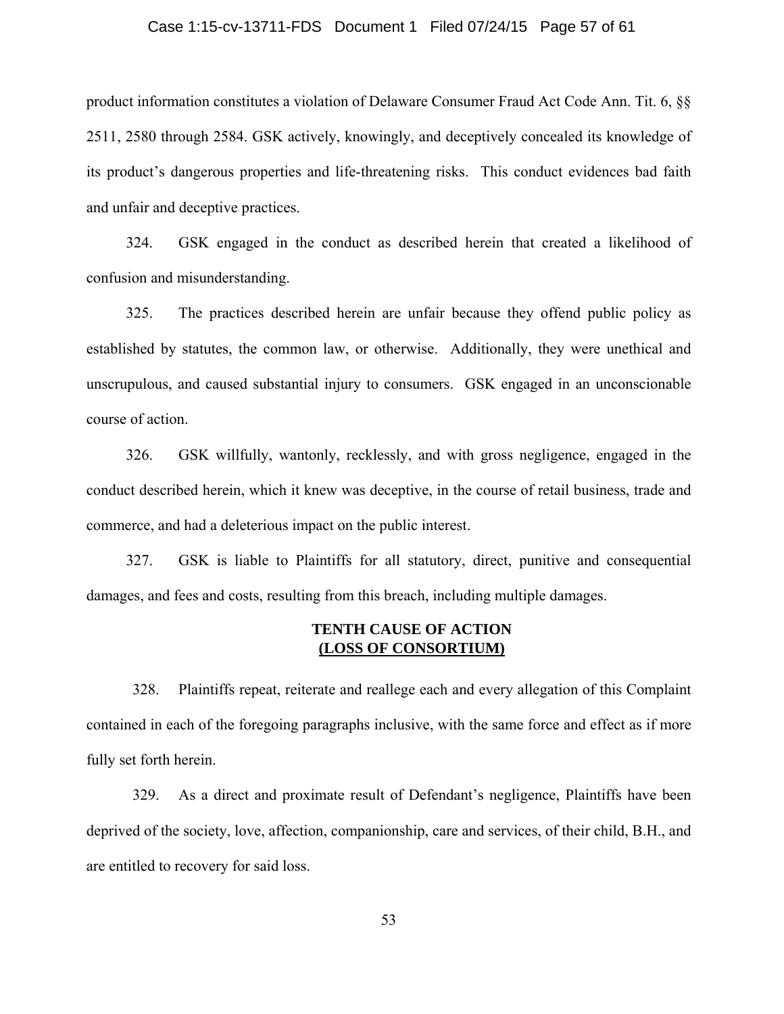#### Case 1:15-cv-13711-FDS Document 1 Filed 07/24/15 Page 57 of 61

product information constitutes a violation of Delaware Consumer Fraud Act Code Ann. Tit. 6, §§ 2511, 2580 through 2584. GSK actively, knowingly, and deceptively concealed its knowledge of its product's dangerous properties and life-threatening risks. This conduct evidences bad faith and unfair and deceptive practices.

324. GSK engaged in the conduct as described herein that created a likelihood of confusion and misunderstanding.

325. The practices described herein are unfair because they offend public policy as established by statutes, the common law, or otherwise. Additionally, they were unethical and unscrupulous, and caused substantial injury to consumers. GSK engaged in an unconscionable course of action.

326. GSK willfully, wantonly, recklessly, and with gross negligence, engaged in the conduct described herein, which it knew was deceptive, in the course of retail business, trade and commerce, and had a deleterious impact on the public interest.

327. GSK is liable to Plaintiffs for all statutory, direct, punitive and consequential damages, and fees and costs, resulting from this breach, including multiple damages.

#### **TENTH CAUSE OF ACTION (LOSS OF CONSORTIUM)**

 328. Plaintiffs repeat, reiterate and reallege each and every allegation of this Complaint contained in each of the foregoing paragraphs inclusive, with the same force and effect as if more fully set forth herein.

 329. As a direct and proximate result of Defendant's negligence, Plaintiffs have been deprived of the society, love, affection, companionship, care and services, of their child, B.H., and are entitled to recovery for said loss.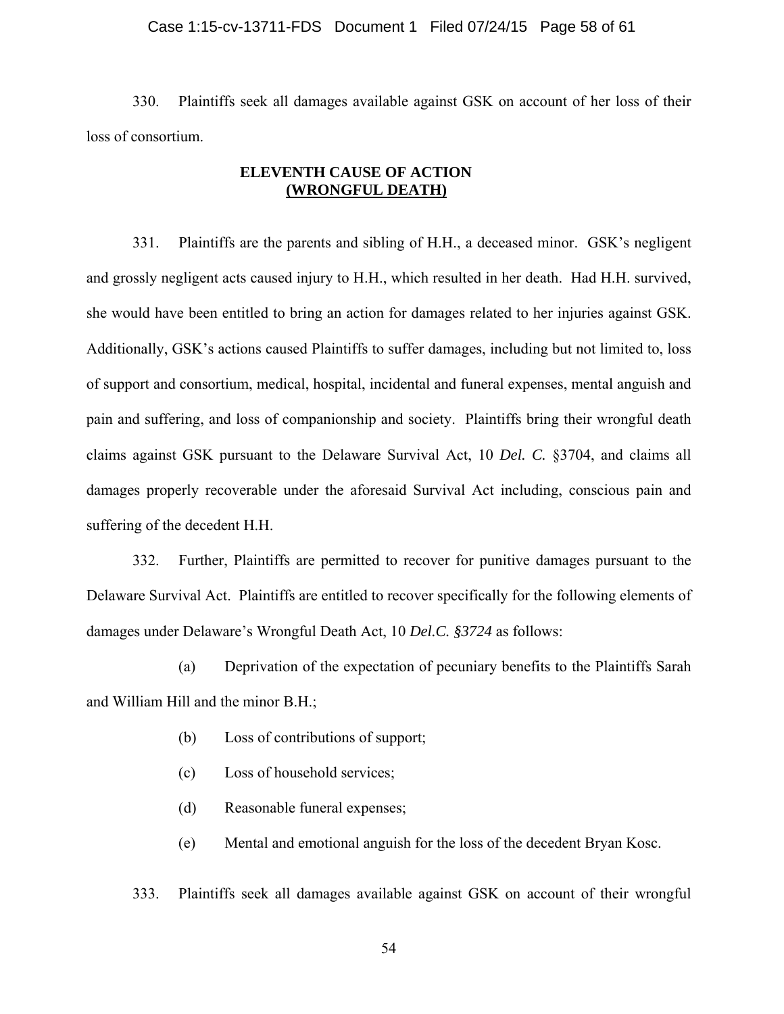#### Case 1:15-cv-13711-FDS Document 1 Filed 07/24/15 Page 58 of 61

 330. Plaintiffs seek all damages available against GSK on account of her loss of their loss of consortium.

#### **ELEVENTH CAUSE OF ACTION (WRONGFUL DEATH)**

 331. Plaintiffs are the parents and sibling of H.H., a deceased minor. GSK's negligent and grossly negligent acts caused injury to H.H., which resulted in her death. Had H.H. survived, she would have been entitled to bring an action for damages related to her injuries against GSK. Additionally, GSK's actions caused Plaintiffs to suffer damages, including but not limited to, loss of support and consortium, medical, hospital, incidental and funeral expenses, mental anguish and pain and suffering, and loss of companionship and society. Plaintiffs bring their wrongful death claims against GSK pursuant to the Delaware Survival Act, 10 *Del. C.* §3704, and claims all damages properly recoverable under the aforesaid Survival Act including, conscious pain and suffering of the decedent H.H.

332. Further, Plaintiffs are permitted to recover for punitive damages pursuant to the Delaware Survival Act. Plaintiffs are entitled to recover specifically for the following elements of damages under Delaware's Wrongful Death Act, 10 *Del.C. §3724* as follows:

 (a) Deprivation of the expectation of pecuniary benefits to the Plaintiffs Sarah and William Hill and the minor B.H.;

- (b) Loss of contributions of support;
- (c) Loss of household services;
- (d) Reasonable funeral expenses;
- (e) Mental and emotional anguish for the loss of the decedent Bryan Kosc.

333. Plaintiffs seek all damages available against GSK on account of their wrongful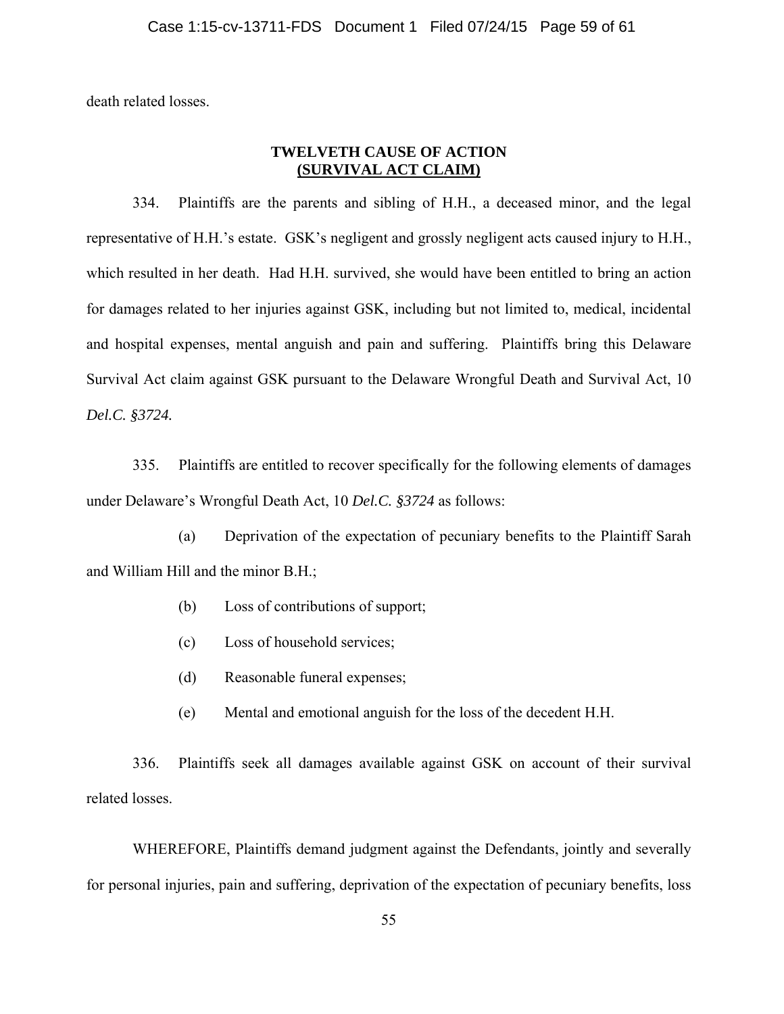death related losses.

#### **TWELVETH CAUSE OF ACTION (SURVIVAL ACT CLAIM)**

 334. Plaintiffs are the parents and sibling of H.H., a deceased minor, and the legal representative of H.H.'s estate. GSK's negligent and grossly negligent acts caused injury to H.H., which resulted in her death. Had H.H. survived, she would have been entitled to bring an action for damages related to her injuries against GSK, including but not limited to, medical, incidental and hospital expenses, mental anguish and pain and suffering. Plaintiffs bring this Delaware Survival Act claim against GSK pursuant to the Delaware Wrongful Death and Survival Act, 10 *Del.C. §3724.*

 335. Plaintiffs are entitled to recover specifically for the following elements of damages under Delaware's Wrongful Death Act, 10 *Del.C. §3724* as follows:

 (a) Deprivation of the expectation of pecuniary benefits to the Plaintiff Sarah and William Hill and the minor B.H.;

- (b) Loss of contributions of support;
- (c) Loss of household services;
- (d) Reasonable funeral expenses;
- (e) Mental and emotional anguish for the loss of the decedent H.H.

 336. Plaintiffs seek all damages available against GSK on account of their survival related losses.

 WHEREFORE, Plaintiffs demand judgment against the Defendants, jointly and severally for personal injuries, pain and suffering, deprivation of the expectation of pecuniary benefits, loss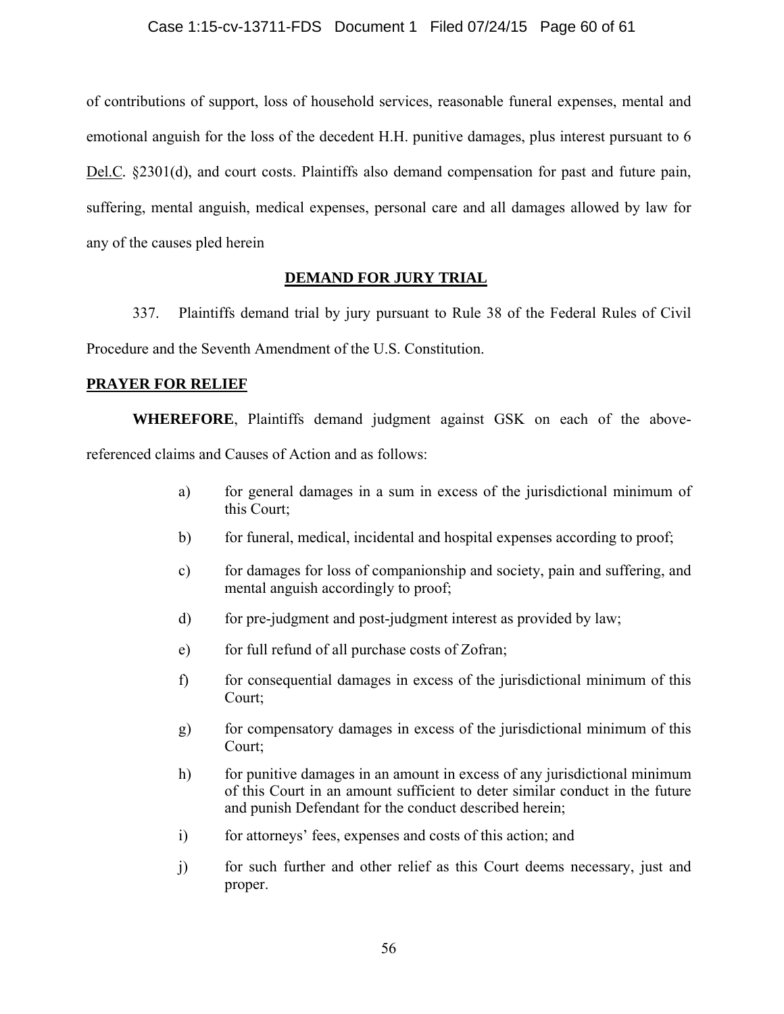of contributions of support, loss of household services, reasonable funeral expenses, mental and emotional anguish for the loss of the decedent H.H. punitive damages, plus interest pursuant to 6 Del.C*.* §2301(d), and court costs. Plaintiffs also demand compensation for past and future pain, suffering, mental anguish, medical expenses, personal care and all damages allowed by law for any of the causes pled herein

#### **DEMAND FOR JURY TRIAL**

337. Plaintiffs demand trial by jury pursuant to Rule 38 of the Federal Rules of Civil Procedure and the Seventh Amendment of the U.S. Constitution.

#### **PRAYER FOR RELIEF**

**WHEREFORE**, Plaintiffs demand judgment against GSK on each of the abovereferenced claims and Causes of Action and as follows:

- a) for general damages in a sum in excess of the jurisdictional minimum of this Court;
- b) for funeral, medical, incidental and hospital expenses according to proof;
- c) for damages for loss of companionship and society, pain and suffering, and mental anguish accordingly to proof;
- d) for pre-judgment and post-judgment interest as provided by law;
- e) for full refund of all purchase costs of Zofran;
- f) for consequential damages in excess of the jurisdictional minimum of this Court;
- g) for compensatory damages in excess of the jurisdictional minimum of this Court;
- h) for punitive damages in an amount in excess of any jurisdictional minimum of this Court in an amount sufficient to deter similar conduct in the future and punish Defendant for the conduct described herein;
- i) for attorneys' fees, expenses and costs of this action; and
- j) for such further and other relief as this Court deems necessary, just and proper.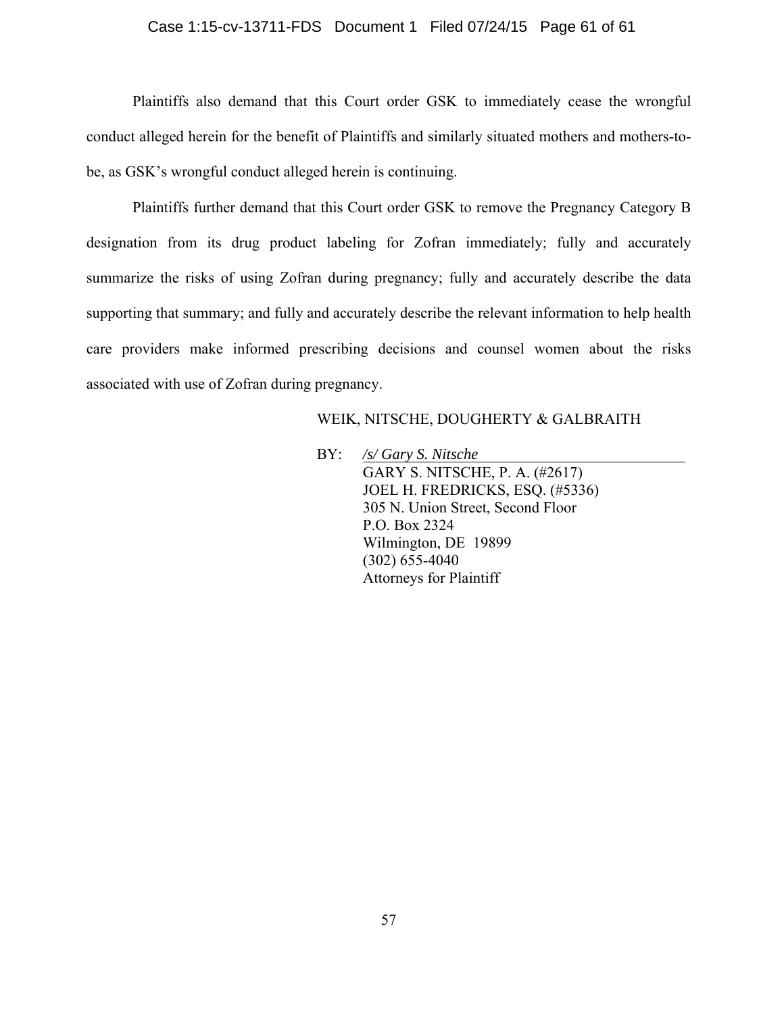#### Case 1:15-cv-13711-FDS Document 1 Filed 07/24/15 Page 61 of 61

Plaintiffs also demand that this Court order GSK to immediately cease the wrongful conduct alleged herein for the benefit of Plaintiffs and similarly situated mothers and mothers-tobe, as GSK's wrongful conduct alleged herein is continuing.

Plaintiffs further demand that this Court order GSK to remove the Pregnancy Category B designation from its drug product labeling for Zofran immediately; fully and accurately summarize the risks of using Zofran during pregnancy; fully and accurately describe the data supporting that summary; and fully and accurately describe the relevant information to help health care providers make informed prescribing decisions and counsel women about the risks associated with use of Zofran during pregnancy.

#### WEIK, NITSCHE, DOUGHERTY & GALBRAITH

 BY: */s/ Gary S. Nitsche*  GARY S. NITSCHE, P. A. (#2617) JOEL H. FREDRICKS, ESQ. (#5336) 305 N. Union Street, Second Floor P.O. Box 2324 Wilmington, DE 19899 (302) 655-4040 Attorneys for Plaintiff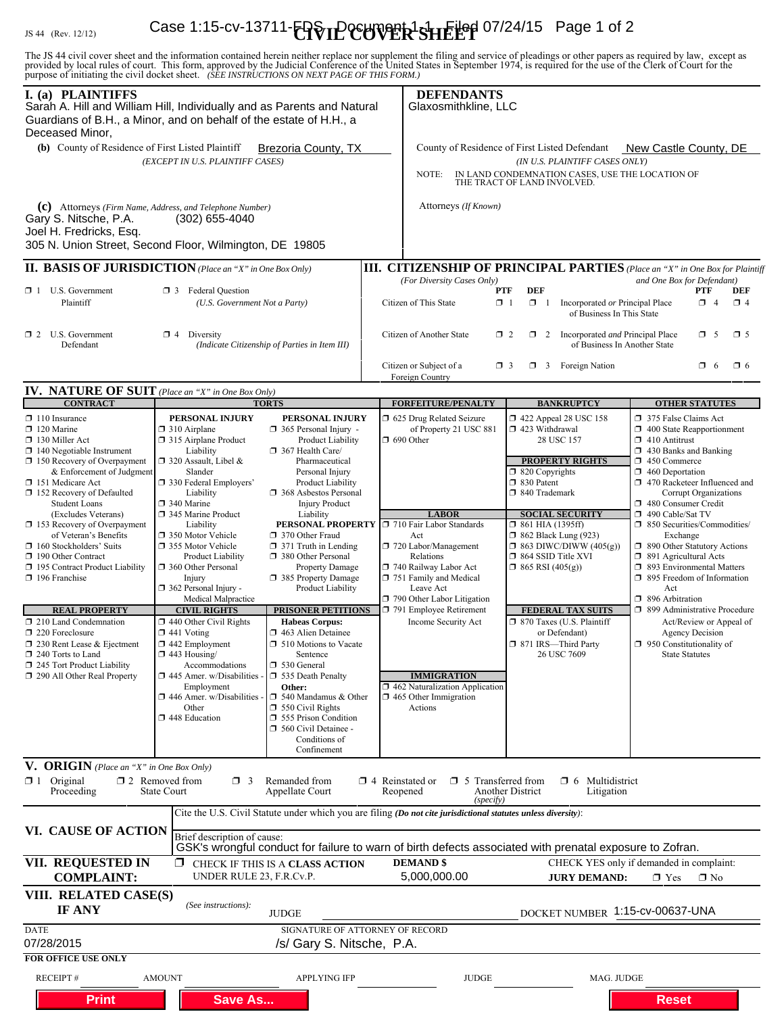# IS 44 (Rev. 12/12) **Case 1:15-cv-13711-<del>[9]</del> SHE COVER-SHEET** 07/24/15 Page 1 of 2

The JS 44 civil cover sheet and the information contained herein neither replace nor supplement the filing and service of pleadings or other papers as required by law, except as provided by local rules of court. This form,

| I. (a) PLAINTIFFS<br>Sarah A. Hill and William Hill, Individually and as Parents and Natural<br>Guardians of B.H., a Minor, and on behalf of the estate of H.H., a<br>Deceased Minor,                                                                                                             |                                                                                                                                                                                                                                                                                                                                                                                                                                                                                                                               |                                                                                                                                                                                                                              |                                                                                                                                                                                                                                                   | <b>DEFENDANTS</b><br>Glaxosmithkline, LLC                                                                                                                                                           |                                                                                                                                                                                                                                                                                                                              |                                                                                                                                                                                |  |
|---------------------------------------------------------------------------------------------------------------------------------------------------------------------------------------------------------------------------------------------------------------------------------------------------|-------------------------------------------------------------------------------------------------------------------------------------------------------------------------------------------------------------------------------------------------------------------------------------------------------------------------------------------------------------------------------------------------------------------------------------------------------------------------------------------------------------------------------|------------------------------------------------------------------------------------------------------------------------------------------------------------------------------------------------------------------------------|---------------------------------------------------------------------------------------------------------------------------------------------------------------------------------------------------------------------------------------------------|-----------------------------------------------------------------------------------------------------------------------------------------------------------------------------------------------------|------------------------------------------------------------------------------------------------------------------------------------------------------------------------------------------------------------------------------------------------------------------------------------------------------------------------------|--------------------------------------------------------------------------------------------------------------------------------------------------------------------------------|--|
| (b) County of Residence of First Listed Plaintiff<br><b>Brezoria County, TX</b><br>(EXCEPT IN U.S. PLAINTIFF CASES)                                                                                                                                                                               |                                                                                                                                                                                                                                                                                                                                                                                                                                                                                                                               |                                                                                                                                                                                                                              |                                                                                                                                                                                                                                                   | County of Residence of First Listed Defendant<br>New Castle County, DE<br>(IN U.S. PLAINTIFF CASES ONLY)<br>IN LAND CONDEMNATION CASES, USE THE LOCATION OF<br>NOTE:<br>THE TRACT OF LAND INVOLVED. |                                                                                                                                                                                                                                                                                                                              |                                                                                                                                                                                |  |
| (c) Attorneys (Firm Name, Address, and Telephone Number)<br>Gary S. Nitsche, P.A.<br>Joel H. Fredricks, Esq.<br>305 N. Union Street, Second Floor, Wilmington, DE 19805                                                                                                                           | $(302)$ 655-4040                                                                                                                                                                                                                                                                                                                                                                                                                                                                                                              |                                                                                                                                                                                                                              |                                                                                                                                                                                                                                                   | Attorneys (If Known)                                                                                                                                                                                |                                                                                                                                                                                                                                                                                                                              |                                                                                                                                                                                |  |
| <b>II. BASIS OF JURISDICTION</b> (Place an "X" in One Box Only)                                                                                                                                                                                                                                   |                                                                                                                                                                                                                                                                                                                                                                                                                                                                                                                               |                                                                                                                                                                                                                              |                                                                                                                                                                                                                                                   |                                                                                                                                                                                                     |                                                                                                                                                                                                                                                                                                                              | <b>III. CITIZENSHIP OF PRINCIPAL PARTIES</b> (Place an "X" in One Box for Plaintiff                                                                                            |  |
| $\Box$ 1 U.S. Government<br>Plaintiff                                                                                                                                                                                                                                                             | <b>1</b> 3 Federal Question<br>(U.S. Government Not a Party)                                                                                                                                                                                                                                                                                                                                                                                                                                                                  |                                                                                                                                                                                                                              | (For Diversity Cases Only)<br>and One Box for Defendant)<br><b>DEF</b><br><b>PTF</b><br>PTF<br>DEF<br>$\Box$ 1<br>$\mathbf{Z}$ 4<br>Citizen of This State<br>$\Box$ 1<br>Incorporated or Principal Place<br>$\Box$ 4<br>of Business In This State |                                                                                                                                                                                                     |                                                                                                                                                                                                                                                                                                                              |                                                                                                                                                                                |  |
| $\Box$ 2 U.S. Government<br>Defendant                                                                                                                                                                                                                                                             | $\boxtimes$ 4 Diversity<br>(Indicate Citizenship of Parties in Item III)                                                                                                                                                                                                                                                                                                                                                                                                                                                      |                                                                                                                                                                                                                              |                                                                                                                                                                                                                                                   | Citizen of Another State<br>$\mathbf{X}$ 2<br>$\Box$ 2<br>Incorporated and Principal Place<br>$\Box$ 5<br>$\square$ 5<br>of Business In Another State                                               |                                                                                                                                                                                                                                                                                                                              |                                                                                                                                                                                |  |
|                                                                                                                                                                                                                                                                                                   |                                                                                                                                                                                                                                                                                                                                                                                                                                                                                                                               |                                                                                                                                                                                                                              | Citizen or Subject of a<br>Foreign Country                                                                                                                                                                                                        |                                                                                                                                                                                                     | $\Box$ 3 Foreign Nation<br>$\Box$ 3                                                                                                                                                                                                                                                                                          | $\Box$ 6<br>$\Box$ 6                                                                                                                                                           |  |
| <b>IV. NATURE OF SUIT</b> (Place an "X" in One Box Only)<br><b>CONTRACT</b>                                                                                                                                                                                                                       |                                                                                                                                                                                                                                                                                                                                                                                                                                                                                                                               |                                                                                                                                                                                                                              |                                                                                                                                                                                                                                                   |                                                                                                                                                                                                     | <b>BANKRUPTCY</b>                                                                                                                                                                                                                                                                                                            |                                                                                                                                                                                |  |
| $\Box$ 110 Insurance<br>$\Box$ 120 Marine<br>130 Miller Act<br>$\Box$ 140 Negotiable Instrument<br>$\Box$ 150 Recovery of Overpayment<br>& Enforcement of Judgment<br>151 Medicare Act<br>152 Recovery of Defaulted<br><b>Student Loans</b><br>(Excludes Veterans)<br>153 Recovery of Overpayment | <b>TORTS</b><br>PERSONAL INJURY<br>$\Box$ 310 Airplane<br>315 Airplane Product<br>Liability<br>$\Box$ 320 Assault, Libel &<br>Slander<br>□ 330 Federal Employers'<br>Liability<br>□ 340 Marine<br>345 Marine Product<br>Liability<br>□ 350 Motor Vehicle<br>□ 355 Motor Vehicle<br><b>Product Liability</b><br>360 Other Personal<br>Injury<br>$\Box$ 362 Personal Injury -<br>Medical Malpractice                                                                                                                            | PERSONAL INJURY<br>$365$ Personal Injury -<br>Product Liability<br>367 Health Care/<br>Pharmaceutical<br>Personal Injury<br><b>Product Liability</b><br><b>1</b> 368 Asbestos Personal<br><b>Injury Product</b><br>Liability | <b>FORFEITURE/PENALTY</b><br>5 625 Drug Related Seizure<br>of Property 21 USC 881<br>$\Box$ 690 Other<br><b>LABOR</b><br>PERSONAL PROPERTY J 710 Fair Labor Standards                                                                             | 1 422 Appeal 28 USC 158<br>423 Withdrawal<br>28 USC 157<br><b>PROPERTY RIGHTS</b><br>$\Box$ 820 Copyrights<br>□ 830 Patent<br>□ 840 Trademark<br><b>SOCIAL SECURITY</b><br>$\Box$ 861 HIA (1395ff)  | <b>OTHER STATUTES</b><br>375 False Claims Act<br>$\Box$ 400 State Reapportionment<br>$\Box$ 410 Antitrust<br>$\Box$ 430 Banks and Banking<br>1 450 Commerce<br>$\Box$ 460 Deportation<br>1 470 Racketeer Influenced and<br>Corrupt Organizations<br>480 Consumer Credit<br>490 Cable/Sat TV<br>□ 850 Securities/Commodities/ |                                                                                                                                                                                |  |
| of Veteran's Benefits<br>$\Box$ 160 Stockholders' Suits<br>190 Other Contract<br>195 Contract Product Liability<br>$\Box$ 196 Franchise                                                                                                                                                           |                                                                                                                                                                                                                                                                                                                                                                                                                                                                                                                               | 370 Other Fraud<br>$\Box$ 371 Truth in Lending<br>380 Other Personal<br><b>Property Damage</b><br>385 Property Damage<br>Product Liability                                                                                   | Act                                                                                                                                                                                                                                               | $\Box$ 720 Labor/Management<br>Relations<br>740 Railway Labor Act<br>751 Family and Medical<br>Leave Act<br>790 Other Labor Litigation                                                              | <b>1</b> 862 Black Lung (923)<br>$\Box$ 863 DIWC/DIWW (405(g))<br>$\Box$ 864 SSID Title XVI<br>$\Box$ 865 RSI (405(g))                                                                                                                                                                                                       | Exchange<br>1 890 Other Statutory Actions<br>$\Box$ 891 Agricultural Acts<br>□ 893 Environmental Matters<br>$\Box$ 895 Freedom of Information<br>Act<br>$\Box$ 896 Arbitration |  |
| <b>REAL PROPERTY</b><br>210 Land Condemnation<br>$\Box$ 220 Foreclosure<br>$\Box$ 230 Rent Lease & Ejectment<br>240 Torts to Land<br>245 Tort Product Liability<br>290 All Other Real Property                                                                                                    | <b>CIVIL RIGHTS</b><br><b>PRISONER PETITIONS</b><br>$\Box$ 440 Other Civil Rights<br><b>Habeas Corpus:</b><br>$\Box$ 441 Voting<br>463 Alien Detainee<br>$\Box$ 442 Employment<br>510 Motions to Vacate<br>$\Box$ 443 Housing/<br>Sentence<br>□ 530 General<br>Accommodations<br>$\Box$ 445 Amer. w/Disabilities<br>535 Death Penalty<br>Employment<br>Other:<br>446 Amer. w/Disabilities<br>$\Box$ 540 Mandamus & Other<br>$\Box$ 550 Civil Rights<br>Other<br>448 Education<br>555 Prison Condition<br>560 Civil Detainee - |                                                                                                                                                                                                                              | $\Box$ 465 Other Immigration<br>Actions                                                                                                                                                                                                           | 791 Employee Retirement<br>Income Security Act<br><b>IMMIGRATION</b><br>462 Naturalization Application                                                                                              | <b>FEDERAL TAX SUITS</b><br>□ 899 Administrative Procedure<br>□ 870 Taxes (U.S. Plaintiff<br>Act/Review or Appeal of<br>or Defendant)<br><b>Agency Decision</b><br>□ 871 IRS-Third Party<br>$\Box$ 950 Constitutionality of<br>26 USC 7609<br><b>State Statutes</b>                                                          |                                                                                                                                                                                |  |
| V. ORIGIN (Place an "X" in One Box Only)<br>$\boxtimes$ 1 Original<br>Proceeding                                                                                                                                                                                                                  | $\square$ 2 Removed from<br>$\Box$ 3<br><b>State Court</b>                                                                                                                                                                                                                                                                                                                                                                                                                                                                    | Conditions of<br>Confinement<br>Remanded from<br>Appellate Court                                                                                                                                                             | $\Box$ 4 Reinstated or<br>Reopened                                                                                                                                                                                                                | $\Box$ 5 Transferred from                                                                                                                                                                           | $\Box$ 6 Multidistrict<br><b>Another District</b><br>Litigation                                                                                                                                                                                                                                                              |                                                                                                                                                                                |  |
| VI. CAUSE OF ACTION                                                                                                                                                                                                                                                                               | Brief description of cause:                                                                                                                                                                                                                                                                                                                                                                                                                                                                                                   | Cite the U.S. Civil Statute under which you are filing (Do not cite jurisdictional statutes unless diversity):                                                                                                               |                                                                                                                                                                                                                                                   | (specify)                                                                                                                                                                                           | GSK's wrongful conduct for failure to warn of birth defects associated with prenatal exposure to Zofran.                                                                                                                                                                                                                     |                                                                                                                                                                                |  |
| VII. REQUESTED IN<br><b>COMPLAINT:</b>                                                                                                                                                                                                                                                            | □<br>UNDER RULE 23, F.R.Cv.P.                                                                                                                                                                                                                                                                                                                                                                                                                                                                                                 | CHECK IF THIS IS A CLASS ACTION                                                                                                                                                                                              | <b>DEMAND \$</b>                                                                                                                                                                                                                                  | 5,000,000.00                                                                                                                                                                                        | <b>JURY DEMAND:</b>                                                                                                                                                                                                                                                                                                          | CHECK YES only if demanded in complaint:<br>$\times$ Yes<br>$\Box$ No                                                                                                          |  |
| VIII. RELATED CASE(S)<br>IF ANY                                                                                                                                                                                                                                                                   | (See instructions):                                                                                                                                                                                                                                                                                                                                                                                                                                                                                                           | <b>JUDGE</b>                                                                                                                                                                                                                 |                                                                                                                                                                                                                                                   |                                                                                                                                                                                                     |                                                                                                                                                                                                                                                                                                                              | DOCKET NUMBER 1:15-cv-00637-UNA                                                                                                                                                |  |
| <b>DATE</b><br>07/28/2015<br><b>FOR OFFICE USE ONLY</b>                                                                                                                                                                                                                                           |                                                                                                                                                                                                                                                                                                                                                                                                                                                                                                                               | SIGNATURE OF ATTORNEY OF RECORD<br>/s/ Gary S. Nitsche, P.A.                                                                                                                                                                 |                                                                                                                                                                                                                                                   |                                                                                                                                                                                                     |                                                                                                                                                                                                                                                                                                                              |                                                                                                                                                                                |  |
| <b>RECEIPT#</b>                                                                                                                                                                                                                                                                                   | <b>AMOUNT</b>                                                                                                                                                                                                                                                                                                                                                                                                                                                                                                                 | <b>APPLYING IFP</b>                                                                                                                                                                                                          |                                                                                                                                                                                                                                                   | <b>JUDGE</b>                                                                                                                                                                                        |                                                                                                                                                                                                                                                                                                                              | MAG. JUDGE                                                                                                                                                                     |  |
| <b>Print</b>                                                                                                                                                                                                                                                                                      | <b>Save As</b>                                                                                                                                                                                                                                                                                                                                                                                                                                                                                                                |                                                                                                                                                                                                                              |                                                                                                                                                                                                                                                   |                                                                                                                                                                                                     |                                                                                                                                                                                                                                                                                                                              | <b>Reset</b>                                                                                                                                                                   |  |